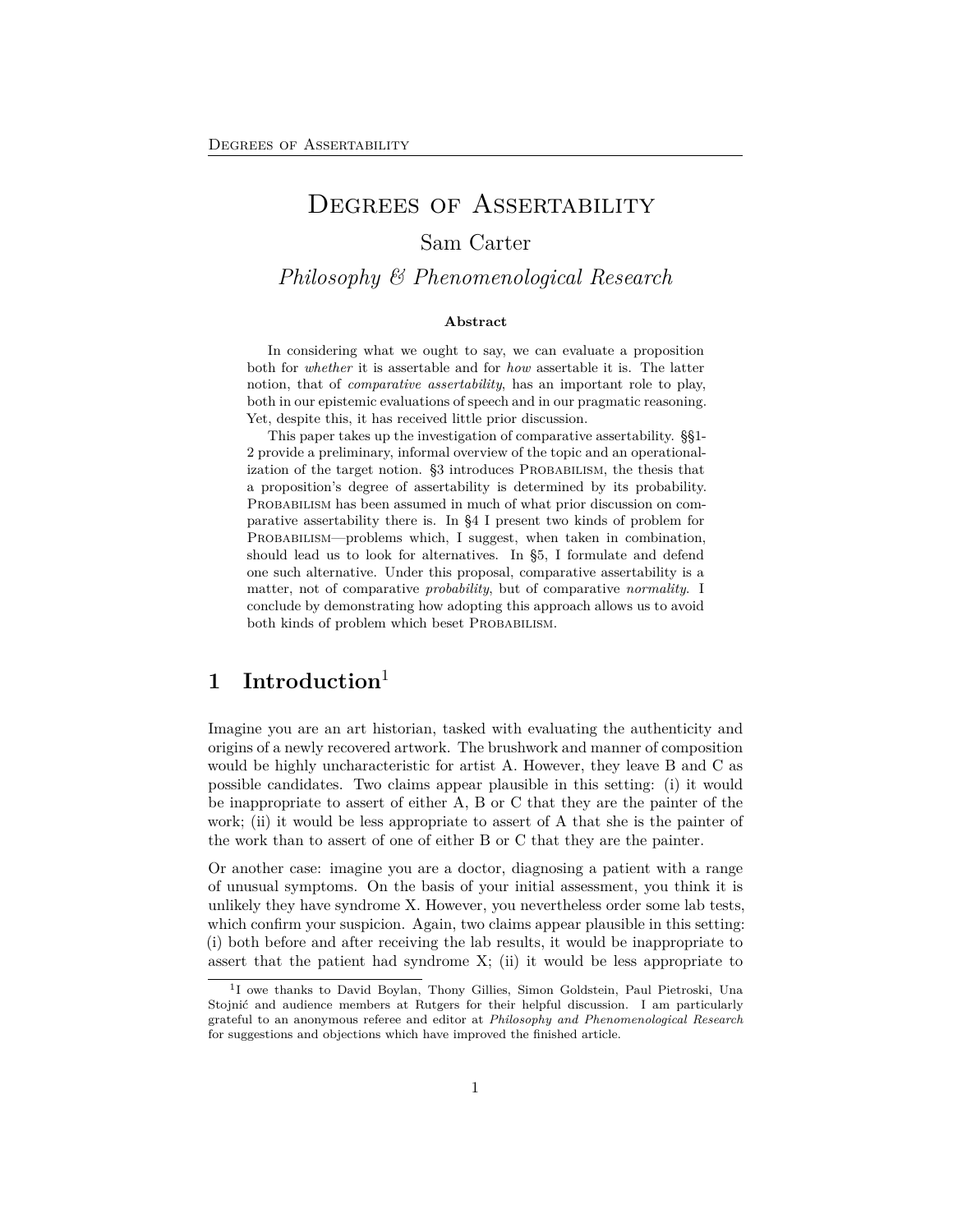# DEGREES OF ASSERTABILITY

### Sam Carter

# *Philosophy & Phenomenological Research*

#### **Abstract**

In considering what we ought to say, we can evaluate a proposition both for *whether* it is assertable and for *how* assertable it is. The latter notion, that of *comparative assertability*, has an important role to play, both in our epistemic evaluations of speech and in our pragmatic reasoning. Yet, despite this, it has received little prior discussion.

This paper takes up the investigation of comparative assertability. §[§1](#page-0-0)- [2](#page-3-0) provide a preliminary, informal overview of the topic and an operationalization of the target notion. §[3](#page-8-0) introduces Probabilism, the thesis that a proposition's degree of assertability is determined by its probability. PROBABILISM has been assumed in much of what prior discussion on comparative assertability there is. In [§4](#page-12-0) I present two kinds of problem for PROBABILISM—problems which, I suggest, when taken in combination, should lead us to look for alternatives. In [§5,](#page-22-0) I formulate and defend one such alternative. Under this proposal, comparative assertability is a matter, not of comparative *probability*, but of comparative *normality*. I conclude by demonstrating how adopting this approach allows us to avoid both kinds of problem which beset PROBABILISM.

# <span id="page-0-0"></span>**1 Introduction**[1](#page-0-1)

Imagine you are an art historian, tasked with evaluating the authenticity and origins of a newly recovered artwork. The brushwork and manner of composition would be highly uncharacteristic for artist A. However, they leave B and C as possible candidates. Two claims appear plausible in this setting: (i) it would be inappropriate to assert of either A, B or C that they are the painter of the work; (ii) it would be less appropriate to assert of A that she is the painter of the work than to assert of one of either B or C that they are the painter.

Or another case: imagine you are a doctor, diagnosing a patient with a range of unusual symptoms. On the basis of your initial assessment, you think it is unlikely they have syndrome X. However, you nevertheless order some lab tests, which confirm your suspicion. Again, two claims appear plausible in this setting: (i) both before and after receiving the lab results, it would be inappropriate to assert that the patient had syndrome  $X$ ; (ii) it would be less appropriate to

<span id="page-0-1"></span><sup>&</sup>lt;sup>1</sup>I owe thanks to David Boylan, Thony Gillies, Simon Goldstein, Paul Pietroski, Una Stojnić and audience members at Rutgers for their helpful discussion. I am particularly grateful to an anonymous referee and editor at *Philosophy and Phenomenological Research* for suggestions and objections which have improved the finished article.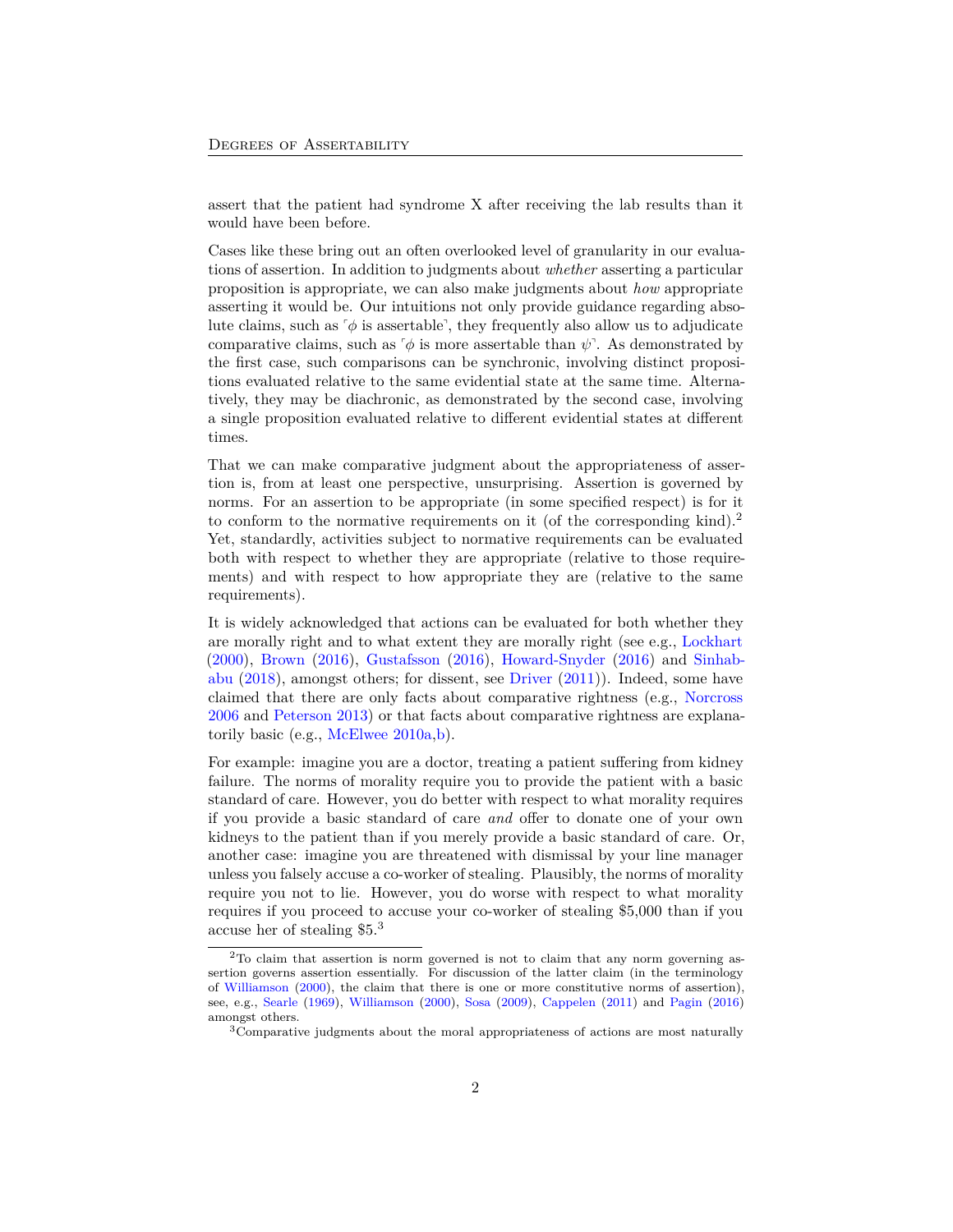assert that the patient had syndrome X after receiving the lab results than it would have been before.

Cases like these bring out an often overlooked level of granularity in our evaluations of assertion. In addition to judgments about *whether* asserting a particular proposition is appropriate, we can also make judgments about *how* appropriate asserting it would be. Our intuitions not only provide guidance regarding absolute claims, such as  $\phi$  is assertable<sup> $\phi$ </sup>, they frequently also allow us to adjudicate comparative claims, such as  $\phi$  is more assertable than  $\psi$ <sup>7</sup>. As demonstrated by the first case, such comparisons can be synchronic, involving distinct propositions evaluated relative to the same evidential state at the same time. Alternatively, they may be diachronic, as demonstrated by the second case, involving a single proposition evaluated relative to different evidential states at different times.

That we can make comparative judgment about the appropriateness of assertion is, from at least one perspective, unsurprising. Assertion is governed by norms. For an assertion to be appropriate (in some specified respect) is for it to conform to the normative requirements on it (of the corresponding kind).<sup>[2](#page-1-0)</sup> Yet, standardly, activities subject to normative requirements can be evaluated both with respect to whether they are appropriate (relative to those requirements) and with respect to how appropriate they are (relative to the same requirements).

It is widely acknowledged that actions can be evaluated for both whether they are morally right and to what extent they are morally right (see e.g., [Lockhart](#page-38-0) [\(2000](#page-38-0)), [Brown](#page-35-0) [\(2016](#page-35-0)), [Gustafsson](#page-36-0) [\(2016](#page-36-0)), [Howard-Snyder](#page-37-0) [\(2016](#page-37-0)) and [Sinhab](#page-38-1)[abu](#page-38-1) [\(2018](#page-38-1)), amongst others; for dissent, see [Driver](#page-36-1) [\(2011](#page-36-1))). Indeed, some have claimed that there are only facts about comparative rightness (e.g., [Norcross](#page-38-2) [2006](#page-38-2) and [Peterson](#page-38-3) [2013](#page-38-3)) or that facts about comparative rightness are explanatorily basic (e.g., [McElwee](#page-38-4) [2010a,](#page-38-4)[b\)](#page-38-5).

For example: imagine you are a doctor, treating a patient suffering from kidney failure. The norms of morality require you to provide the patient with a basic standard of care. However, you do better with respect to what morality requires if you provide a basic standard of care *and* offer to donate one of your own kidneys to the patient than if you merely provide a basic standard of care. Or, another case: imagine you are threatened with dismissal by your line manager unless you falsely accuse a co-worker of stealing. Plausibly, the norms of morality require you not to lie. However, you do worse with respect to what morality requires if you proceed to accuse your co-worker of stealing \$5,000 than if you accuse her of stealing \$5.[3](#page-1-1)

<span id="page-1-0"></span><sup>2</sup>To claim that assertion is norm governed is not to claim that any norm governing assertion governs assertion essentially. For discussion of the latter claim (in the terminology of [Williamson](#page-40-0) ([2000\)](#page-40-0), the claim that there is one or more constitutive norms of assertion), see, e.g., [Searle](#page-38-6) [\(1969](#page-38-6)), [Williamson](#page-40-0) ([2000\)](#page-40-0), [Sosa](#page-39-0) [\(2009](#page-39-0)), [Cappelen](#page-36-2) ([2011\)](#page-36-2) and [Pagin](#page-38-7) [\(2016](#page-38-7)) amongst others.

<span id="page-1-1"></span><sup>3</sup>Comparative judgments about the moral appropriateness of actions are most naturally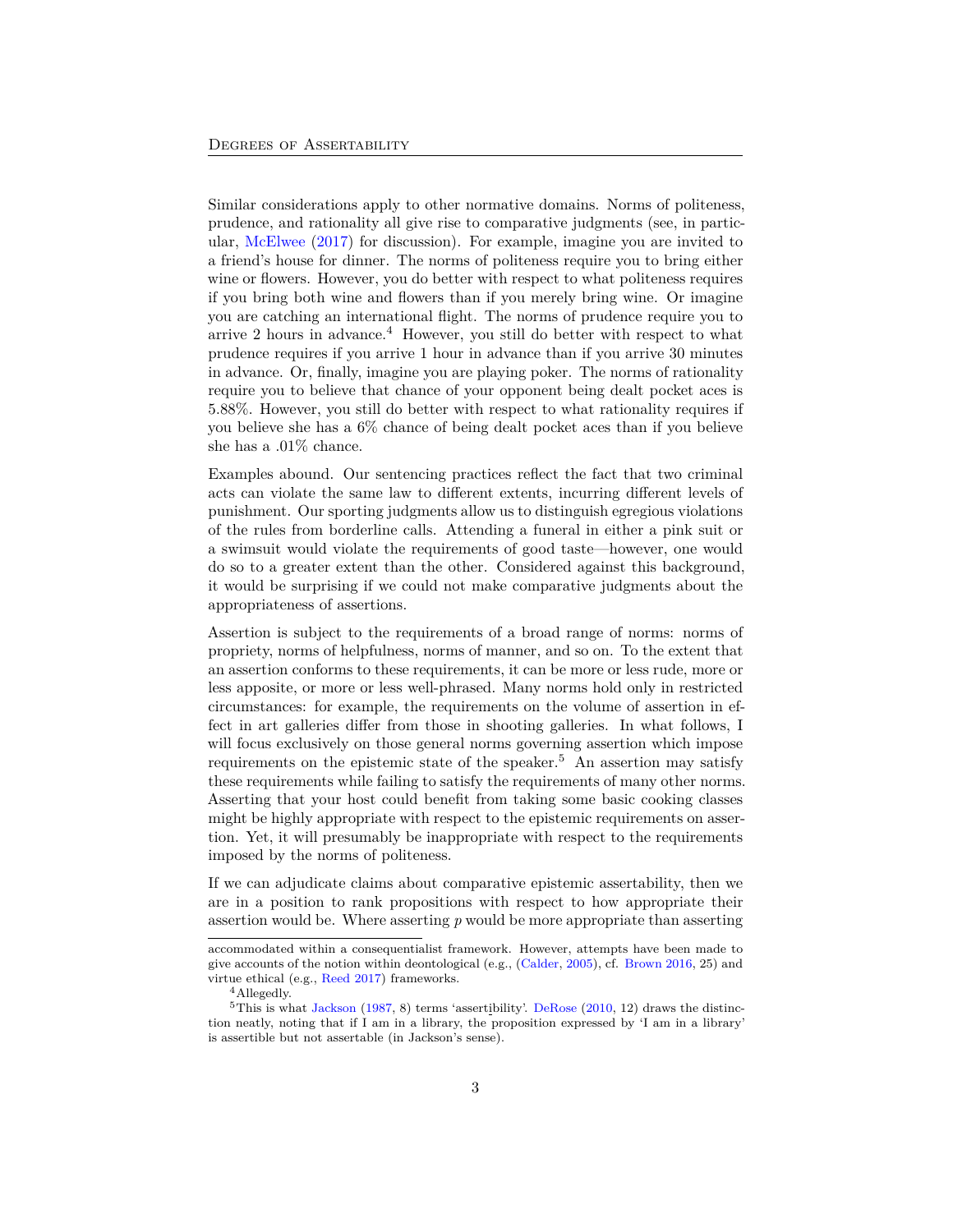Similar considerations apply to other normative domains. Norms of politeness, prudence, and rationality all give rise to comparative judgments (see, in particular, [McElwee](#page-38-8) ([2017\)](#page-38-8) for discussion). For example, imagine you are invited to a friend's house for dinner. The norms of politeness require you to bring either wine or flowers. However, you do better with respect to what politeness requires if you bring both wine and flowers than if you merely bring wine. Or imagine you are catching an international flight. The norms of prudence require you to arrive 2 hours in advance.[4](#page-2-0) However, you still do better with respect to what prudence requires if you arrive 1 hour in advance than if you arrive 30 minutes in advance. Or, finally, imagine you are playing poker. The norms of rationality require you to believe that chance of your opponent being dealt pocket aces is 5.88%. However, you still do better with respect to what rationality requires if you believe she has a 6% chance of being dealt pocket aces than if you believe she has a .01% chance.

Examples abound. Our sentencing practices reflect the fact that two criminal acts can violate the same law to different extents, incurring different levels of punishment. Our sporting judgments allow us to distinguish egregious violations of the rules from borderline calls. Attending a funeral in either a pink suit or a swimsuit would violate the requirements of good taste—however, one would do so to a greater extent than the other. Considered against this background, it would be surprising if we could not make comparative judgments about the appropriateness of assertions.

Assertion is subject to the requirements of a broad range of norms: norms of propriety, norms of helpfulness, norms of manner, and so on. To the extent that an assertion conforms to these requirements, it can be more or less rude, more or less apposite, or more or less well-phrased. Many norms hold only in restricted circumstances: for example, the requirements on the volume of assertion in effect in art galleries differ from those in shooting galleries. In what follows, I will focus exclusively on those general norms governing assertion which impose requirements on the epistemic state of the speaker.<sup>[5](#page-2-1)</sup> An assertion may satisfy these requirements while failing to satisfy the requirements of many other norms. Asserting that your host could benefit from taking some basic cooking classes might be highly appropriate with respect to the epistemic requirements on assertion. Yet, it will presumably be inappropriate with respect to the requirements imposed by the norms of politeness.

If we can adjudicate claims about comparative epistemic assertability, then we are in a position to rank propositions with respect to how appropriate their assertion would be. Where asserting *p* would be more appropriate than asserting

accommodated within a consequentialist framework. However, attempts have been made to give accounts of the notion within deontological (e.g., ([Calder](#page-36-3), [2005\)](#page-36-3), cf. [Brown](#page-35-0) [2016,](#page-35-0) 25) and virtue ethical (e.g., [Reed](#page-38-9) [2017\)](#page-38-9) frameworks.

<span id="page-2-1"></span><span id="page-2-0"></span><sup>4</sup>Allegedly.

 $5$ This is what [Jackson](#page-37-1) ([1987,](#page-37-1) 8) terms 'assertibility'. [DeRose](#page-36-4) ([2010,](#page-36-4) 12) draws the distinction neatly, noting that if I am in a library, the proposition expressed by 'I am in a library' is assertible but not assertable (in Jackson's sense).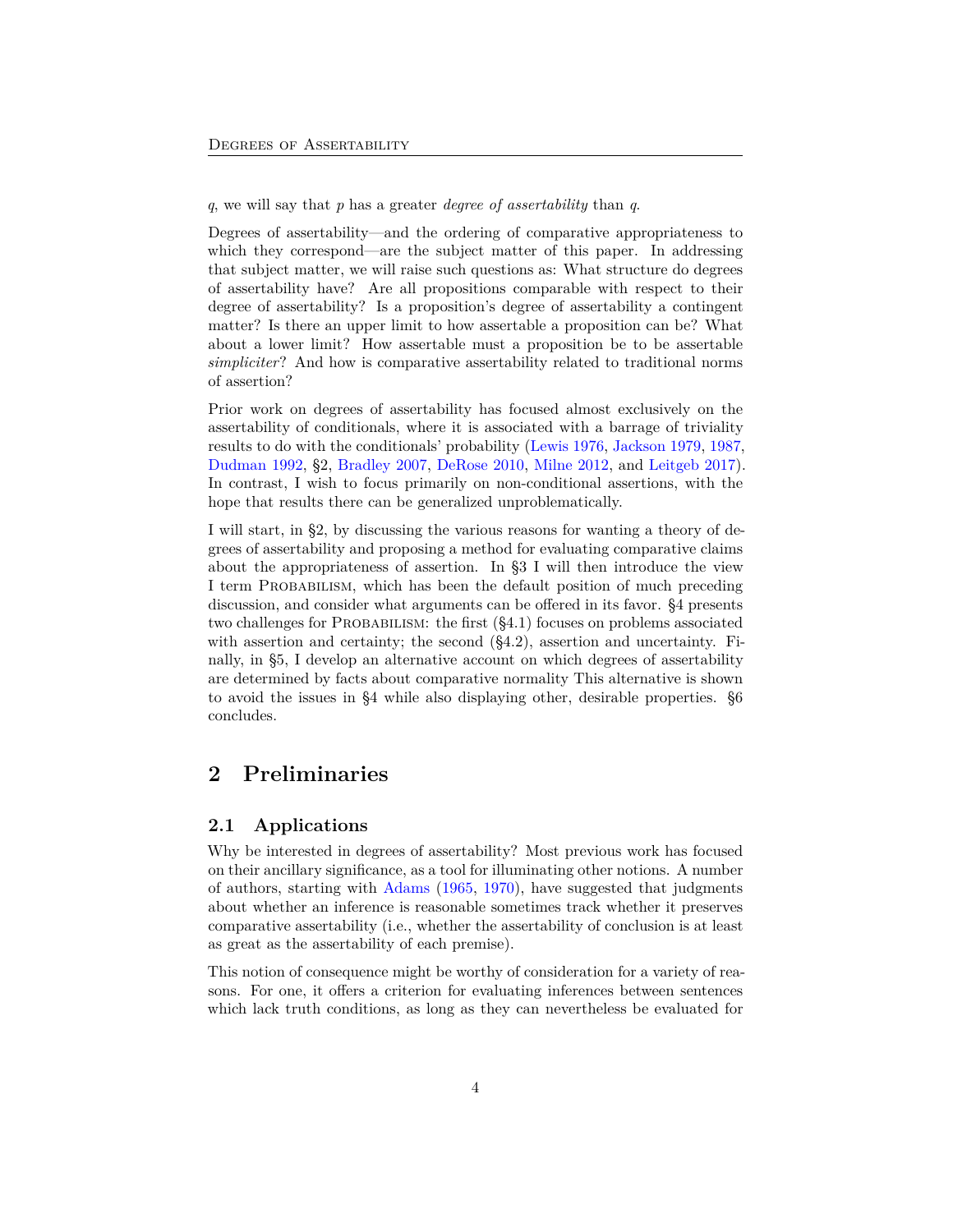*q*, we will say that *p* has a greater *degree of assertability* than *q*.

Degrees of assertability—and the ordering of comparative appropriateness to which they correspond—are the subject matter of this paper. In addressing that subject matter, we will raise such questions as: What structure do degrees of assertability have? Are all propositions comparable with respect to their degree of assertability? Is a proposition's degree of assertability a contingent matter? Is there an upper limit to how assertable a proposition can be? What about a lower limit? How assertable must a proposition be to be assertable *simpliciter*? And how is comparative assertability related to traditional norms of assertion?

Prior work on degrees of assertability has focused almost exclusively on the assertability of conditionals, where it is associated with a barrage of triviality results to do with the conditionals' probability ([Lewis](#page-37-2) [1976](#page-37-2), [Jackson](#page-37-3) [1979,](#page-37-3) [1987](#page-37-1), [Dudman](#page-36-5) [1992,](#page-36-5) §2, [Bradley](#page-35-1) [2007](#page-35-1), [DeRose](#page-36-4) [2010,](#page-36-4) [Milne](#page-38-10) [2012](#page-38-10), and [Leitgeb](#page-37-4) [2017\)](#page-37-4). In contrast, I wish to focus primarily on non-conditional assertions, with the hope that results there can be generalized unproblematically.

I will start, in [§2](#page-3-0), by discussing the various reasons for wanting a theory of degrees of assertability and proposing a method for evaluating comparative claims about the appropriateness of assertion. In §[3](#page-8-0) I will then introduce the view I term Probabilism, which has been the default position of much preceding discussion, and consider what arguments can be offered in its favor. [§4](#page-12-0) presents two challenges for PROBABILISM: the first  $(\S4.1)$  focuses on problems associated with assertion and certainty; the second  $(\S4.2)$ , assertion and uncertainty. Finally, in §[5,](#page-22-0) I develop an alternative account on which degrees of assertability are determined by facts about comparative normality This alternative is shown to avoid the issues in §[4](#page-12-0) while also displaying other, desirable properties. [§6](#page-33-0) concludes.

### <span id="page-3-0"></span>**2 Preliminaries**

### **2.1 Applications**

Why be interested in degrees of assertability? Most previous work has focused on their ancillary significance, as a tool for illuminating other notions. A number of authors, starting with [Adams](#page-35-2) [\(1965](#page-35-2), [1970\)](#page-35-3), have suggested that judgments about whether an inference is reasonable sometimes track whether it preserves comparative assertability (i.e., whether the assertability of conclusion is at least as great as the assertability of each premise).

This notion of consequence might be worthy of consideration for a variety of reasons. For one, it offers a criterion for evaluating inferences between sentences which lack truth conditions, as long as they can nevertheless be evaluated for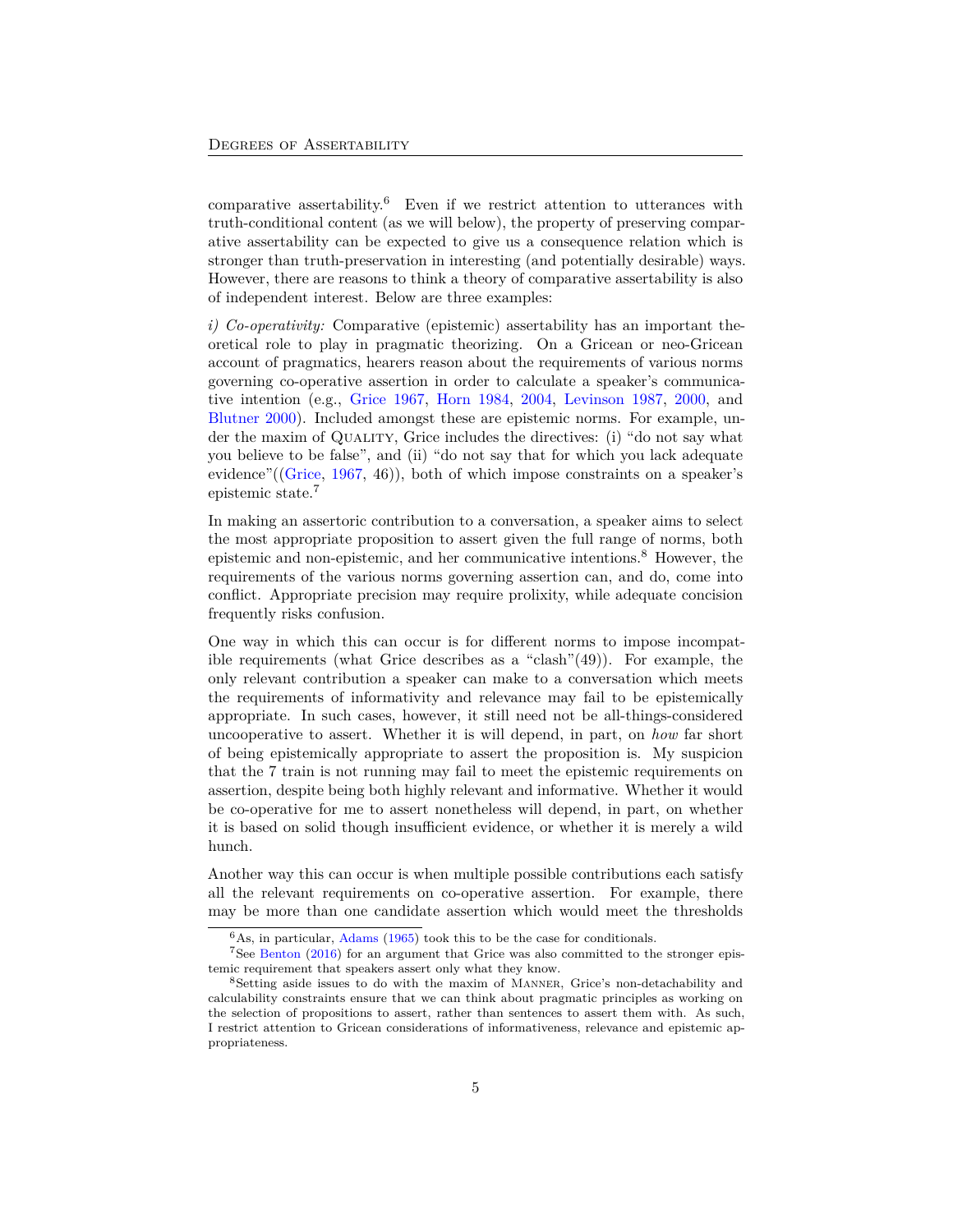comparative assertability.<sup>[6](#page-4-0)</sup> Even if we restrict attention to utterances with truth-conditional content (as we will below), the property of preserving comparative assertability can be expected to give us a consequence relation which is stronger than truth-preservation in interesting (and potentially desirable) ways. However, there are reasons to think a theory of comparative assertability is also of independent interest. Below are three examples:

*i) Co-operativity:* Comparative (epistemic) assertability has an important theoretical role to play in pragmatic theorizing. On a Gricean or neo-Gricean account of pragmatics, hearers reason about the requirements of various norms governing co-operative assertion in order to calculate a speaker's communicative intention (e.g., [Grice](#page-36-6) [1967,](#page-36-6) [Horn](#page-37-5) [1984](#page-37-5), [2004,](#page-37-6) [Levinson](#page-37-7) [1987](#page-37-7), [2000,](#page-37-8) and [Blutner](#page-35-4) [2000](#page-35-4)). Included amongst these are epistemic norms. For example, under the maxim of QUALITY, Grice includes the directives: (i) "do not say what you believe to be false", and (ii) "do not say that for which you lack adequate evidence"([\(Grice](#page-36-6), [1967,](#page-36-6) 46)), both of which impose constraints on a speaker's epistemic state.[7](#page-4-1)

In making an assertoric contribution to a conversation, a speaker aims to select the most appropriate proposition to assert given the full range of norms, both epistemic and non-epistemic, and her communicative intentions.<sup>[8](#page-4-2)</sup> However, the requirements of the various norms governing assertion can, and do, come into conflict. Appropriate precision may require prolixity, while adequate concision frequently risks confusion.

One way in which this can occur is for different norms to impose incompatible requirements (what Grice describes as a "clash" $(49)$ ). For example, the only relevant contribution a speaker can make to a conversation which meets the requirements of informativity and relevance may fail to be epistemically appropriate. In such cases, however, it still need not be all-things-considered uncooperative to assert. Whether it is will depend, in part, on *how* far short of being epistemically appropriate to assert the proposition is. My suspicion that the 7 train is not running may fail to meet the epistemic requirements on assertion, despite being both highly relevant and informative. Whether it would be co-operative for me to assert nonetheless will depend, in part, on whether it is based on solid though insufficient evidence, or whether it is merely a wild hunch.

Another way this can occur is when multiple possible contributions each satisfy all the relevant requirements on co-operative assertion. For example, there may be more than one candidate assertion which would meet the thresholds

<span id="page-4-1"></span><span id="page-4-0"></span> $6$ As, in particular, [Adams](#page-35-2) [\(1965](#page-35-2)) took this to be the case for conditionals.

<sup>7</sup>See [Benton](#page-35-5) ([2016\)](#page-35-5) for an argument that Grice was also committed to the stronger epistemic requirement that speakers assert only what they know.

<span id="page-4-2"></span><sup>8</sup>Setting aside issues to do with the maxim of Manner, Grice's non-detachability and calculability constraints ensure that we can think about pragmatic principles as working on the selection of propositions to assert, rather than sentences to assert them with. As such, I restrict attention to Gricean considerations of informativeness, relevance and epistemic appropriateness.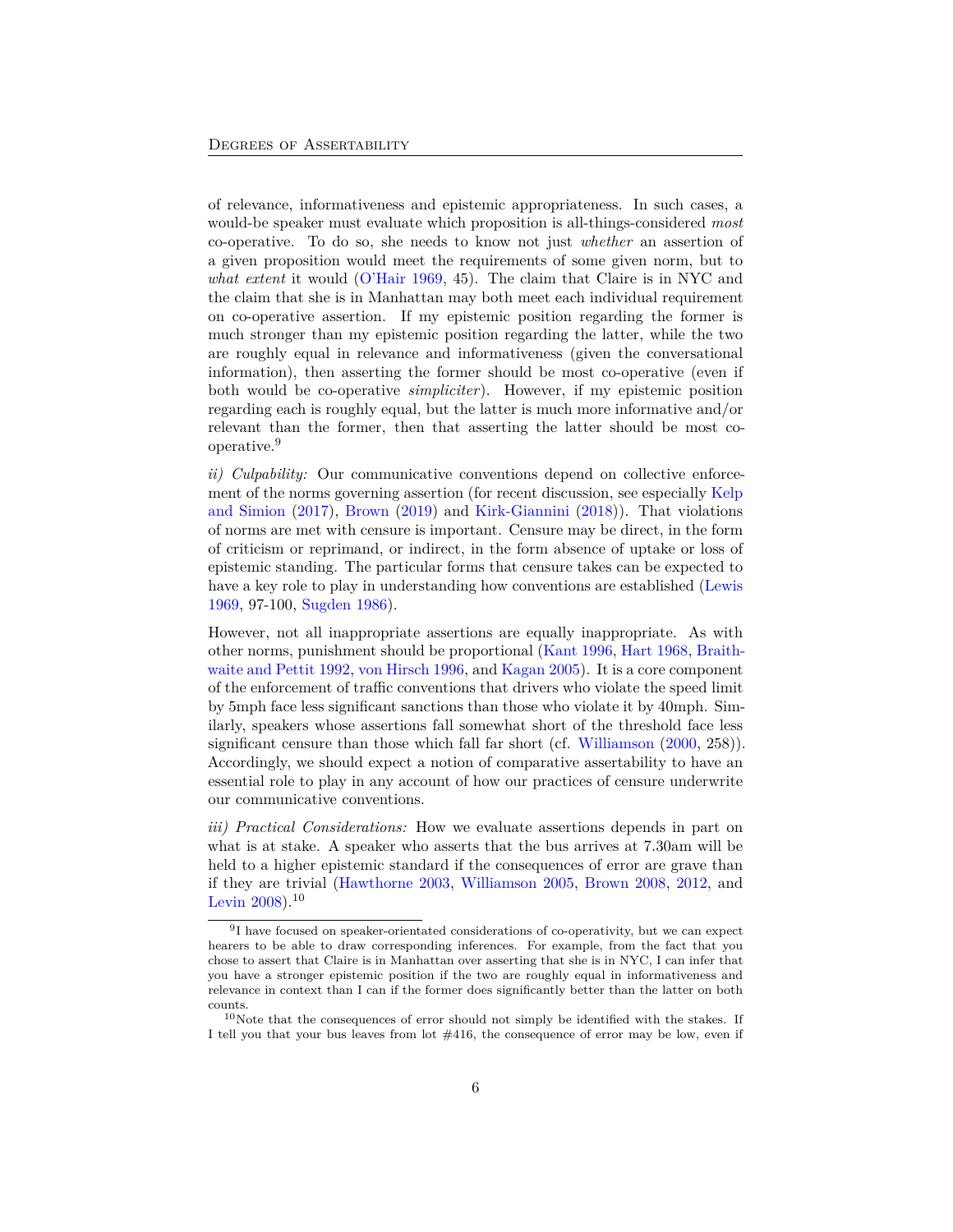of relevance, informativeness and epistemic appropriateness. In such cases, a would-be speaker must evaluate which proposition is all-things-considered *most* co-operative. To do so, she needs to know not just *whether* an assertion of a given proposition would meet the requirements of some given norm, but to *what extent* it would [\(O'Hair](#page-38-11) [1969](#page-38-11), 45). The claim that Claire is in NYC and the claim that she is in Manhattan may both meet each individual requirement on co-operative assertion. If my epistemic position regarding the former is much stronger than my epistemic position regarding the latter, while the two are roughly equal in relevance and informativeness (given the conversational information), then asserting the former should be most co-operative (even if both would be co-operative *simpliciter*). However, if my epistemic position regarding each is roughly equal, but the latter is much more informative and/or relevant than the former, then that asserting the latter should be most cooperative.[9](#page-5-0)

*ii) Culpability:* Our communicative conventions depend on collective enforcement of the norms governing assertion (for recent discussion, see especially [Kelp](#page-37-9) [and Simion](#page-37-9) [\(2017](#page-37-9)), [Brown](#page-36-7) ([2019\)](#page-36-7) and [Kirk-Giannini](#page-37-10) ([2018\)](#page-37-10)). That violations of norms are met with censure is important. Censure may be direct, in the form of criticism or reprimand, or indirect, in the form absence of uptake or loss of epistemic standing. The particular forms that censure takes can be expected to have a key role to play in understanding how conventions are established ([Lewis](#page-38-12) [1969,](#page-38-12) 97-100, [Sugden](#page-39-1) [1986\)](#page-39-1).

However, not all inappropriate assertions are equally inappropriate. As with other norms, punishment should be proportional [\(Kant](#page-37-11) [1996,](#page-37-11) [Hart](#page-36-8) [1968](#page-36-8), [Braith](#page-35-6)[waite and Pettit](#page-35-6) [1992,](#page-35-6) [von Hirsch](#page-40-1) [1996](#page-40-1), and [Kagan](#page-37-12) [2005\)](#page-37-12). It is a core component of the enforcement of traffic conventions that drivers who violate the speed limit by 5mph face less significant sanctions than those who violate it by 40mph. Similarly, speakers whose assertions fall somewhat short of the threshold face less significant censure than those which fall far short (cf. [Williamson](#page-40-0) ([2000,](#page-40-0) 258)). Accordingly, we should expect a notion of comparative assertability to have an essential role to play in any account of how our practices of censure underwrite our communicative conventions.

*iii) Practical Considerations:* How we evaluate assertions depends in part on what is at stake. A speaker who asserts that the bus arrives at 7.30am will be held to a higher epistemic standard if the consequences of error are grave than if they are trivial ([Hawthorne](#page-36-9) [2003](#page-36-9), [Williamson](#page-40-2) [2005,](#page-40-2) [Brown](#page-35-7) [2008](#page-35-7), [2012,](#page-35-8) and [Levin](#page-37-13) [2008](#page-37-13)).<sup>[10](#page-5-1)</sup>

<span id="page-5-0"></span><sup>&</sup>lt;sup>9</sup>I have focused on speaker-orientated considerations of co-operativity, but we can expect hearers to be able to draw corresponding inferences. For example, from the fact that you chose to assert that Claire is in Manhattan over asserting that she is in NYC, I can infer that you have a stronger epistemic position if the two are roughly equal in informativeness and relevance in context than I can if the former does significantly better than the latter on both counts.

<span id="page-5-1"></span> $^{10}\rm{Note}$  that the consequences of error should not simply be identified with the stakes. If I tell you that your bus leaves from lot #416, the consequence of error may be low, even if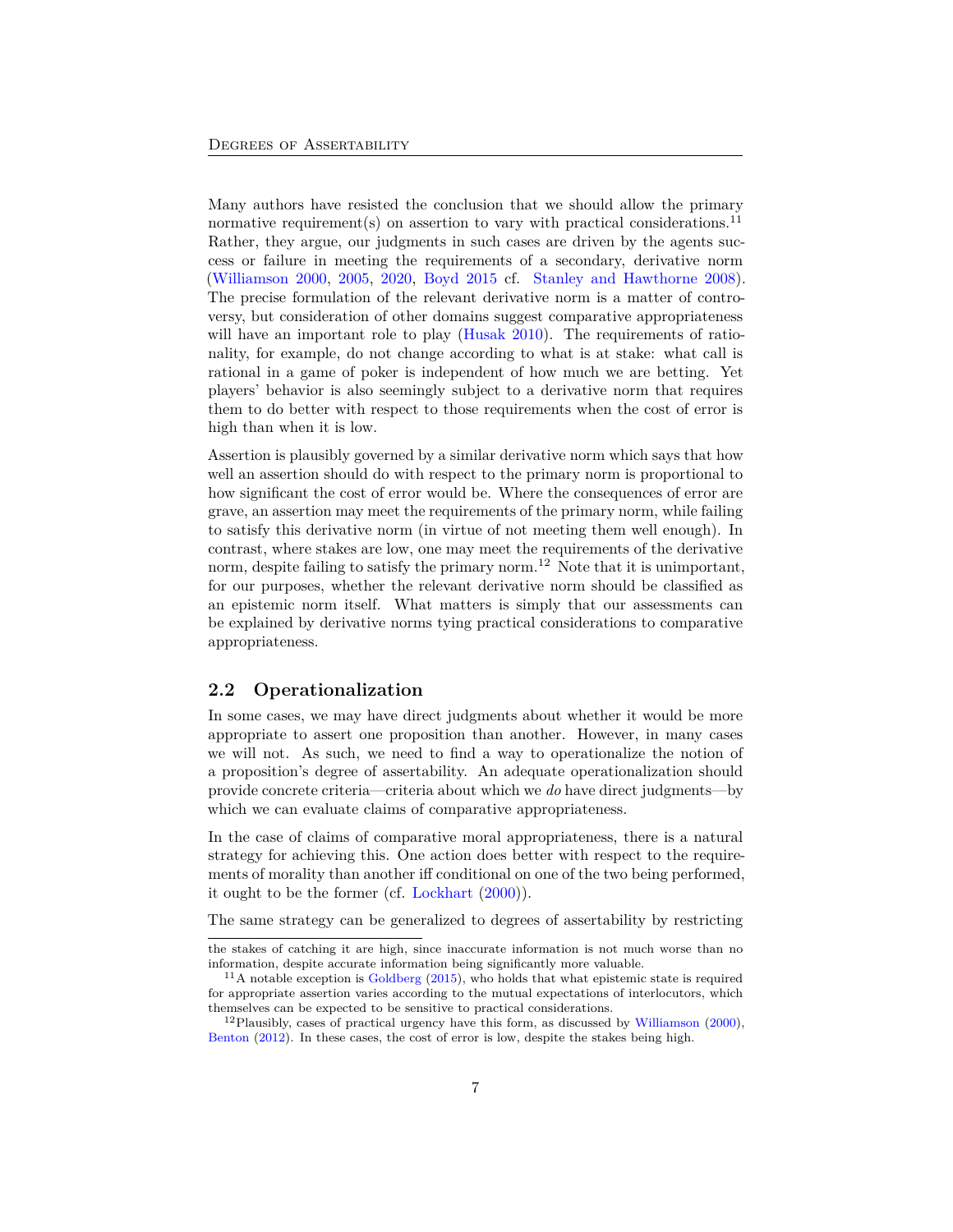Many authors have resisted the conclusion that we should allow the primary normative requirement(s) on assertion to vary with practical considerations.<sup>[11](#page-6-0)</sup> Rather, they argue, our judgments in such cases are driven by the agents success or failure in meeting the requirements of a secondary, derivative norm [\(Williamson](#page-40-0) [2000](#page-40-0), [2005](#page-40-2), [2020,](#page-40-3) [Boyd](#page-35-9) [2015](#page-35-9) cf. [Stanley and Hawthorne](#page-39-2) [2008\)](#page-39-2). The precise formulation of the relevant derivative norm is a matter of controversy, but consideration of other domains suggest comparative appropriateness will have an important role to play ([Husak](#page-37-14) [2010](#page-37-14)). The requirements of rationality, for example, do not change according to what is at stake: what call is rational in a game of poker is independent of how much we are betting. Yet players' behavior is also seemingly subject to a derivative norm that requires them to do better with respect to those requirements when the cost of error is high than when it is low.

Assertion is plausibly governed by a similar derivative norm which says that how well an assertion should do with respect to the primary norm is proportional to how significant the cost of error would be. Where the consequences of error are grave, an assertion may meet the requirements of the primary norm, while failing to satisfy this derivative norm (in virtue of not meeting them well enough). In contrast, where stakes are low, one may meet the requirements of the derivative norm, despite failing to satisfy the primary norm.<sup>[12](#page-6-1)</sup> Note that it is unimportant, for our purposes, whether the relevant derivative norm should be classified as an epistemic norm itself. What matters is simply that our assessments can be explained by derivative norms tying practical considerations to comparative appropriateness.

#### **2.2 Operationalization**

In some cases, we may have direct judgments about whether it would be more appropriate to assert one proposition than another. However, in many cases we will not. As such, we need to find a way to operationalize the notion of a proposition's degree of assertability. An adequate operationalization should provide concrete criteria—criteria about which we *do* have direct judgments—by which we can evaluate claims of comparative appropriateness.

In the case of claims of comparative moral appropriateness, there is a natural strategy for achieving this. One action does better with respect to the requirements of morality than another iff conditional on one of the two being performed, it ought to be the former (cf. [Lockhart](#page-38-0) [\(2000](#page-38-0))).

The same strategy can be generalized to degrees of assertability by restricting

the stakes of catching it are high, since inaccurate information is not much worse than no information, despite accurate information being significantly more valuable.

<span id="page-6-0"></span> $11$ A notable exception is [Goldberg](#page-36-10) ([2015\)](#page-36-10), who holds that what epistemic state is required for appropriate assertion varies according to the mutual expectations of interlocutors, which themselves can be expected to be sensitive to practical considerations.

<span id="page-6-1"></span><sup>&</sup>lt;sup>12</sup>Plausibly, cases of practical urgency have this form, as discussed by [Williamson](#page-40-0) [\(2000](#page-40-0)), [Benton](#page-35-10) [\(2012](#page-35-10)). In these cases, the cost of error is low, despite the stakes being high.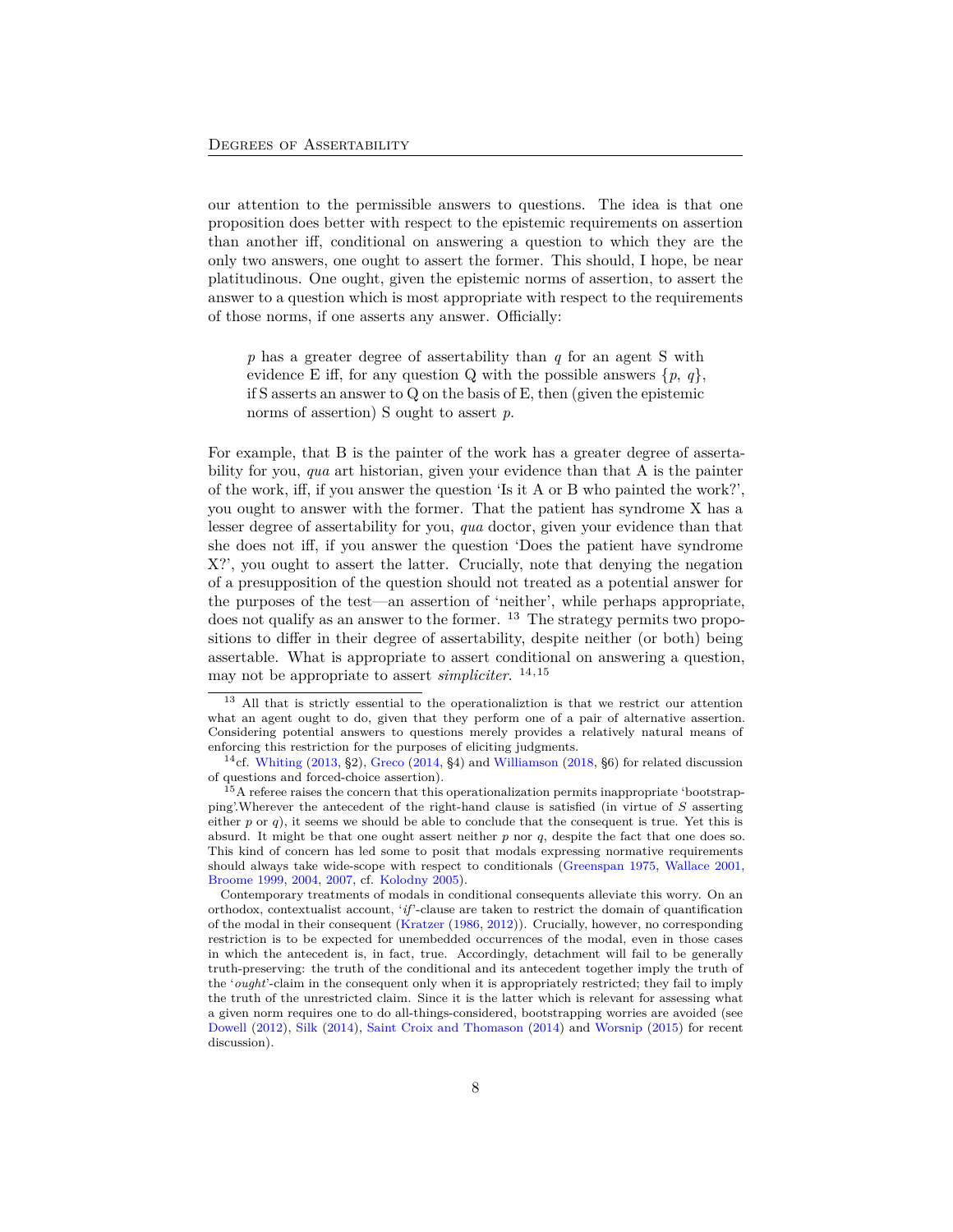our attention to the permissible answers to questions. The idea is that one proposition does better with respect to the epistemic requirements on assertion than another iff, conditional on answering a question to which they are the only two answers, one ought to assert the former. This should, I hope, be near platitudinous. One ought, given the epistemic norms of assertion, to assert the answer to a question which is most appropriate with respect to the requirements of those norms, if one asserts any answer. Officially:

*p* has a greater degree of assertability than *q* for an agent S with evidence E iff, for any question Q with the possible answers  $\{p, q\}$ , if S asserts an answer to Q on the basis of E, then (given the epistemic norms of assertion) S ought to assert *p*.

For example, that B is the painter of the work has a greater degree of assertability for you, *qua* art historian, given your evidence than that A is the painter of the work, iff, if you answer the question 'Is it A or B who painted the work?', you ought to answer with the former. That the patient has syndrome X has a lesser degree of assertability for you, *qua* doctor, given your evidence than that she does not iff, if you answer the question 'Does the patient have syndrome X?', you ought to assert the latter. Crucially, note that denying the negation of a presupposition of the question should not treated as a potential answer for the purposes of the test—an assertion of 'neither', while perhaps appropriate, does not qualify as an answer to the former. <sup>[13](#page-7-0)</sup> The strategy permits two propositions to differ in their degree of assertability, despite neither (or both) being assertable. What is appropriate to assert conditional on answering a question, may not be appropriate to assert *simpliciter*. [14](#page-7-1)*,*[15](#page-7-2)

Contemporary treatments of modals in conditional consequents alleviate this worry. On an orthodox, contextualist account, '*if*'-clause are taken to restrict the domain of quantification of the modal in their consequent ([Kratzer](#page-37-16) [\(1986](#page-37-16), [2012\)](#page-37-17)). Crucially, however, no corresponding restriction is to be expected for unembedded occurrences of the modal, even in those cases in which the antecedent is, in fact, true. Accordingly, detachment will fail to be generally truth-preserving: the truth of the conditional and its antecedent together imply the truth of the '*ought*'-claim in the consequent only when it is appropriately restricted; they fail to imply the truth of the unrestricted claim. Since it is the latter which is relevant for assessing what a given norm requires one to do all-things-considered, bootstrapping worries are avoided (see [Dowell](#page-36-13) ([2012\)](#page-36-13), [Silk](#page-38-13) [\(2014](#page-38-13)), [Saint Croix and Thomason](#page-38-14) ([2014\)](#page-38-14) and [Worsnip](#page-40-7) [\(2015](#page-40-7)) for recent discussion).

<span id="page-7-0"></span><sup>13</sup> All that is strictly essential to the operationaliztion is that we restrict our attention what an agent ought to do, given that they perform one of a pair of alternative assertion. Considering potential answers to questions merely provides a relatively natural means of enforcing this restriction for the purposes of eliciting judgments.

<span id="page-7-1"></span><sup>&</sup>lt;sup>14</sup>cf. [Whiting](#page-40-4) ([2013,](#page-40-4) §2), [Greco](#page-36-11) ([2014](#page-36-11), §4) and [Williamson](#page-40-5) ([2018,](#page-40-5) §6) for related discussion of questions and forced-choice assertion).

<span id="page-7-2"></span> $15A$  referee raises the concern that this operationalization permits inappropriate 'bootstrapping'.Wherever the antecedent of the right-hand clause is satisfied (in virtue of *S* asserting either  $p$  or  $q$ ), it seems we should be able to conclude that the consequent is true. Yet this is absurd. It might be that one ought assert neither *p* nor *q*, despite the fact that one does so. This kind of concern has led some to posit that modals expressing normative requirements should always take wide-scope with respect to conditionals [\(Greenspan](#page-36-12) [1975](#page-36-12), [Wallace](#page-40-6) [2001](#page-40-6), [Broome](#page-35-11) [1999](#page-35-11), [2004](#page-35-12), [2007,](#page-35-13) cf. [Kolodny](#page-37-15) [2005\)](#page-37-15).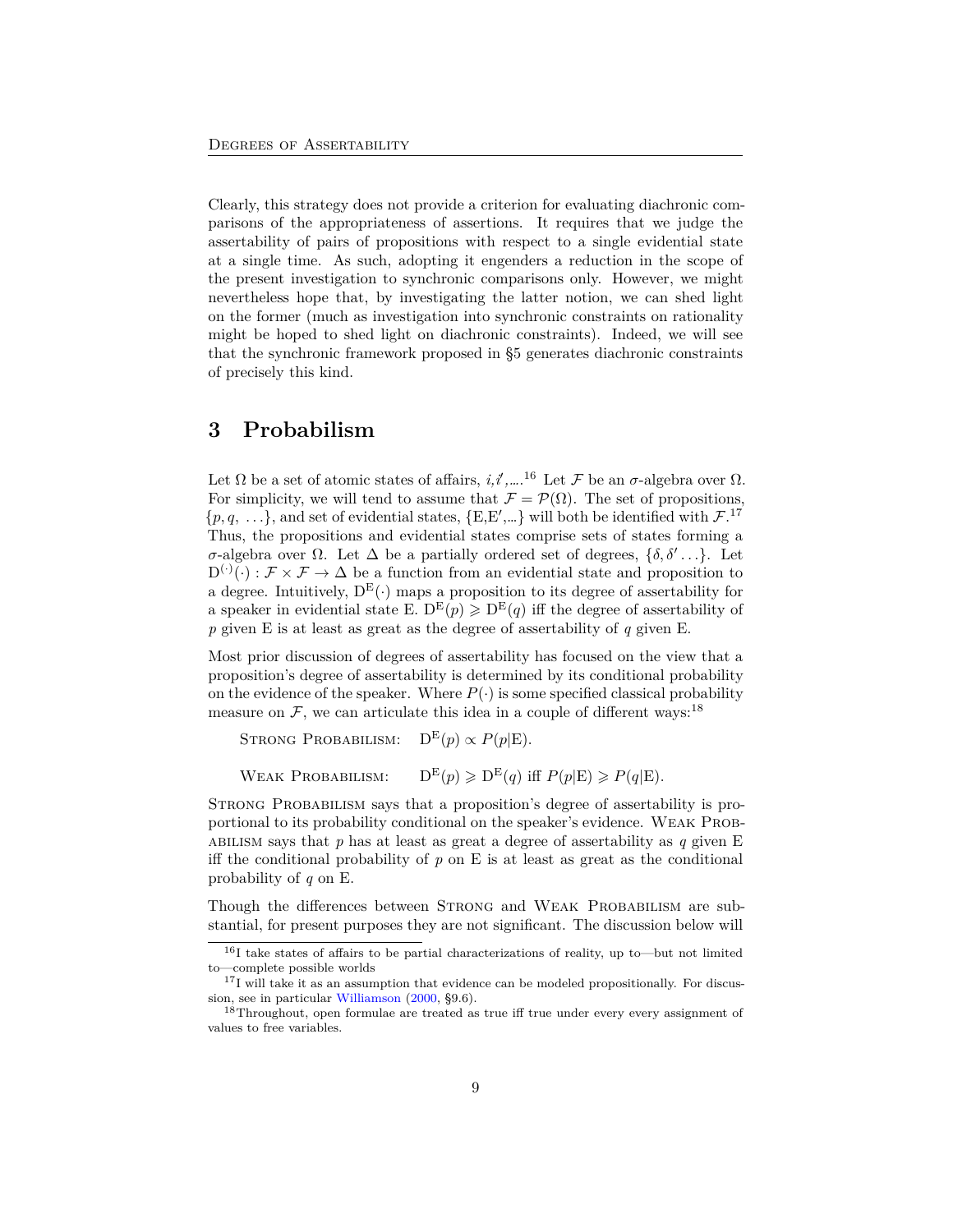Clearly, this strategy does not provide a criterion for evaluating diachronic comparisons of the appropriateness of assertions. It requires that we judge the assertability of pairs of propositions with respect to a single evidential state at a single time. As such, adopting it engenders a reduction in the scope of the present investigation to synchronic comparisons only. However, we might nevertheless hope that, by investigating the latter notion, we can shed light on the former (much as investigation into synchronic constraints on rationality might be hoped to shed light on diachronic constraints). Indeed, we will see that the synchronic framework proposed in §[5](#page-22-0) generates diachronic constraints of precisely this kind.

# <span id="page-8-0"></span>**3 Probabilism**

Let  $\Omega$  be a set of atomic states of affairs,  $i, i', \dots$ <sup>[16](#page-8-1)</sup> Let  $\mathcal F$  be an  $\sigma$ -algebra over  $\Omega$ . For simplicity, we will tend to assume that  $\mathcal{F} = \mathcal{P}(\Omega)$ . The set of propositions,  $\{p, q, \ldots\}$ , and set of evidential states,  $\{E, E', \ldots\}$  will both be identified with  $\mathcal{F}$ .<sup>[17](#page-8-2)</sup> Thus, the propositions and evidential states comprise sets of states forming a *σ*-algebra over Ω. Let  $\Delta$  be a partially ordered set of degrees,  $\{\delta, \delta', \ldots\}$ . Let  $D^{(\cdot)}(\cdot): \mathcal{F} \times \mathcal{F} \to \Delta$  be a function from an evidential state and proposition to a degree. Intuitively,  $D^{E}(\cdot)$  maps a proposition to its degree of assertability for a speaker in evidential state E.  $D^{E}(p) \geq D^{E}(q)$  iff the degree of assertability of *p* given E is at least as great as the degree of assertability of *q* given E.

Most prior discussion of degrees of assertability has focused on the view that a proposition's degree of assertability is determined by its conditional probability on the evidence of the speaker. Where  $P(\cdot)$  is some specified classical probability measure on  $\mathcal{F}$ , we can articulate this idea in a couple of different ways:<sup>[18](#page-8-3)</sup>

STRONG PROBABILISM:  $D^{E}(p) \propto P(p|E)$ .

WEAK PROBABILISM:  $D^{E}(p) \ge D^{E}(q)$  iff  $P(p|E) \ge P(q|E)$ .

STRONG PROBABILISM says that a proposition's degree of assertability is proportional to its probability conditional on the speaker's evidence. Weak Probabilism says that *p* has at least as great a degree of assertability as *q* given E iff the conditional probability of  $p$  on  $E$  is at least as great as the conditional probability of *q* on E.

Though the differences between STRONG and WEAK PROBABILISM are substantial, for present purposes they are not significant. The discussion below will

<span id="page-8-1"></span> $16I$  take states of affairs to be partial characterizations of reality, up to—but not limited to—complete possible worlds

<span id="page-8-2"></span> $17$ I will take it as an assumption that evidence can be modeled propositionally. For discussion, see in particular [Williamson](#page-40-0) ([2000,](#page-40-0) §9.6).

<span id="page-8-3"></span><sup>18</sup>Throughout, open formulae are treated as true iff true under every every assignment of values to free variables.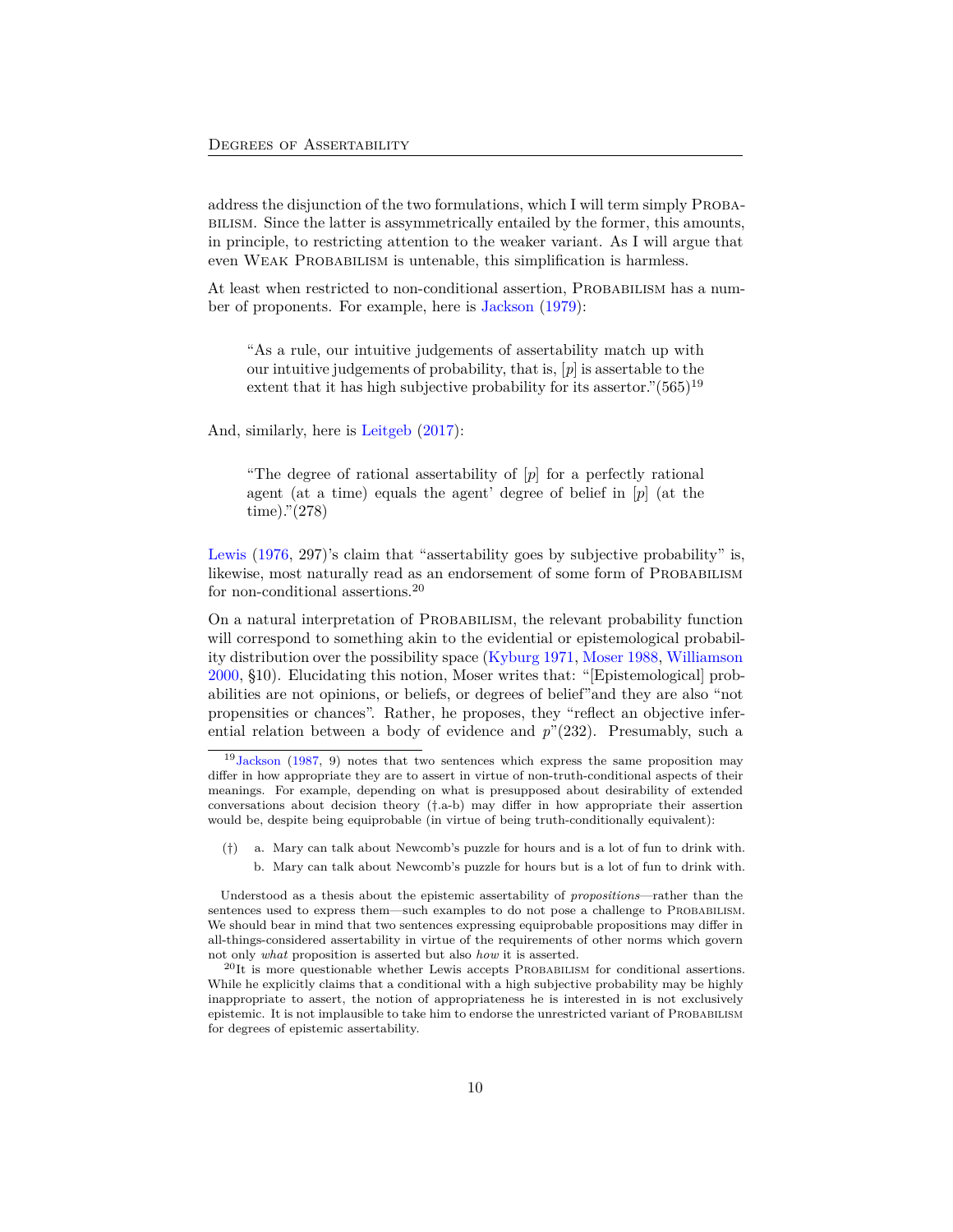address the disjunction of the two formulations, which I will term simply Probabilism. Since the latter is assymmetrically entailed by the former, this amounts, in principle, to restricting attention to the weaker variant. As I will argue that even WEAK PROBABILISM is untenable, this simplification is harmless.

At least when restricted to non-conditional assertion, PROBABILISM has a number of proponents. For example, here is [Jackson](#page-37-3) [\(1979](#page-37-3)):

"As a rule, our intuitive judgements of assertability match up with our intuitive judgements of probability, that is, [*p*] is assertable to the extent that it has high subjective probability for its assertor." $(565)^{19}$  $(565)^{19}$  $(565)^{19}$ 

And, similarly, here is [Leitgeb](#page-37-4) ([2017\)](#page-37-4):

"The degree of rational assertability of [*p*] for a perfectly rational agent (at a time) equals the agent' degree of belief in [*p*] (at the time)."(278)

[Lewis](#page-37-2) ([1976,](#page-37-2) 297)'s claim that "assertability goes by subjective probability" is, likewise, most naturally read as an endorsement of some form of PROBABILISM for non-conditional assertions.[20](#page-9-1)

On a natural interpretation of Probabilism, the relevant probability function will correspond to something akin to the evidential or epistemological probability distribution over the possibility space ([Kyburg](#page-37-18) [1971](#page-37-18), [Moser](#page-38-15) [1988](#page-38-15), [Williamson](#page-40-0) [2000,](#page-40-0) §10). Elucidating this notion, Moser writes that: "[Epistemological] probabilities are not opinions, or beliefs, or degrees of belief"and they are also "not propensities or chances". Rather, he proposes, they "reflect an objective inferential relation between a body of evidence and *p*"(232). Presumably, such a

(*†*) a. Mary can talk about Newcomb's puzzle for hours and is a lot of fun to drink with. b. Mary can talk about Newcomb's puzzle for hours but is a lot of fun to drink with.

<span id="page-9-0"></span><sup>19</sup>[Jackson](#page-37-1) ([1987,](#page-37-1) 9) notes that two sentences which express the same proposition may differ in how appropriate they are to assert in virtue of non-truth-conditional aspects of their meanings. For example, depending on what is presupposed about desirability of extended conversations about decision theory (*†*.a-b) may differ in how appropriate their assertion would be, despite being equiprobable (in virtue of being truth-conditionally equivalent):

Understood as a thesis about the epistemic assertability of *propositions*—rather than the sentences used to express them—such examples to do not pose a challenge to PROBABILISM. We should bear in mind that two sentences expressing equiprobable propositions may differ in all-things-considered assertability in virtue of the requirements of other norms which govern not only *what* proposition is asserted but also *how* it is asserted.

<span id="page-9-1"></span> $^{20}$ It is more questionable whether Lewis accepts PROBABILISM for conditional assertions. While he explicitly claims that a conditional with a high subjective probability may be highly inappropriate to assert, the notion of appropriateness he is interested in is not exclusively epistemic. It is not implausible to take him to endorse the unrestricted variant of Probabilism for degrees of epistemic assertability.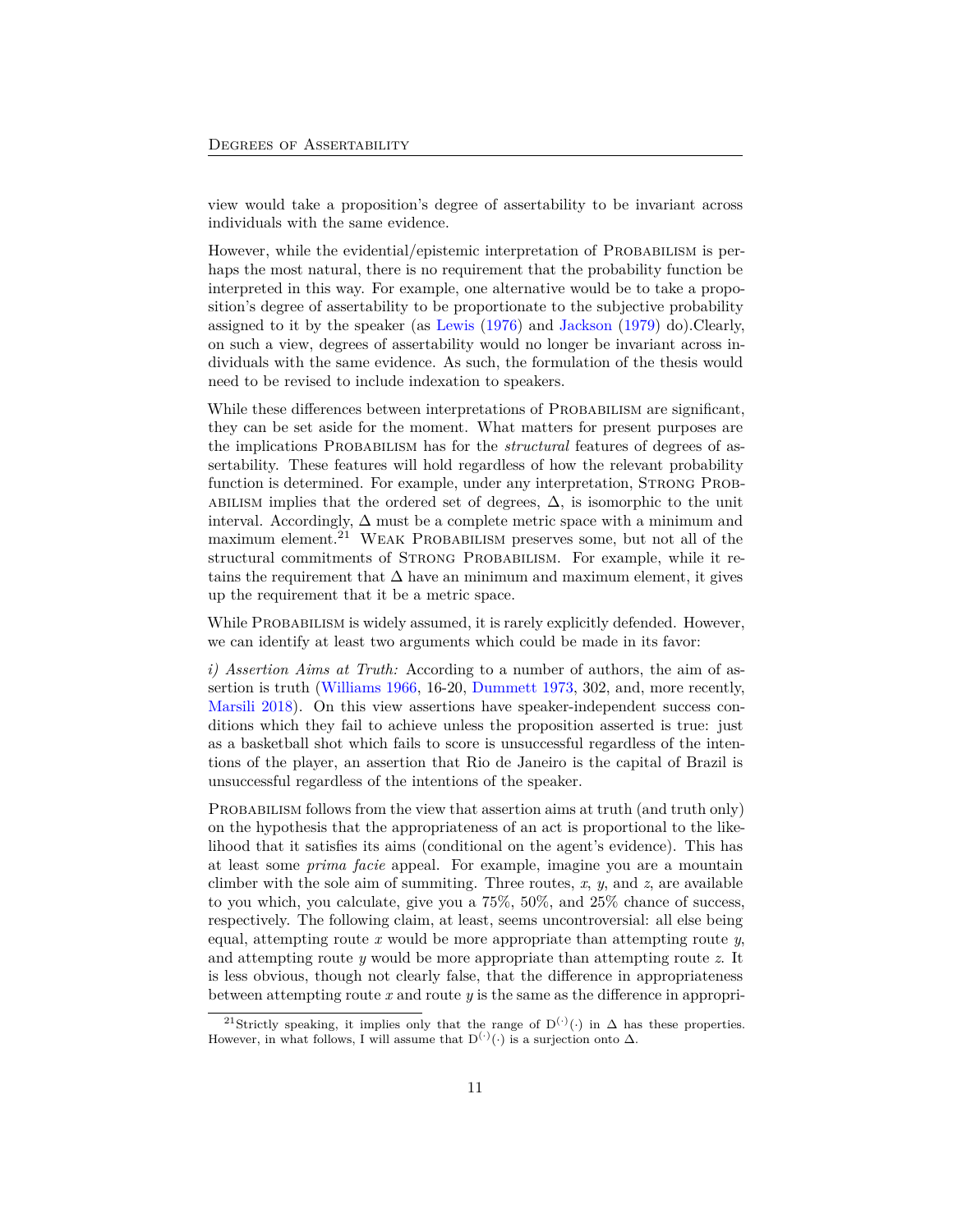view would take a proposition's degree of assertability to be invariant across individuals with the same evidence.

However, while the evidential/epistemic interpretation of PROBABILISM is perhaps the most natural, there is no requirement that the probability function be interpreted in this way. For example, one alternative would be to take a proposition's degree of assertability to be proportionate to the subjective probability assigned to it by the speaker (as [Lewis](#page-37-2) [\(1976](#page-37-2)) and [Jackson](#page-37-3) [\(1979\)](#page-37-3) do).Clearly, on such a view, degrees of assertability would no longer be invariant across individuals with the same evidence. As such, the formulation of the thesis would need to be revised to include indexation to speakers.

While these differences between interpretations of PROBABILISM are significant, they can be set aside for the moment. What matters for present purposes are the implications Probabilism has for the *structural* features of degrees of assertability. These features will hold regardless of how the relevant probability function is determined. For example, under any interpretation, STRONG PROB-ABILISM implies that the ordered set of degrees,  $\Delta$ , is isomorphic to the unit interval. Accordingly,  $\Delta$  must be a complete metric space with a minimum and maximum element.<sup>[21](#page-10-0)</sup> WEAK PROBABILISM preserves some, but not all of the structural commitments of STRONG PROBABILISM. For example, while it retains the requirement that  $\Delta$  have an minimum and maximum element, it gives up the requirement that it be a metric space.

While PROBABILISM is widely assumed, it is rarely explicitly defended. However, we can identify at least two arguments which could be made in its favor:

*i) Assertion Aims at Truth:* According to a number of authors, the aim of assertion is truth [\(Williams](#page-40-8) [1966](#page-40-8), 16-20, [Dummett](#page-36-14) [1973,](#page-36-14) 302, and, more recently, [Marsili](#page-38-16) [2018](#page-38-16)). On this view assertions have speaker-independent success conditions which they fail to achieve unless the proposition asserted is true: just as a basketball shot which fails to score is unsuccessful regardless of the intentions of the player, an assertion that Rio de Janeiro is the capital of Brazil is unsuccessful regardless of the intentions of the speaker.

PROBABILISM follows from the view that assertion aims at truth (and truth only) on the hypothesis that the appropriateness of an act is proportional to the likelihood that it satisfies its aims (conditional on the agent's evidence). This has at least some *prima facie* appeal. For example, imagine you are a mountain climber with the sole aim of summiting. Three routes, *x*, *y*, and *z*, are available to you which, you calculate, give you a 75%, 50%, and 25% chance of success, respectively. The following claim, at least, seems uncontroversial: all else being equal, attempting route *x* would be more appropriate than attempting route *y*, and attempting route *y* would be more appropriate than attempting route *z*. It is less obvious, though not clearly false, that the difference in appropriateness between attempting route *x* and route *y* is the same as the difference in appropri-

<span id="page-10-0"></span><sup>&</sup>lt;sup>21</sup>Strictly speaking, it implies only that the range of  $D^{(.)}(\cdot)$  in  $\Delta$  has these properties. However, in what follows, I will assume that  $D^{(·)}(·)$  is a surjection onto  $\Delta$ .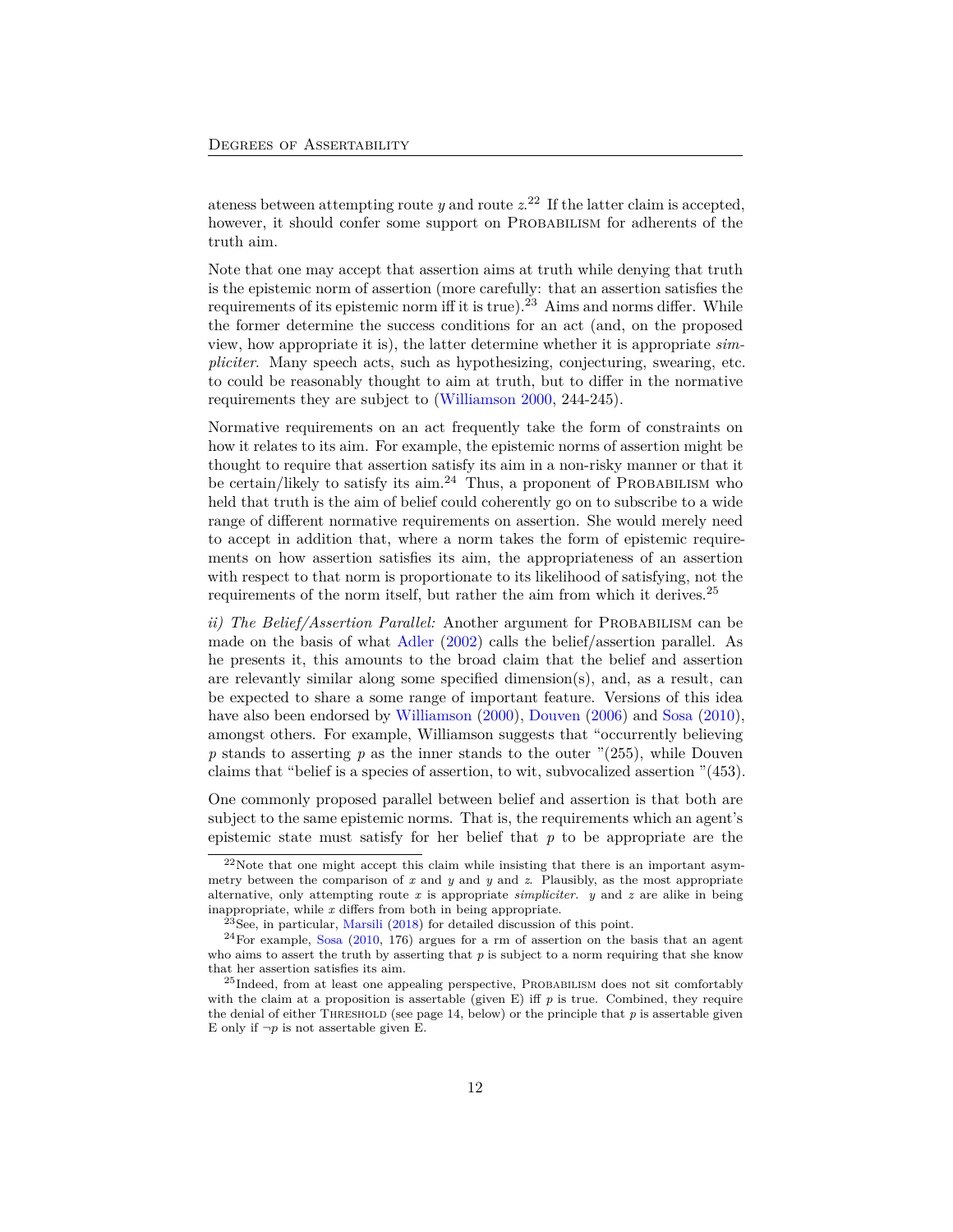ateness between attempting route *y* and route *z*. [22](#page-11-0) If the latter claim is accepted, however, it should confer some support on PROBABILISM for adherents of the truth aim.

Note that one may accept that assertion aims at truth while denying that truth is the epistemic norm of assertion (more carefully: that an assertion satisfies the requirements of its epistemic norm iff it is true).[23](#page-11-1) Aims and norms differ. While the former determine the success conditions for an act (and, on the proposed view, how appropriate it is), the latter determine whether it is appropriate *simpliciter*. Many speech acts, such as hypothesizing, conjecturing, swearing, etc. to could be reasonably thought to aim at truth, but to differ in the normative requirements they are subject to ([Williamson](#page-40-0) [2000,](#page-40-0) 244-245).

Normative requirements on an act frequently take the form of constraints on how it relates to its aim. For example, the epistemic norms of assertion might be thought to require that assertion satisfy its aim in a non-risky manner or that it be certain/likely to satisfy its aim. $^{24}$  $^{24}$  $^{24}$  Thus, a proponent of PROBABILISM who held that truth is the aim of belief could coherently go on to subscribe to a wide range of different normative requirements on assertion. She would merely need to accept in addition that, where a norm takes the form of epistemic requirements on how assertion satisfies its aim, the appropriateness of an assertion with respect to that norm is proportionate to its likelihood of satisfying, not the requirements of the norm itself, but rather the aim from which it derives.<sup>[25](#page-11-3)</sup>

*ii) The Belief/Assertion Parallel:* Another argument for PROBABILISM can be made on the basis of what [Adler](#page-35-14) ([2002\)](#page-35-14) calls the belief/assertion parallel. As he presents it, this amounts to the broad claim that the belief and assertion are relevantly similar along some specified dimension(s), and, as a result, can be expected to share a some range of important feature. Versions of this idea have also been endorsed by [Williamson](#page-40-0) [\(2000](#page-40-0)), [Douven](#page-36-15) ([2006\)](#page-36-15) and [Sosa](#page-39-3) [\(2010](#page-39-3)), amongst others. For example, Williamson suggests that "occurrently believing *p* stands to asserting *p* as the inner stands to the outer "(255), while Douven claims that "belief is a species of assertion, to wit, subvocalized assertion "(453).

One commonly proposed parallel between belief and assertion is that both are subject to the same epistemic norms. That is, the requirements which an agent's epistemic state must satisfy for her belief that *p* to be appropriate are the

<span id="page-11-0"></span> $22$ Note that one might accept this claim while insisting that there is an important asymmetry between the comparison of  $x$  and  $y$  and  $y$  and  $z$ . Plausibly, as the most appropriate alternative, only attempting route *x* is appropriate *simpliciter*. *y* and *z* are alike in being inappropriate, while *x* differs from both in being appropriate.

<span id="page-11-2"></span><span id="page-11-1"></span> $23$ See, in particular, [Marsili](#page-38-16) [\(2018](#page-38-16)) for detailed discussion of this point.

 $24$ For example, [Sosa](#page-39-3) ([2010,](#page-39-3) 176) argues for a rm of assertion on the basis that an agent who aims to assert the truth by asserting that *p* is subject to a norm requiring that she know that her assertion satisfies its aim.

<span id="page-11-3"></span> $^{25}\rm{Indeed,}$  from at least one appealing perspective, PROBABILISM does not sit comfortably with the claim at a proposition is assertable (given E) iff *p* is true. Combined, they require the denial of either THRESHOLD (see page [14,](#page-12-1) below) or the principle that p is assertable given E only if  $\neg p$  is not assertable given E.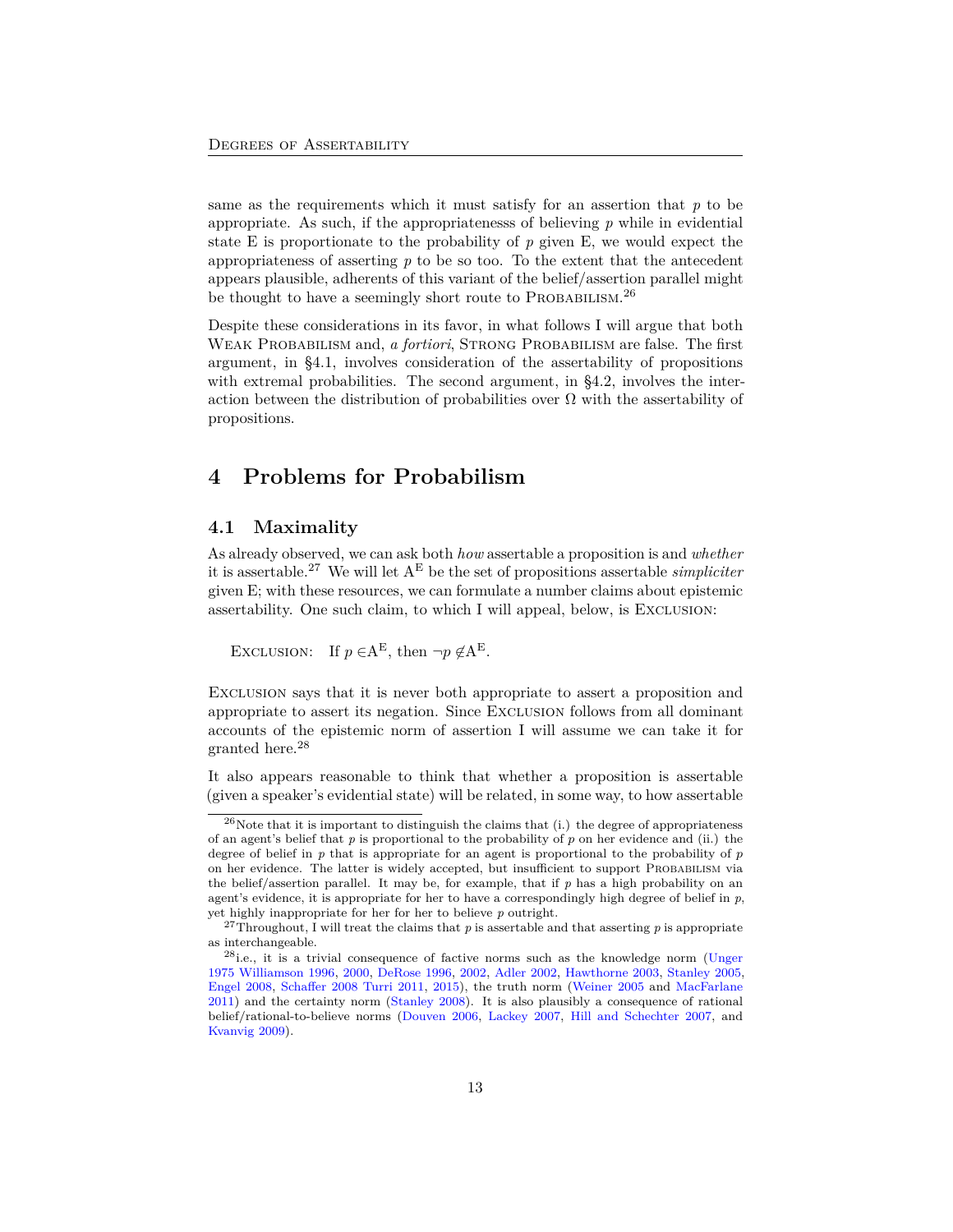same as the requirements which it must satisfy for an assertion that *p* to be appropriate. As such, if the appropriatenesss of believing *p* while in evidential state E is proportionate to the probability of *p* given E, we would expect the appropriateness of asserting *p* to be so too. To the extent that the antecedent appears plausible, adherents of this variant of the belief/assertion parallel might be thought to have a seemingly short route to PROBABILISM.<sup>[26](#page-12-2)</sup>

Despite these considerations in its favor, in what follows I will argue that both Weak Probabilism and, *a fortiori*, Strong Probabilism are false. The first argument, in §[4.1,](#page-12-1) involves consideration of the assertability of propositions with extremal probabilities. The second argument, in [§4.2](#page-19-0), involves the interaction between the distribution of probabilities over  $\Omega$  with the assertability of propositions.

# <span id="page-12-0"></span>**4 Problems for Probabilism**

#### <span id="page-12-1"></span>**4.1 Maximality**

As already observed, we can ask both *how* assertable a proposition is and *whether* it is assertable.<sup>[27](#page-12-3)</sup> We will let  $A^E$  be the set of propositions assertable *simpliciter* given E; with these resources, we can formulate a number claims about epistemic assertability. One such claim, to which I will appeal, below, is Exclusion:

EXCLUSION: If  $p \in A^E$ , then  $\neg p \notin A^E$ .

Exclusion says that it is never both appropriate to assert a proposition and appropriate to assert its negation. Since Exclusion follows from all dominant accounts of the epistemic norm of assertion I will assume we can take it for granted here.[28](#page-12-4)

It also appears reasonable to think that whether a proposition is assertable (given a speaker's evidential state) will be related, in some way, to how assertable

<span id="page-12-2"></span><sup>&</sup>lt;sup>26</sup>Note that it is important to distinguish the claims that (i.) the degree of appropriateness of an agent's belief that *p* is proportional to the probability of *p* on her evidence and (ii.) the degree of belief in *p* that is appropriate for an agent is proportional to the probability of *p* on her evidence. The latter is widely accepted, but insufficient to support Probabilism via the belief/assertion parallel. It may be, for example, that if *p* has a high probability on an agent's evidence, it is appropriate for her to have a correspondingly high degree of belief in  $p$ , yet highly inappropriate for her for her to believe *p* outright.

<span id="page-12-3"></span> $^{27}$ Throughout, I will treat the claims that *p* is assertable and that asserting *p* is appropriate as interchangeable.

<span id="page-12-4"></span><sup>28</sup>i.e., it is a trivial consequence of factive norms such as the knowledge norm [\(Unger](#page-39-4) [1975](#page-39-4) [Williamson](#page-40-9) [1996](#page-40-9), [2000](#page-40-0), [DeRose](#page-36-16) [1996](#page-36-16), [2002,](#page-36-17) [Adler](#page-35-14) [2002,](#page-35-14) [Hawthorne](#page-36-9) [2003,](#page-36-9) [Stanley](#page-39-5) [2005](#page-39-5), [Engel](#page-36-18) [2008,](#page-36-18) [Schaffer](#page-38-17) [2008](#page-38-17) [Turri](#page-39-6) [2011,](#page-39-6) [2015](#page-39-7)), the truth norm ([Weiner](#page-40-10) [2005](#page-40-10) and [MacFarlane](#page-38-18) [2011\)](#page-38-18) and the certainty norm [\(Stanley](#page-39-8) [2008](#page-39-8)). It is also plausibly a consequence of rational belief/rational-to-believe norms [\(Douven](#page-36-15) [2006](#page-36-15), [Lackey](#page-37-19) [2007](#page-37-19), [Hill and Schechter](#page-37-20) [2007](#page-37-20), and [Kvanvig](#page-37-21) [2009](#page-37-21)).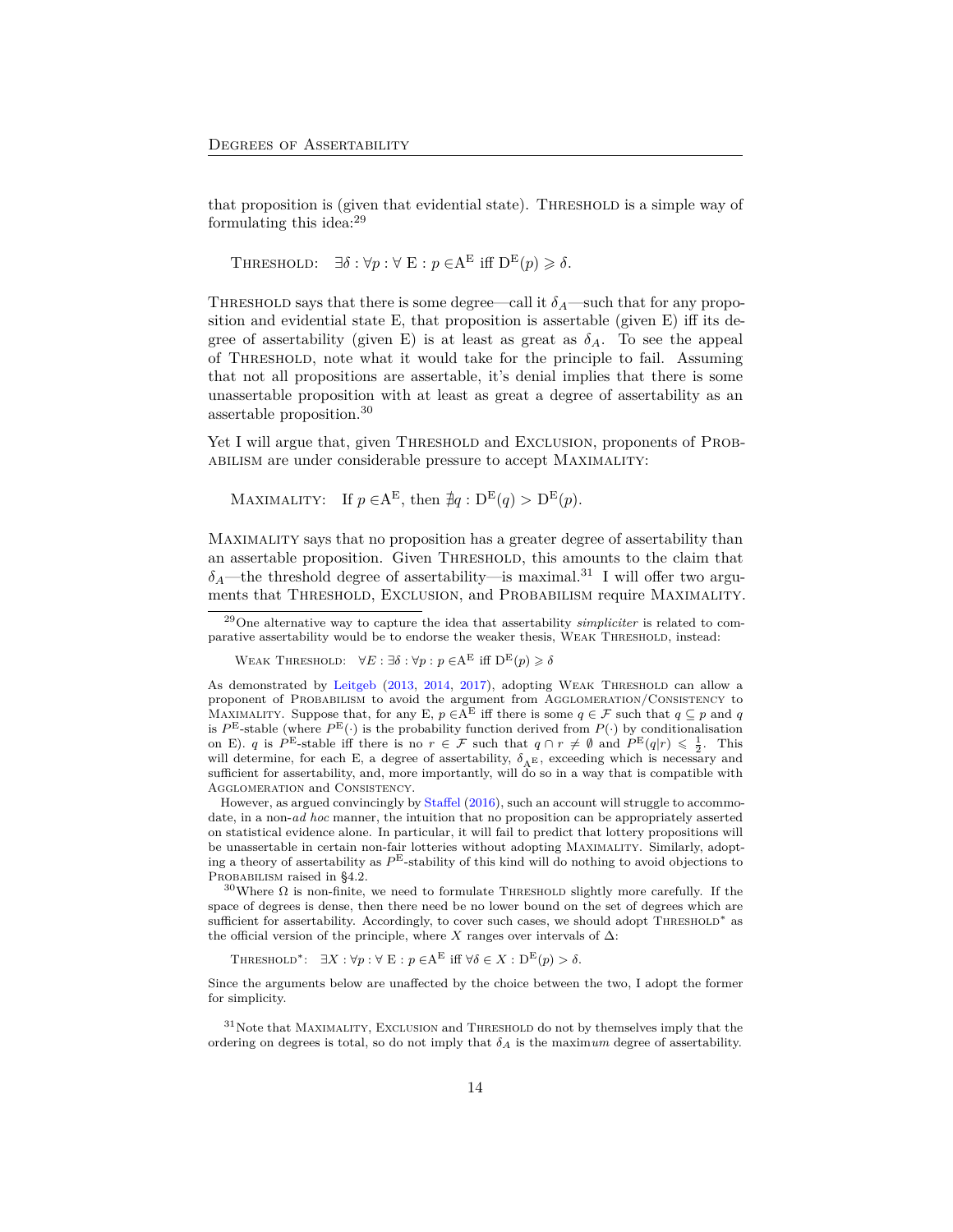that proposition is (given that evidential state). THRESHOLD is a simple way of formulating this idea:[29](#page-13-0)

THRESHOLD:  $\exists \delta : \forall p : \forall E : p \in A^E \text{ iff } D^E(p) \geq \delta.$ 

THRESHOLD says that there is some degree—call it  $\delta_A$ —such that for any proposition and evidential state E, that proposition is assertable (given E) iff its degree of assertability (given E) is at least as great as  $\delta_A$ . To see the appeal of Threshold, note what it would take for the principle to fail. Assuming that not all propositions are assertable, it's denial implies that there is some unassertable proposition with at least as great a degree of assertability as an assertable proposition.[30](#page-13-1)

Yet I will argue that, given THRESHOLD and EXCLUSION, proponents of PROBabilism are under considerable pressure to accept Maximality:

MAXIMALITY: If  $p \in A^E$ , then  $\exists q : D^E(q) > D^E(p)$ .

Maximality says that no proposition has a greater degree of assertability than an assertable proposition. Given Threshold, this amounts to the claim that  $\delta$ <sup>*A*—the threshold degree of assertability—is maximal.<sup>[31](#page-13-2)</sup> I will offer two argu-</sup> ments that THRESHOLD, EXCLUSION, and PROBABILISM require MAXIMALITY.

<span id="page-13-0"></span><sup>29</sup>One alternative way to capture the idea that assertability *simpliciter* is related to comparative assertability would be to endorse the weaker thesis, Weak Threshold, instead:

WEAK THRESHOLD:  $\forall E : \exists \delta : \forall p : p \in A^E \text{ iff } D^E(p) \geq \delta$ 

As demonstrated by [Leitgeb](#page-37-22) [\(2013](#page-37-22), [2014](#page-37-23), [2017\)](#page-37-4), adopting WEAK THRESHOLD can allow a proponent of Probabilism to avoid the argument from Agglomeration/Consistency to MAXIMALITY. Suppose that, for any E,  $p \in A^E$  iff there is some  $q \in \mathcal{F}$  such that  $q \subseteq p$  and *q* is  $P^{\text{E}}$ -stable (where  $P^{\text{E}}(\cdot)$  is the probability function derived from  $P(\cdot)$  by conditionalisation on E). *q* is  $P^{\text{E}}$ -stable iff there is no  $r \in \mathcal{F}$  such that  $q \cap r \neq \emptyset$  and  $P^{\text{E}}(q|r) \leq \frac{1}{2}$ . This will determine, for each E, a degree of assertability,  $\delta_{\text{AE}}$ , exceeding which is necessary and sufficient for assertability, and, more importantly, will do so in a way that is compatible with Agglomeration and Consistency.

However, as argued convincingly by [Staffel](#page-39-9) [\(2016](#page-39-9)), such an account will struggle to accommodate, in a non-*ad hoc* manner, the intuition that no proposition can be appropriately asserted on statistical evidence alone. In particular, it will fail to predict that lottery propositions will be unassertable in certain non-fair lotteries without adopting MAXIMALITY. Similarly, adopting a theory of assertability as *P* <sup>E</sup>-stability of this kind will do nothing to avoid objections to PROBABILISM raised in [§4.2](#page-19-0).

<span id="page-13-1"></span> $30$ Where  $\Omega$  is non-finite, we need to formulate THRESHOLD slightly more carefully. If the space of degrees is dense, then there need be no lower bound on the set of degrees which are sufficient for assertability. Accordingly, to cover such cases, we should adopt THRESHOLD<sup>*∗*</sup> as the official version of the principle, where *X* ranges over intervals of  $\Delta$ :

THRESHOLD<sup>\*</sup>:  $\exists X : \forall p : \forall E : p \in A^E$  iff  $\forall \delta \in X : D^E(p) > \delta$ .

Since the arguments below are unaffected by the choice between the two, I adopt the former for simplicity.

<span id="page-13-2"></span><sup>31</sup>Note that MAXIMALITY, EXCLUSION and THRESHOLD do not by themselves imply that the ordering on degrees is total, so do not imply that  $\delta_A$  is the maximum degree of assertability.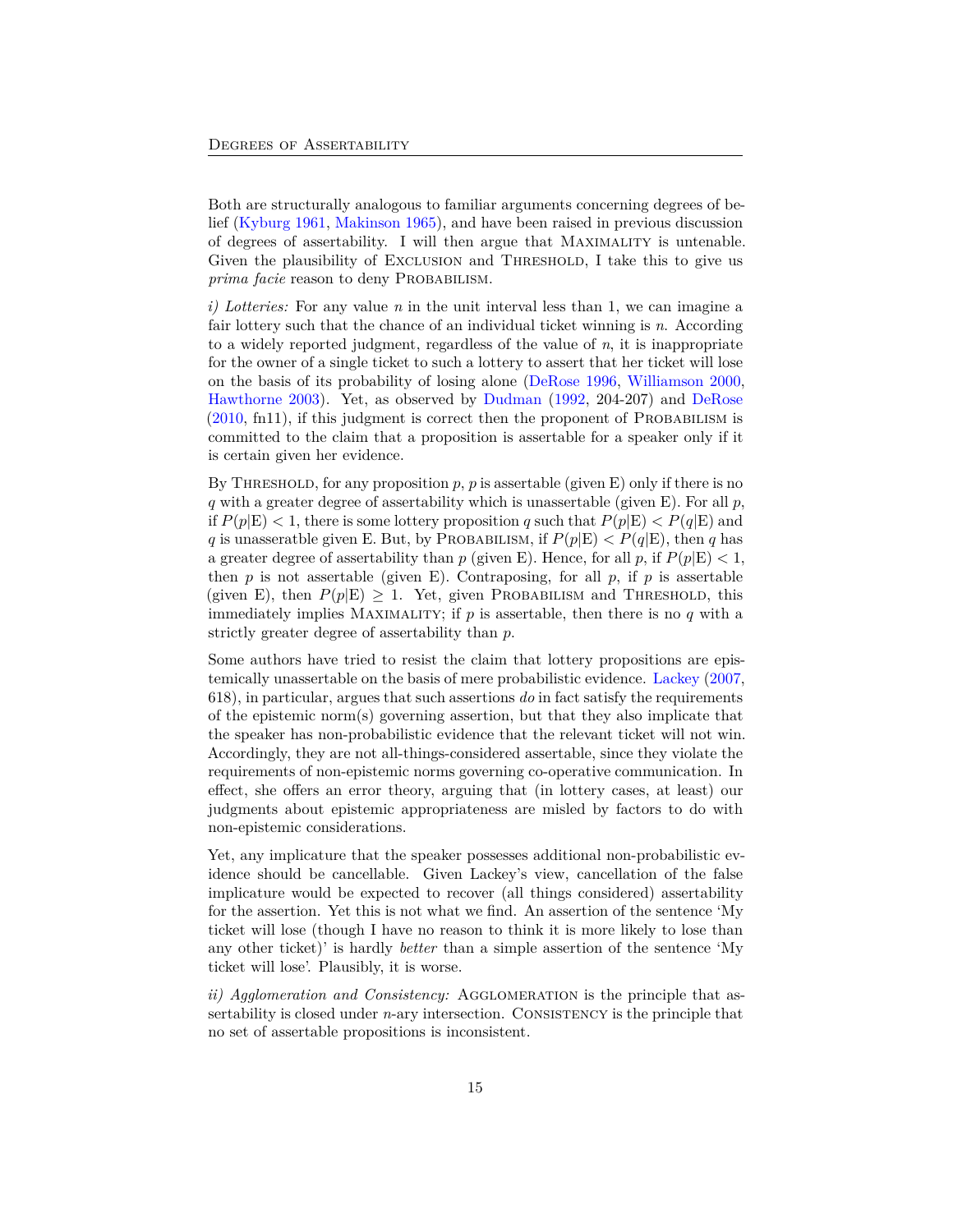Both are structurally analogous to familiar arguments concerning degrees of belief ([Kyburg](#page-37-24) [1961,](#page-37-24) [Makinson](#page-38-19) [1965](#page-38-19)), and have been raised in previous discussion of degrees of assertability. I will then argue that Maximality is untenable. Given the plausibility of EXCLUSION and THRESHOLD, I take this to give us *prima facie* reason to deny PROBABILISM.

*i) Lotteries:* For any value *n* in the unit interval less than 1, we can imagine a fair lottery such that the chance of an individual ticket winning is *n*. According to a widely reported judgment, regardless of the value of *n*, it is inappropriate for the owner of a single ticket to such a lottery to assert that her ticket will lose on the basis of its probability of losing alone ([DeRose](#page-36-16) [1996](#page-36-16), [Williamson](#page-40-0) [2000](#page-40-0), [Hawthorne](#page-36-9) [2003](#page-36-9)). Yet, as observed by [Dudman](#page-36-5) [\(1992](#page-36-5), 204-207) and [DeRose](#page-36-4)  $(2010, \text{fn}11)$  $(2010, \text{fn}11)$ , if this judgment is correct then the proponent of PROBABILISM is committed to the claim that a proposition is assertable for a speaker only if it is certain given her evidence.

By THRESHOLD, for any proposition *p*, *p* is assertable (given E) only if there is no *q* with a greater degree of assertability which is unassertable (given E). For all  $p$ , if  $P(p|E) < 1$ , there is some lottery proposition *q* such that  $P(p|E) < P(q|E)$  and *q* is unasseratble given E. But, by PROBABILISM, if  $P(p|E) < P(q|E)$ , then *q* has a greater degree of assertability than *p* (given E). Hence, for all *p*, if  $P(p|E) < 1$ , then  $p$  is not assertable (given E). Contraposing, for all  $p$ , if  $p$  is assertable (given E), then  $P(p|E) > 1$ . Yet, given PROBABILISM and THRESHOLD, this immediately implies MAXIMALITY; if  $p$  is assertable, then there is no  $q$  with a strictly greater degree of assertability than *p*.

Some authors have tried to resist the claim that lottery propositions are epistemically unassertable on the basis of mere probabilistic evidence. [Lackey](#page-37-19) [\(2007](#page-37-19), 618), in particular, argues that such assertions *do* in fact satisfy the requirements of the epistemic norm(s) governing assertion, but that they also implicate that the speaker has non-probabilistic evidence that the relevant ticket will not win. Accordingly, they are not all-things-considered assertable, since they violate the requirements of non-epistemic norms governing co-operative communication. In effect, she offers an error theory, arguing that (in lottery cases, at least) our judgments about epistemic appropriateness are misled by factors to do with non-epistemic considerations.

Yet, any implicature that the speaker possesses additional non-probabilistic evidence should be cancellable. Given Lackey's view, cancellation of the false implicature would be expected to recover (all things considered) assertability for the assertion. Yet this is not what we find. An assertion of the sentence 'My ticket will lose (though I have no reason to think it is more likely to lose than any other ticket)' is hardly *better* than a simple assertion of the sentence 'My ticket will lose'. Plausibly, it is worse.

*ii) Agglomeration and Consistency:* AGGLOMERATION is the principle that assertability is closed under *n*-ary intersection. Consistency is the principle that no set of assertable propositions is inconsistent.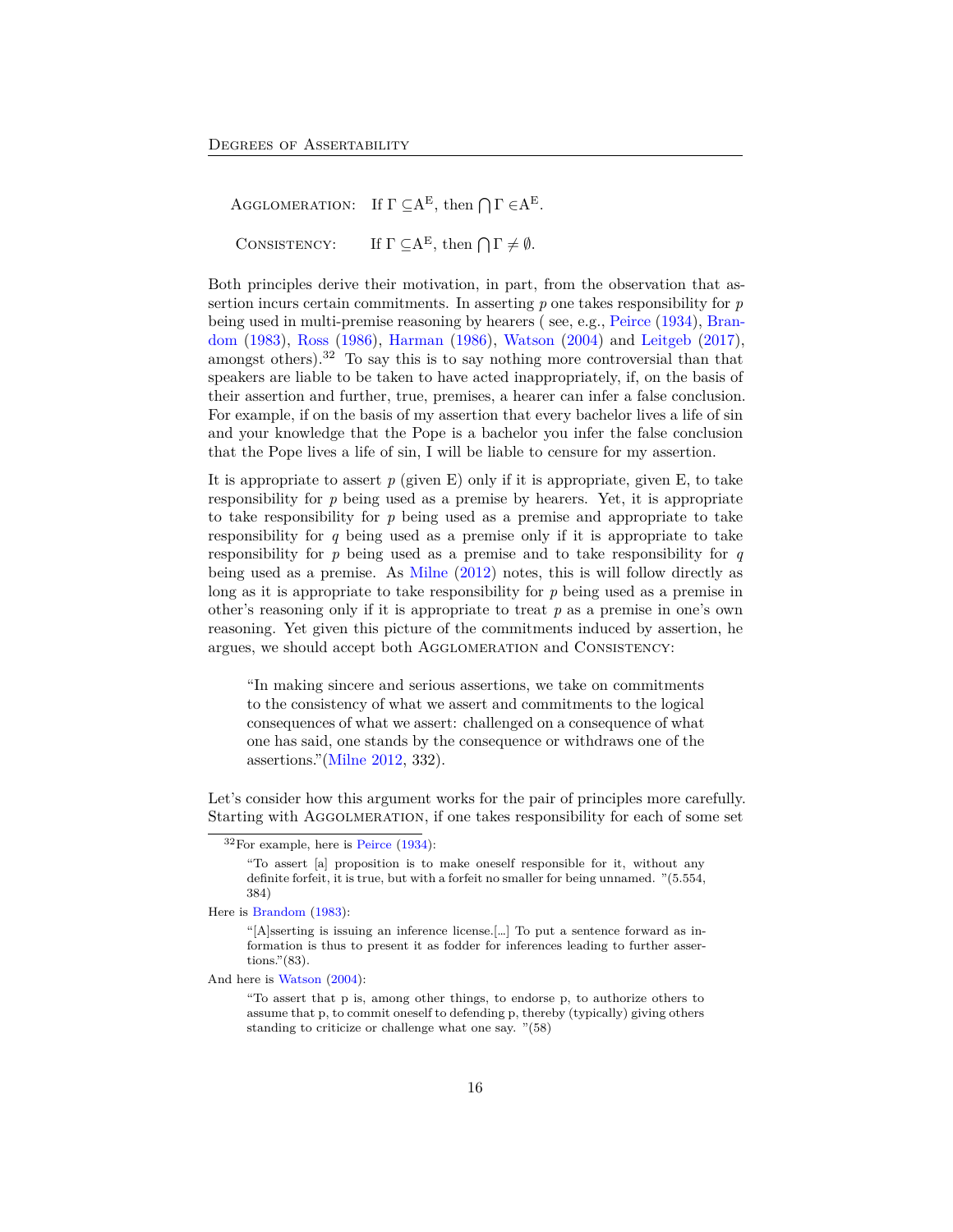AGGLOMERATION: If  $\Gamma \subseteq A^E$ , then  $\bigcap \Gamma \in A^E$ .

CONSISTENCY: If  $\Gamma \subseteq A^E$ , then  $\bigcap \Gamma \neq \emptyset$ .

Both principles derive their motivation, in part, from the observation that assertion incurs certain commitments. In asserting *p* one takes responsibility for *p* being used in multi-premise reasoning by hearers ( see, e.g., [Peirce](#page-38-20) ([1934\)](#page-38-20), [Bran](#page-35-15)[dom](#page-35-15) [\(1983](#page-35-15)), [Ross](#page-38-21) [\(1986](#page-38-21)), [Harman](#page-36-19) [\(1986\)](#page-36-19), [Watson](#page-40-11) [\(2004](#page-40-11)) and [Leitgeb](#page-37-4) [\(2017](#page-37-4)), amongst others).<sup>[32](#page-15-0)</sup> To say this is to say nothing more controversial than that speakers are liable to be taken to have acted inappropriately, if, on the basis of their assertion and further, true, premises, a hearer can infer a false conclusion. For example, if on the basis of my assertion that every bachelor lives a life of sin and your knowledge that the Pope is a bachelor you infer the false conclusion that the Pope lives a life of sin, I will be liable to censure for my assertion.

It is appropriate to assert  $p$  (given E) only if it is appropriate, given E, to take responsibility for *p* being used as a premise by hearers. Yet, it is appropriate to take responsibility for *p* being used as a premise and appropriate to take responsibility for *q* being used as a premise only if it is appropriate to take responsibility for *p* being used as a premise and to take responsibility for *q* being used as a premise. As [Milne](#page-38-10) ([2012](#page-38-10)) notes, this is will follow directly as long as it is appropriate to take responsibility for *p* being used as a premise in other's reasoning only if it is appropriate to treat *p* as a premise in one's own reasoning. Yet given this picture of the commitments induced by assertion, he argues, we should accept both Agglomeration and Consistency:

"In making sincere and serious assertions, we take on commitments to the consistency of what we assert and commitments to the logical consequences of what we assert: challenged on a consequence of what one has said, one stands by the consequence or withdraws one of the assertions."([Milne](#page-38-10) [2012,](#page-38-10) 332).

Let's consider how this argument works for the pair of principles more carefully. Starting with Aggolmeration, if one takes responsibility for each of some set

<span id="page-15-0"></span><sup>32</sup>For example, here is [Peirce](#page-38-20) ([1934\)](#page-38-20):

<sup>&</sup>quot;To assert [a] proposition is to make oneself responsible for it, without any definite forfeit, it is true, but with a forfeit no smaller for being unnamed. "(5.554, 384)

Here is [Brandom](#page-35-15) ([1983\)](#page-35-15):

<sup>&</sup>quot;[A]sserting is issuing an inference license.[…] To put a sentence forward as information is thus to present it as fodder for inferences leading to further assertions."(83).

And here is [Watson](#page-40-11) ([2004\)](#page-40-11):

<sup>&</sup>quot;To assert that p is, among other things, to endorse p, to authorize others to assume that p, to commit oneself to defending p, thereby (typically) giving others standing to criticize or challenge what one say. "(58)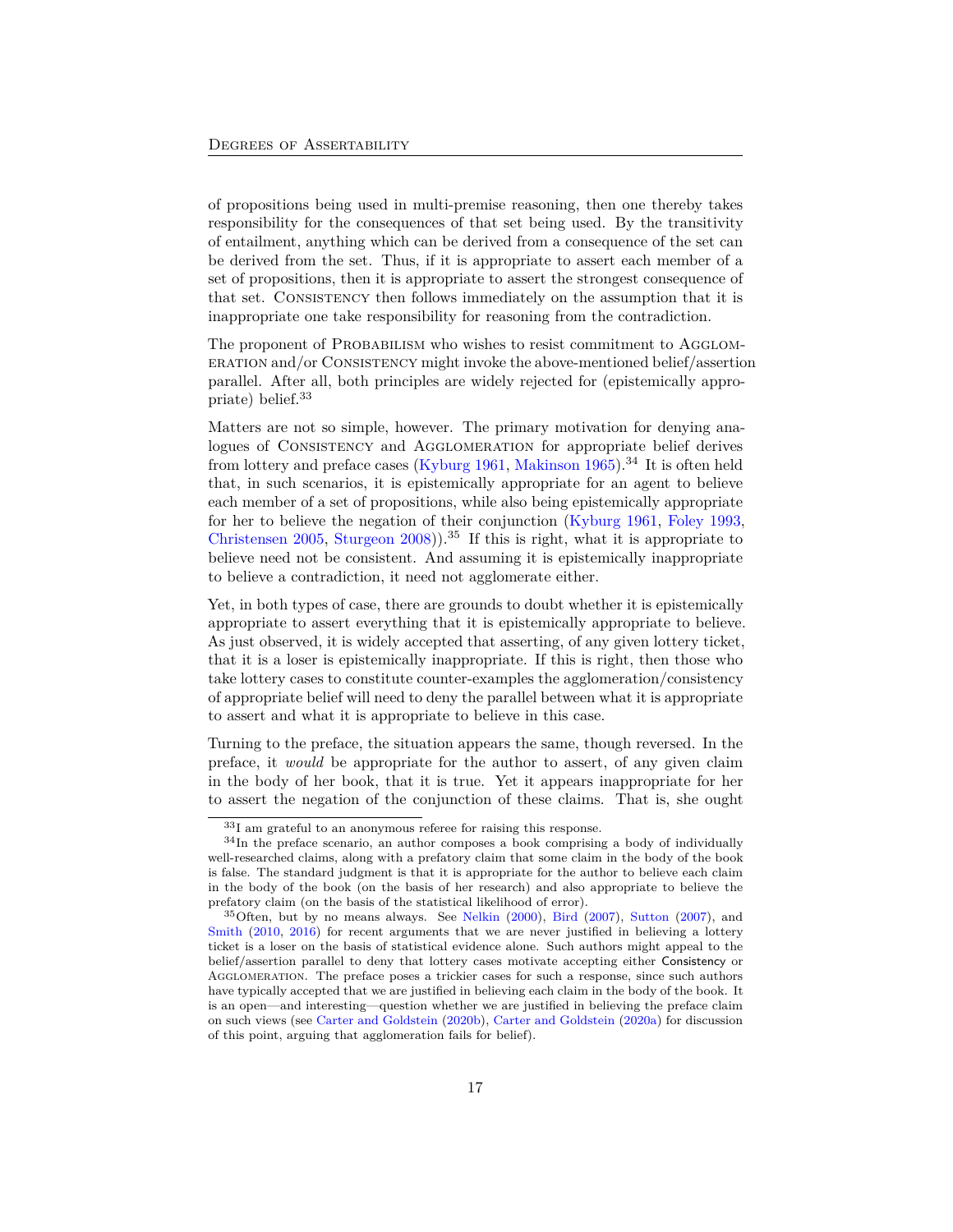of propositions being used in multi-premise reasoning, then one thereby takes responsibility for the consequences of that set being used. By the transitivity of entailment, anything which can be derived from a consequence of the set can be derived from the set. Thus, if it is appropriate to assert each member of a set of propositions, then it is appropriate to assert the strongest consequence of that set. Consistency then follows immediately on the assumption that it is inappropriate one take responsibility for reasoning from the contradiction.

The proponent of PROBABILISM who wishes to resist commitment to AGGLOMeration and/or Consistency might invoke the above-mentioned belief/assertion parallel. After all, both principles are widely rejected for (epistemically appropriate) belief.[33](#page-16-0)

Matters are not so simple, however. The primary motivation for denying analogues of Consistency and Agglomeration for appropriate belief derives from lottery and preface cases [\(Kyburg](#page-37-24) [1961](#page-37-24), [Makinson](#page-38-19) [1965\)](#page-38-19).<sup>[34](#page-16-1)</sup> It is often held that, in such scenarios, it is epistemically appropriate for an agent to believe each member of a set of propositions, while also being epistemically appropriate for her to believe the negation of their conjunction ([Kyburg](#page-37-24) [1961,](#page-37-24) [Foley](#page-36-20) [1993](#page-36-20), [Christensen](#page-36-21) [2005](#page-36-21), [Sturgeon](#page-39-10) [2008](#page-39-10))).[35](#page-16-2) If this is right, what it is appropriate to believe need not be consistent. And assuming it is epistemically inappropriate to believe a contradiction, it need not agglomerate either.

Yet, in both types of case, there are grounds to doubt whether it is epistemically appropriate to assert everything that it is epistemically appropriate to believe. As just observed, it is widely accepted that asserting, of any given lottery ticket, that it is a loser is epistemically inappropriate. If this is right, then those who take lottery cases to constitute counter-examples the agglomeration/consistency of appropriate belief will need to deny the parallel between what it is appropriate to assert and what it is appropriate to believe in this case.

Turning to the preface, the situation appears the same, though reversed. In the preface, it *would* be appropriate for the author to assert, of any given claim in the body of her book, that it is true. Yet it appears inappropriate for her to assert the negation of the conjunction of these claims. That is, she ought

<span id="page-16-1"></span><span id="page-16-0"></span> $^{33}\mathrm{I}$  am grateful to an anonymous referee for raising this response.

<sup>34</sup>In the preface scenario, an author composes a book comprising a body of individually well-researched claims, along with a prefatory claim that some claim in the body of the book is false. The standard judgment is that it is appropriate for the author to believe each claim in the body of the book (on the basis of her research) and also appropriate to believe the prefatory claim (on the basis of the statistical likelihood of error).

<span id="page-16-2"></span><sup>35</sup>Often, but by no means always. See [Nelkin](#page-38-22) [\(2000](#page-38-22)), [Bird](#page-35-16) ([2007](#page-35-16)), [Sutton](#page-39-11) [\(2007](#page-39-11)), and [Smith](#page-39-12) ([2010,](#page-39-12) [2016](#page-39-13)) for recent arguments that we are never justified in believing a lottery ticket is a loser on the basis of statistical evidence alone. Such authors might appeal to the belief/assertion parallel to deny that lottery cases motivate accepting either Consistency or Agglomeration. The preface poses a trickier cases for such a response, since such authors have typically accepted that we are justified in believing each claim in the body of the book. It is an open—and interesting—question whether we are justified in believing the preface claim on such views (see [Carter and Goldstein](#page-36-22) [\(2020b\)](#page-36-22), [Carter and Goldstein](#page-36-23) [\(2020a](#page-36-23)) for discussion of this point, arguing that agglomeration fails for belief).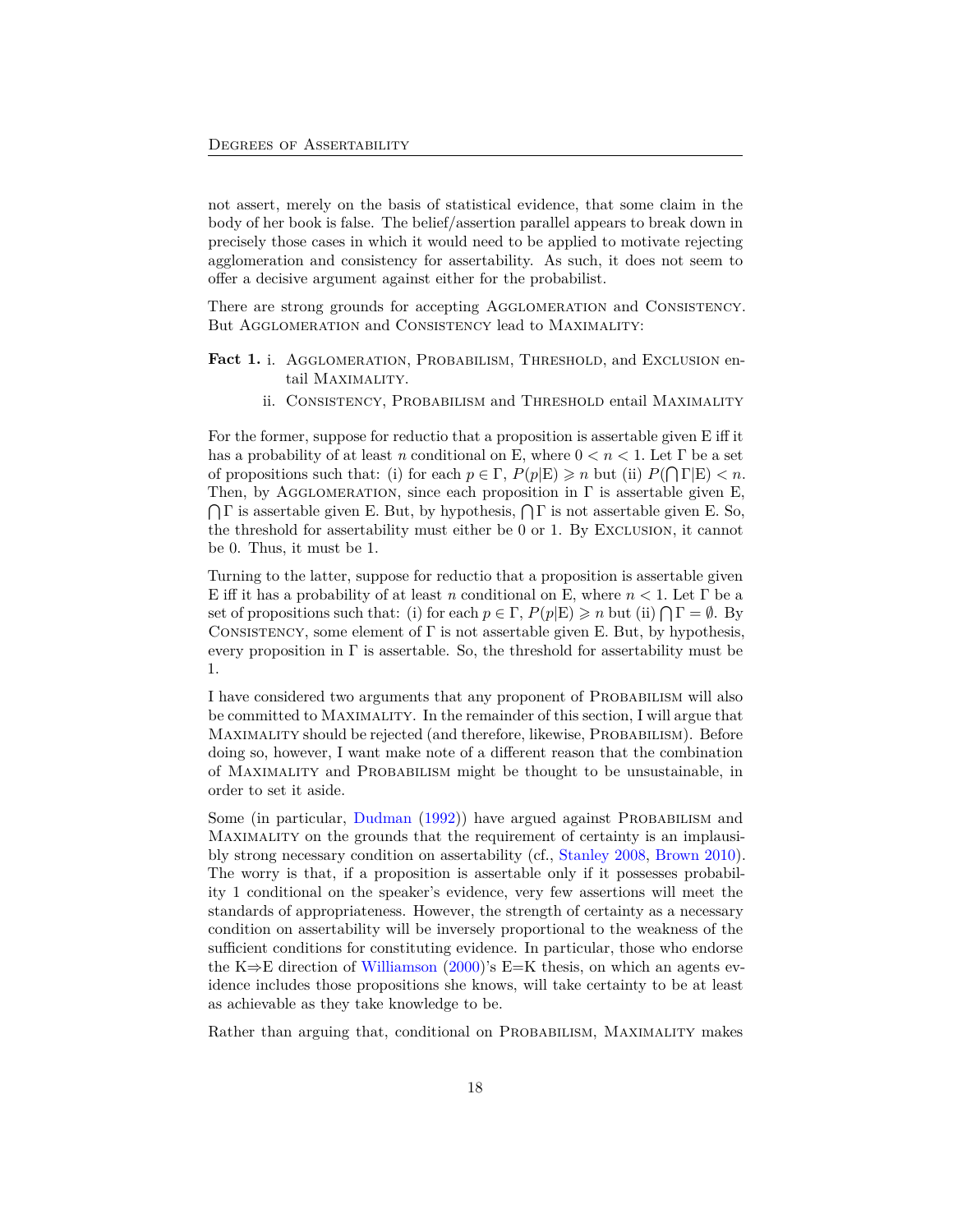not assert, merely on the basis of statistical evidence, that some claim in the body of her book is false. The belief/assertion parallel appears to break down in precisely those cases in which it would need to be applied to motivate rejecting agglomeration and consistency for assertability. As such, it does not seem to offer a decisive argument against either for the probabilist.

There are strong grounds for accepting AGGLOMERATION and CONSISTENCY. But AGGLOMERATION and CONSISTENCY lead to MAXIMALITY:

- Fact 1. i. AGGLOMERATION, PROBABILISM, THRESHOLD, and EXCLUSION entail Maximality.
	- ii. Consistency, Probabilism and Threshold entail Maximality

For the former, suppose for reductio that a proposition is assertable given E iff it has a probability of at least *n* conditional on E, where 0 *< n <* 1*.* Let Γ be a set of propositions such that: (i) for each  $p \in \Gamma$ ,  $P(p|E) \geq n$  but (ii)  $P(\bigcap \Gamma | E) < n$ . Then, by AGGLOMERATION, since each proposition in  $\Gamma$  is assertable given E, ∩ Γ is assertable given E. But, by hypothesis, ∩ Γ is not assertable given E. So, the threshold for assertability must either be 0 or 1. By EXCLUSION, it cannot be 0. Thus, it must be 1.

Turning to the latter, suppose for reductio that a proposition is assertable given E iff it has a probability of at least *n* conditional on E, where *n <* 1*.* Let Γ be a set of propositions such that: (i) for each  $p \in \Gamma$ ,  $P(p|E) \geq n$  but (ii)  $\bigcap \Gamma = \emptyset$ . By CONSISTENCY, some element of  $\Gamma$  is not assertable given E. But, by hypothesis, every proposition in  $\Gamma$  is assertable. So, the threshold for assertability must be 1.

I have considered two arguments that any proponent of Probabilism will also be committed to Maximality. In the remainder of this section, I will argue that Maximality should be rejected (and therefore, likewise, Probabilism). Before doing so, however, I want make note of a different reason that the combination of Maximality and Probabilism might be thought to be unsustainable, in order to set it aside.

Some (in particular, [Dudman](#page-36-5) ([1992\)](#page-36-5)) have argued against Probabilism and Maximality on the grounds that the requirement of certainty is an implausibly strong necessary condition on assertability (cf., [Stanley](#page-39-8) [2008,](#page-39-8) [Brown](#page-35-17) [2010\)](#page-35-17). The worry is that, if a proposition is assertable only if it possesses probability 1 conditional on the speaker's evidence, very few assertions will meet the standards of appropriateness. However, the strength of certainty as a necessary condition on assertability will be inversely proportional to the weakness of the sufficient conditions for constituting evidence. In particular, those who endorse the K*⇒*E direction of [Williamson](#page-40-0) [\(2000](#page-40-0))'s E=K thesis, on which an agents evidence includes those propositions she knows, will take certainty to be at least as achievable as they take knowledge to be.

Rather than arguing that, conditional on PROBABILISM, MAXIMALITY makes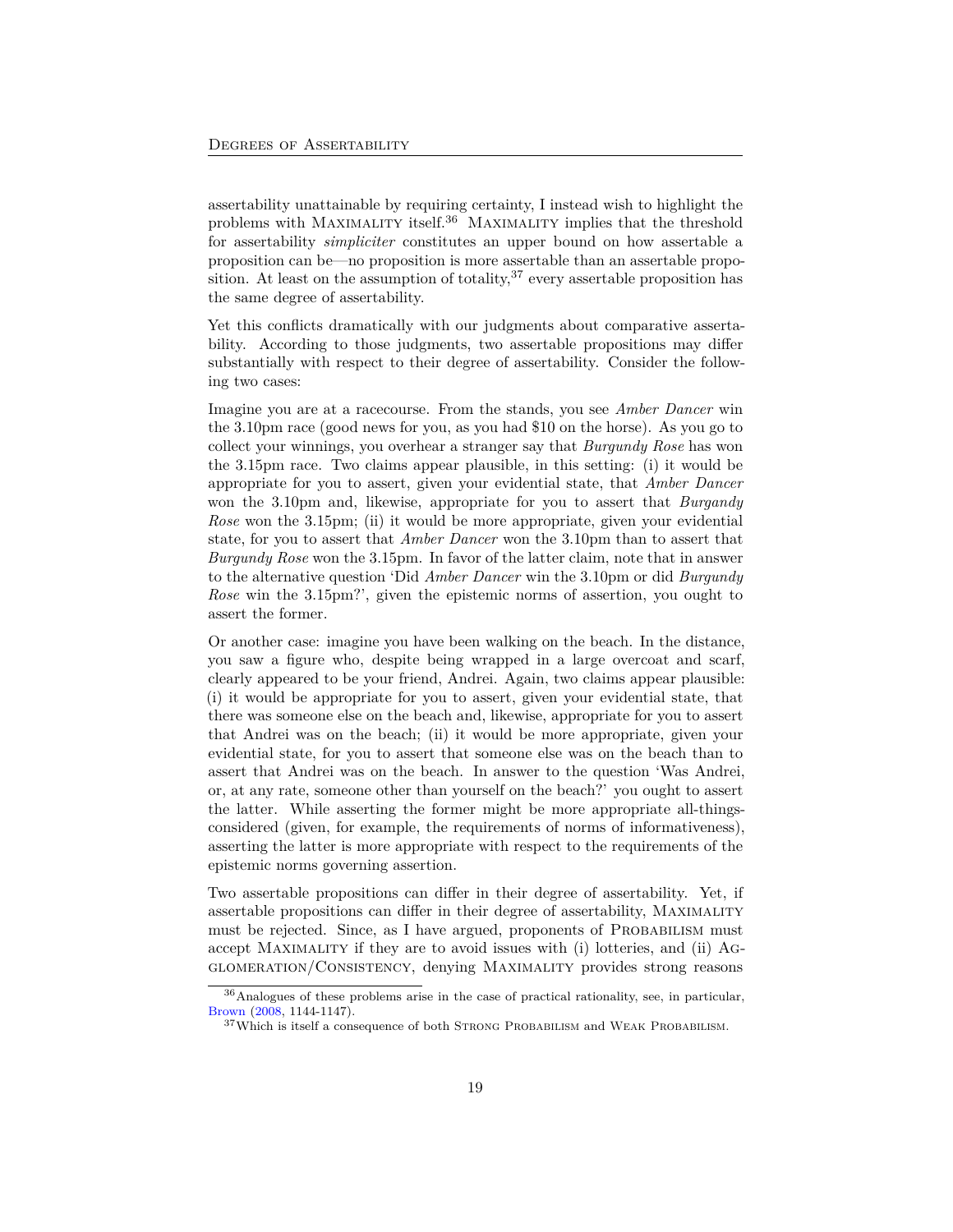assertability unattainable by requiring certainty, I instead wish to highlight the problems with MAXIMALITY itself.<sup>[36](#page-18-0)</sup> MAXIMALITY implies that the threshold for assertability *simpliciter* constitutes an upper bound on how assertable a proposition can be—no proposition is more assertable than an assertable proposition. At least on the assumption of totality,  $37$  every assertable proposition has the same degree of assertability.

Yet this conflicts dramatically with our judgments about comparative assertability. According to those judgments, two assertable propositions may differ substantially with respect to their degree of assertability. Consider the following two cases:

Imagine you are at a racecourse. From the stands, you see *Amber Dancer* win the 3.10pm race (good news for you, as you had \$10 on the horse). As you go to collect your winnings, you overhear a stranger say that *Burgundy Rose* has won the 3.15pm race. Two claims appear plausible, in this setting: (i) it would be appropriate for you to assert, given your evidential state, that *Amber Dancer* won the 3.10pm and, likewise, appropriate for you to assert that *Burgandy Rose* won the 3.15pm; (ii) it would be more appropriate, given your evidential state, for you to assert that *Amber Dancer* won the 3.10pm than to assert that *Burgundy Rose* won the 3.15pm. In favor of the latter claim, note that in answer to the alternative question 'Did *Amber Dancer* win the 3.10pm or did *Burgundy Rose* win the 3.15pm?', given the epistemic norms of assertion, you ought to assert the former.

Or another case: imagine you have been walking on the beach. In the distance, you saw a figure who, despite being wrapped in a large overcoat and scarf, clearly appeared to be your friend, Andrei. Again, two claims appear plausible: (i) it would be appropriate for you to assert, given your evidential state, that there was someone else on the beach and, likewise, appropriate for you to assert that Andrei was on the beach; (ii) it would be more appropriate, given your evidential state, for you to assert that someone else was on the beach than to assert that Andrei was on the beach. In answer to the question 'Was Andrei, or, at any rate, someone other than yourself on the beach?' you ought to assert the latter. While asserting the former might be more appropriate all-thingsconsidered (given, for example, the requirements of norms of informativeness), asserting the latter is more appropriate with respect to the requirements of the epistemic norms governing assertion.

Two assertable propositions can differ in their degree of assertability. Yet, if assertable propositions can differ in their degree of assertability, Maximality must be rejected. Since, as I have argued, proponents of PROBABILISM must accept Maximality if they are to avoid issues with (i) lotteries, and (ii) Agglomeration/Consistency, denying Maximality provides strong reasons

<span id="page-18-0"></span><sup>36</sup>Analogues of these problems arise in the case of practical rationality, see, in particular, [Brown](#page-35-7) ([2008,](#page-35-7) 1144-1147).

<span id="page-18-1"></span> $^{37}\rm{Which}$  is itself a consequence of both STRONG PROBABILISM and WEAK PROBABILISM.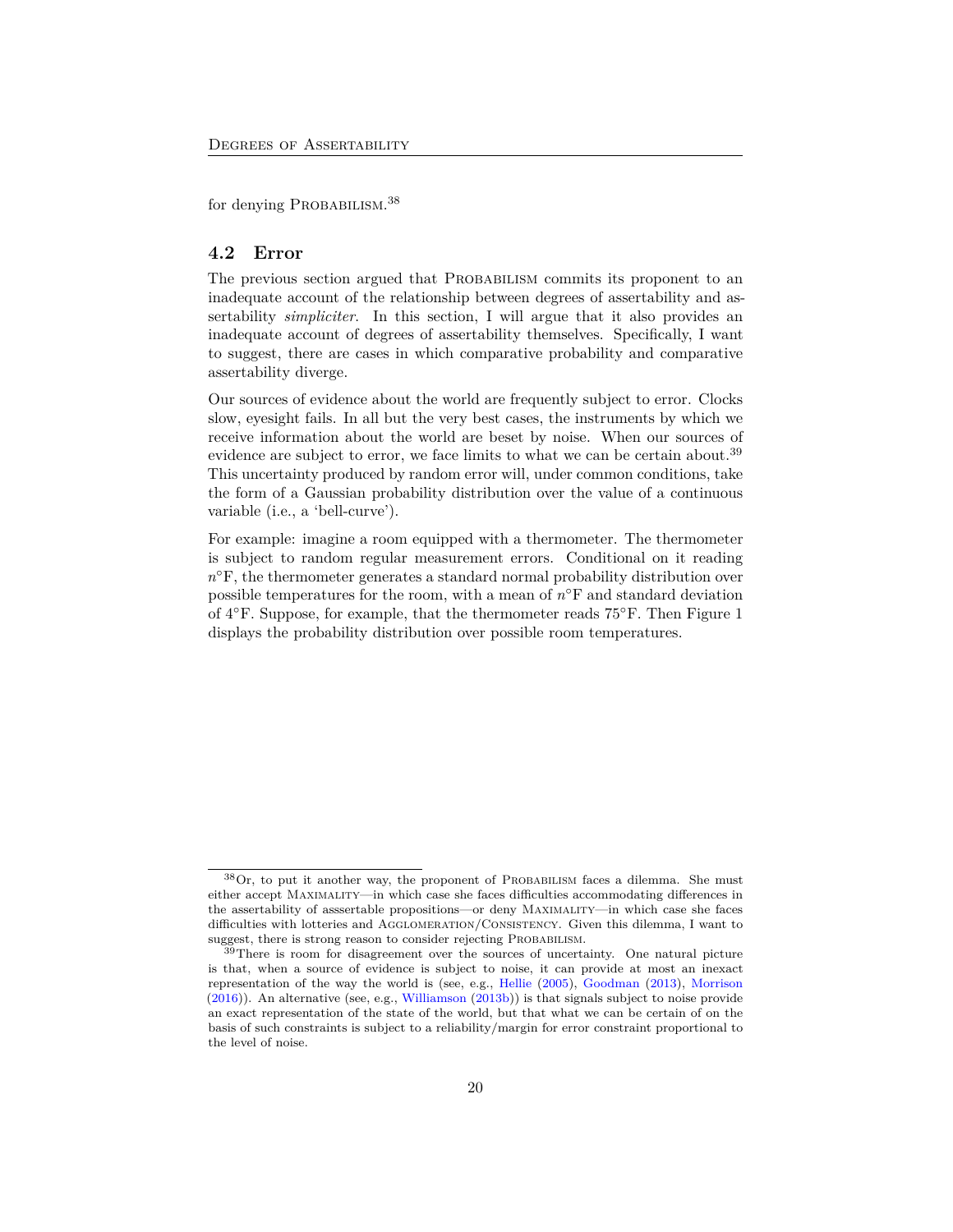for denying PROBABILISM.<sup>[38](#page-19-1)</sup>

### <span id="page-19-0"></span>**4.2 Error**

The previous section argued that PROBABILISM commits its proponent to an inadequate account of the relationship between degrees of assertability and assertability *simpliciter*. In this section, I will argue that it also provides an inadequate account of degrees of assertability themselves. Specifically, I want to suggest, there are cases in which comparative probability and comparative assertability diverge.

Our sources of evidence about the world are frequently subject to error. Clocks slow, eyesight fails. In all but the very best cases, the instruments by which we receive information about the world are beset by noise. When our sources of evidence are subject to error, we face limits to what we can be certain about.<sup>[39](#page-19-2)</sup> This uncertainty produced by random error will, under common conditions, take the form of a Gaussian probability distribution over the value of a continuous variable (i.e., a 'bell-curve').

For example: imagine a room equipped with a thermometer. The thermometer is subject to random regular measurement errors. Conditional on it reading *n ◦*F, the thermometer generates a standard normal probability distribution over possible temperatures for the room, with a mean of  $n^{\circ}$ F and standard deviation of 4*◦*F. Suppose, for example, that the thermometer reads 75*◦*F. Then Figure [1](#page-20-0) displays the probability distribution over possible room temperatures.

<span id="page-19-1"></span><sup>&</sup>lt;sup>38</sup>Or, to put it another way, the proponent of PROBABILISM faces a dilemma. She must either accept Maximality—in which case she faces difficulties accommodating differences in the assertability of asssertable propositions—or deny Maximality—in which case she faces difficulties with lotteries and Agglomeration/Consistency. Given this dilemma, I want to suggest, there is strong reason to consider rejecting PROBABILISM.

<span id="page-19-2"></span><sup>&</sup>lt;sup>39</sup>There is room for disagreement over the sources of uncertainty. One natural picture is that, when a source of evidence is subject to noise, it can provide at most an inexact representation of the way the world is (see, e.g., [Hellie](#page-36-24) ([2005\)](#page-36-24), [Goodman](#page-36-25) ([2013\)](#page-36-25), [Morrison](#page-38-23) [\(2016](#page-38-23))). An alternative (see, e.g., [Williamson](#page-40-12) ([2013b](#page-40-12))) is that signals subject to noise provide an exact representation of the state of the world, but that what we can be certain of on the basis of such constraints is subject to a reliability/margin for error constraint proportional to the level of noise.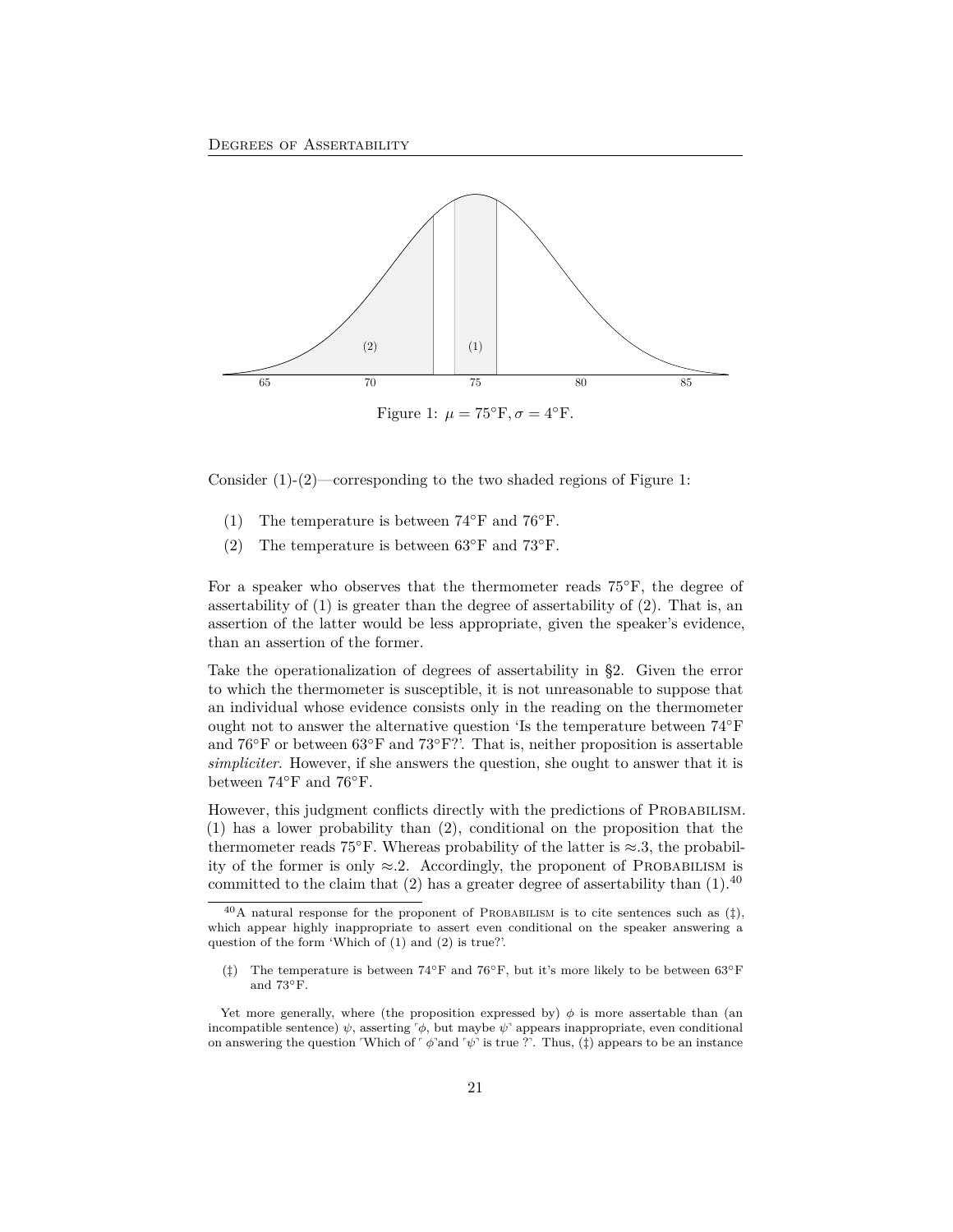<span id="page-20-0"></span>

Consider  $(1)-(2)$  $(1)-(2)$  $(1)-(2)$  $(1)-(2)$ —corresponding to the two shaded regions of Figure 1:

- <span id="page-20-1"></span>(1) The temperature is between 74*◦*F and 76*◦*F.
- <span id="page-20-2"></span>(2) The temperature is between 63*◦*F and 73*◦*F.

For a speaker who observes that the thermometer reads 75*◦*F, the degree of assertability of ([1\)](#page-20-1) is greater than the degree of assertability of ([2\)](#page-20-2). That is, an assertion of the latter would be less appropriate, given the speaker's evidence, than an assertion of the former.

Take the operationalization of degrees of assertability in §[2.](#page-3-0) Given the error to which the thermometer is susceptible, it is not unreasonable to suppose that an individual whose evidence consists only in the reading on the thermometer ought not to answer the alternative question 'Is the temperature between 74*◦*F and 76*◦*F or between 63*◦*F and 73*◦*F?'. That is, neither proposition is assertable *simpliciter*. However, if she answers the question, she ought to answer that it is between 74*◦*F and 76*◦*F.

However, this judgment conflicts directly with the predictions of PROBABILISM. [\(1](#page-20-1)) has a lower probability than [\(2](#page-20-2)), conditional on the proposition that the thermometer reads 75*◦*F. Whereas probability of the latter is *≈*.3, the probability of the former is only  $\approx$ .2. Accordingly, the proponent of PROBABILISM is committed to the claim that  $(2)$  $(2)$  has a greater degree of assertability than  $(1).<sup>40</sup>$  $(1).<sup>40</sup>$  $(1).<sup>40</sup>$  $(1).<sup>40</sup>$ 

<span id="page-20-3"></span> $^{40}$ A natural response for the proponent of PROBABILISM is to cite sentences such as ( $\ddagger$ ), which appear highly inappropriate to assert even conditional on the speaker answering a question of the form 'Which of ([1\)](#page-20-1) and ([2](#page-20-2)) is true?'.

<sup>(</sup>*‡*) The temperature is between 74*◦*F and 76*◦*F, but it's more likely to be between 63*◦*F and 73*◦*F.

Yet more generally, where (the proposition expressed by)  $\phi$  is more assertable than (an incompatible sentence)  $\psi$ , asserting  $\phi$ , but maybe  $\psi$ <sup>+</sup> appears inappropriate, even conditional on answering the question 'Which of  $\phi$ 'and  $\psi$ ' is true ?'. Thus, (*‡*) appears to be an instance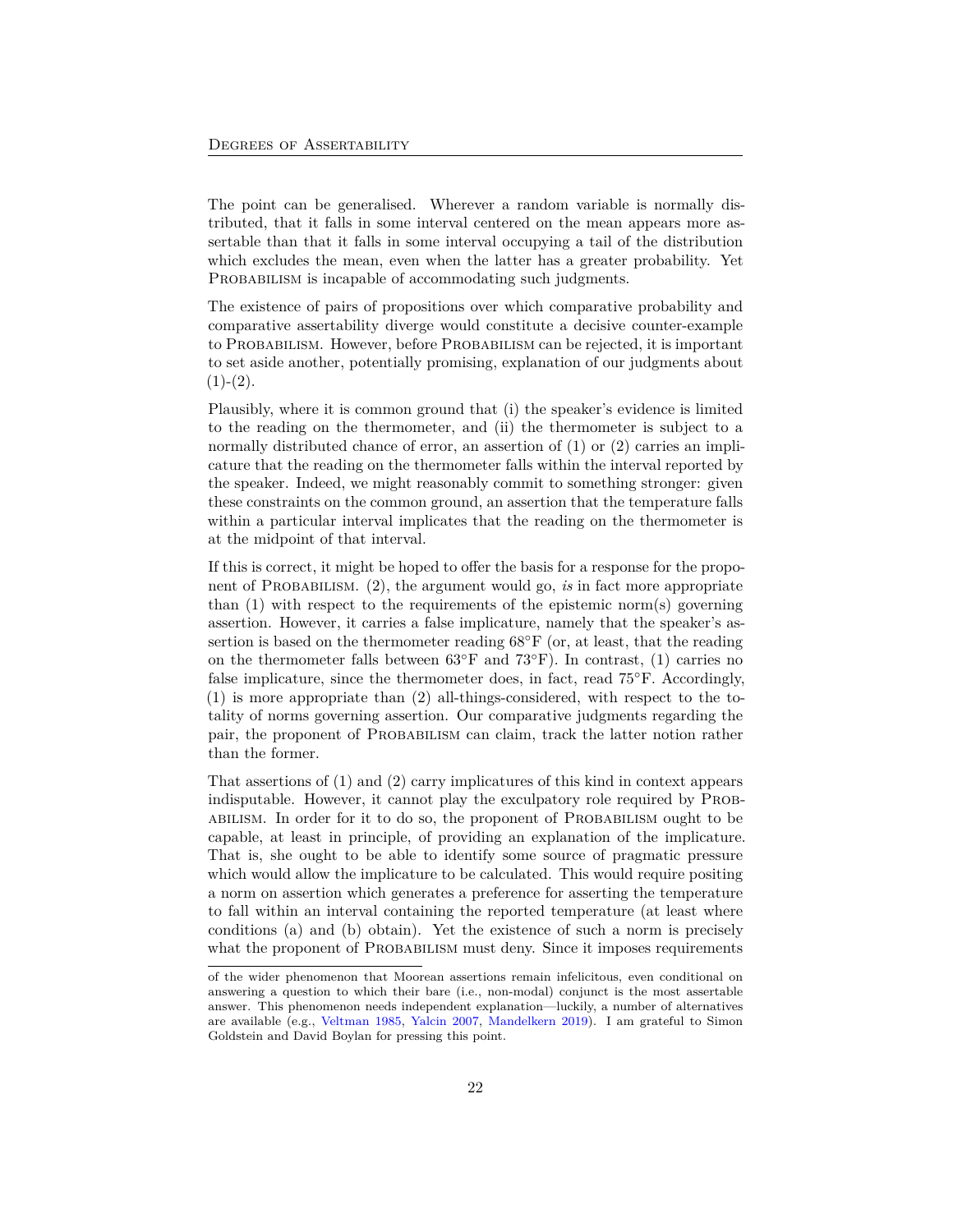The point can be generalised. Wherever a random variable is normally distributed, that it falls in some interval centered on the mean appears more assertable than that it falls in some interval occupying a tail of the distribution which excludes the mean, even when the latter has a greater probability. Yet PROBABILISM is incapable of accommodating such judgments.

The existence of pairs of propositions over which comparative probability and comparative assertability diverge would constitute a decisive counter-example to Probabilism. However, before Probabilism can be rejected, it is important to set aside another, potentially promising, explanation of our judgments about  $(1)-(2)$  $(1)-(2)$  $(1)-(2)$ .

Plausibly, where it is common ground that (i) the speaker's evidence is limited to the reading on the thermometer, and (ii) the thermometer is subject to a normally distributed chance of error, an assertion of  $(1)$  $(1)$  or  $(2)$  $(2)$  carries an implicature that the reading on the thermometer falls within the interval reported by the speaker. Indeed, we might reasonably commit to something stronger: given these constraints on the common ground, an assertion that the temperature falls within a particular interval implicates that the reading on the thermometer is at the midpoint of that interval.

If this is correct, it might be hoped to offer the basis for a response for the proponent of Probabilism. [\(2](#page-20-2)), the argument would go, *is* in fact more appropriate than ([1\)](#page-20-1) with respect to the requirements of the epistemic norm(s) governing assertion. However, it carries a false implicature, namely that the speaker's assertion is based on the thermometer reading 68*◦*F (or, at least, that the reading on the thermometer falls between 63*◦*F and 73*◦*F). In contrast, ([1\)](#page-20-1) carries no false implicature, since the thermometer does, in fact, read 75*◦*F. Accordingly, [\(1](#page-20-1)) is more appropriate than [\(2](#page-20-2)) all-things-considered, with respect to the totality of norms governing assertion. Our comparative judgments regarding the pair, the proponent of PROBABILISM can claim, track the latter notion rather than the former.

That assertions of ([1\)](#page-20-1) and [\(2](#page-20-2)) carry implicatures of this kind in context appears indisputable. However, it cannot play the exculpatory role required by Probabilism. In order for it to do so, the proponent of Probabilism ought to be capable, at least in principle, of providing an explanation of the implicature. That is, she ought to be able to identify some source of pragmatic pressure which would allow the implicature to be calculated. This would require positing a norm on assertion which generates a preference for asserting the temperature to fall within an interval containing the reported temperature (at least where conditions (a) and (b) obtain). Yet the existence of such a norm is precisely what the proponent of PROBABILISM must deny. Since it imposes requirements

of the wider phenomenon that Moorean assertions remain infelicitous, even conditional on answering a question to which their bare (i.e., non-modal) conjunct is the most assertable answer. This phenomenon needs independent explanation—luckily, a number of alternatives are available (e.g., [Veltman](#page-40-13) [1985,](#page-40-13) [Yalcin](#page-40-14) [2007,](#page-40-14) [Mandelkern](#page-38-24) [2019\)](#page-38-24). I am grateful to Simon Goldstein and David Boylan for pressing this point.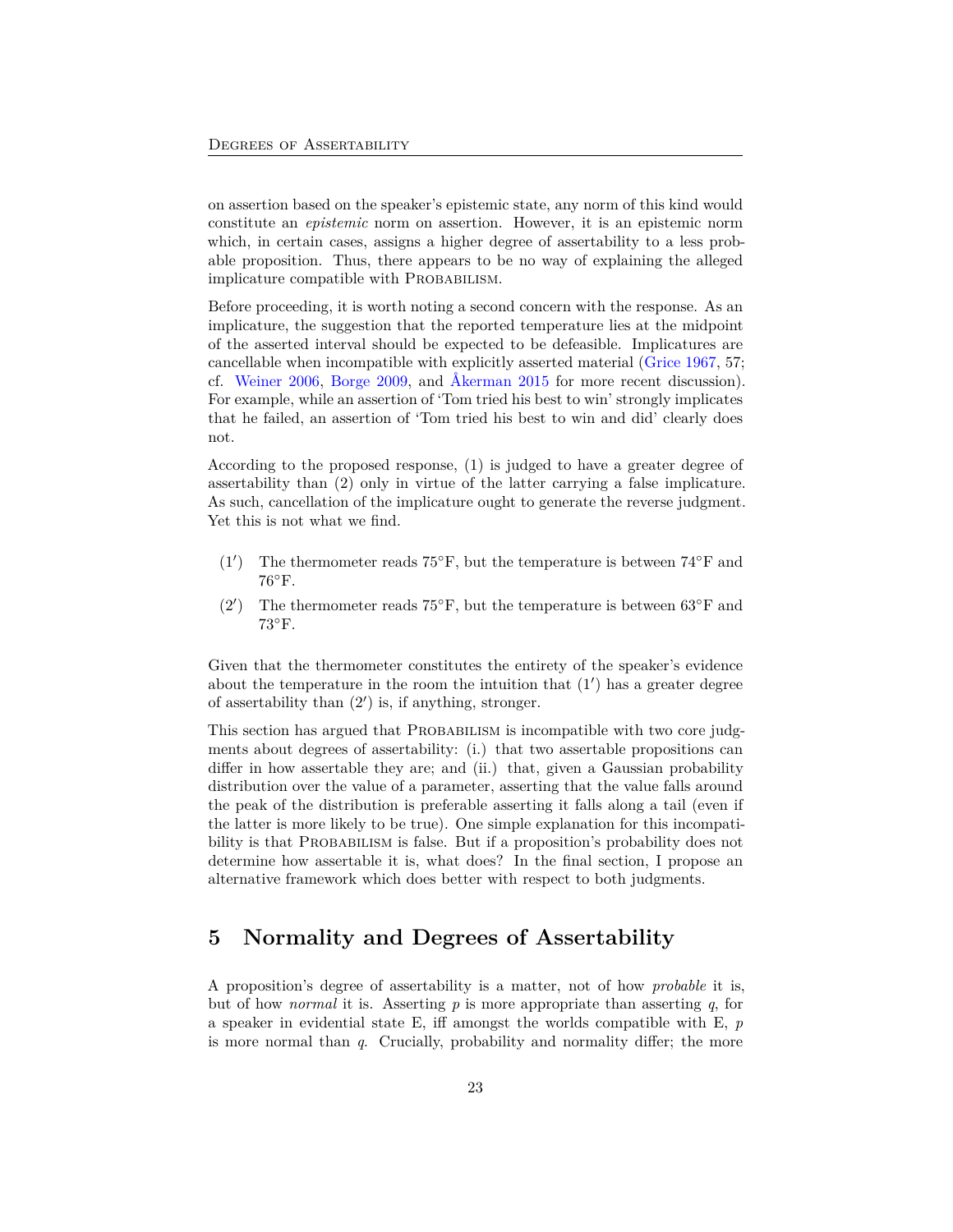on assertion based on the speaker's epistemic state, any norm of this kind would constitute an *epistemic* norm on assertion. However, it is an epistemic norm which, in certain cases, assigns a higher degree of assertability to a less probable proposition. Thus, there appears to be no way of explaining the alleged implicature compatible with Probabilism.

Before proceeding, it is worth noting a second concern with the response. As an implicature, the suggestion that the reported temperature lies at the midpoint of the asserted interval should be expected to be defeasible. Implicatures are cancellable when incompatible with explicitly asserted material [\(Grice](#page-36-6) [1967](#page-36-6), 57; cf. [Weiner](#page-40-15) [2006](#page-40-15), [Borge](#page-35-18) [2009](#page-35-18), and [Åkerman](#page-35-19) [2015](#page-35-19) for more recent discussion). For example, while an assertion of 'Tom tried his best to win' strongly implicates that he failed, an assertion of 'Tom tried his best to win and did' clearly does not.

According to the proposed response, [\(1](#page-20-1)) is judged to have a greater degree of assertability than ([2\)](#page-20-2) only in virtue of the latter carrying a false implicature. As such, cancellation of the implicature ought to generate the reverse judgment. Yet this is not what we find.

- ([1](#page-20-1) *′* ) The thermometer reads 75*◦*F, but the temperature is between 74*◦*F and 76*◦*F.
- ([2](#page-20-2) *′* ) The thermometer reads 75*◦*F, but the temperature is between 63*◦*F and 73*◦*F.

Given that the thermometer constitutes the entirety of the speaker's evidence about the temperature in the room the intuition that ([1](#page-20-1) *′* ) has a greater degree of assertability than [\(2](#page-20-2) *′* ) is, if anything, stronger.

This section has argued that PROBABILISM is incompatible with two core judgments about degrees of assertability: (i.) that two assertable propositions can differ in how assertable they are; and (ii.) that, given a Gaussian probability distribution over the value of a parameter, asserting that the value falls around the peak of the distribution is preferable asserting it falls along a tail (even if the latter is more likely to be true). One simple explanation for this incompatibility is that Probabilism is false. But if a proposition's probability does not determine how assertable it is, what does? In the final section, I propose an alternative framework which does better with respect to both judgments.

### <span id="page-22-0"></span>**5 Normality and Degrees of Assertability**

A proposition's degree of assertability is a matter, not of how *probable* it is, but of how *normal* it is. Asserting *p* is more appropriate than asserting *q*, for a speaker in evidential state E, iff amongst the worlds compatible with E, *p* is more normal than *q*. Crucially, probability and normality differ; the more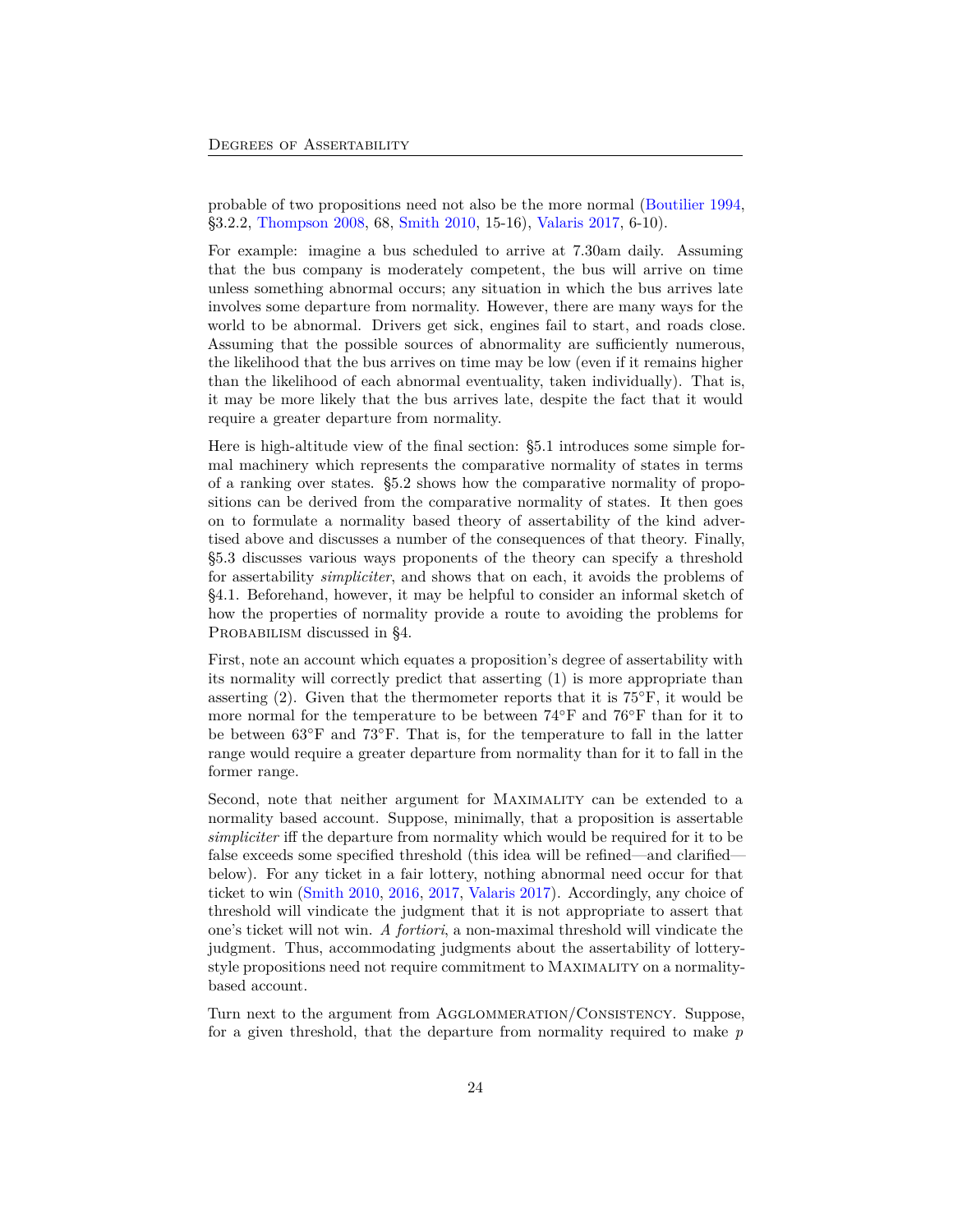probable of two propositions need not also be the more normal ([Boutilier](#page-35-20) [1994](#page-35-20), §3.2.2, [Thompson](#page-39-14) [2008](#page-39-14), 68, [Smith](#page-39-12) [2010,](#page-39-12) 15-16), [Valaris](#page-39-15) [2017](#page-39-15), 6-10).

For example: imagine a bus scheduled to arrive at 7.30am daily. Assuming that the bus company is moderately competent, the bus will arrive on time unless something abnormal occurs; any situation in which the bus arrives late involves some departure from normality. However, there are many ways for the world to be abnormal. Drivers get sick, engines fail to start, and roads close. Assuming that the possible sources of abnormality are sufficiently numerous, the likelihood that the bus arrives on time may be low (even if it remains higher than the likelihood of each abnormal eventuality, taken individually). That is, it may be more likely that the bus arrives late, despite the fact that it would require a greater departure from normality.

Here is high-altitude view of the final section: [§5.1](#page-24-0) introduces some simple formal machinery which represents the comparative normality of states in terms of a ranking over states. [§5.2](#page-26-0) shows how the comparative normality of propositions can be derived from the comparative normality of states. It then goes on to formulate a normality based theory of assertability of the kind advertised above and discusses a number of the consequences of that theory. Finally, §[5.3](#page-30-0) discusses various ways proponents of the theory can specify a threshold for assertability *simpliciter*, and shows that on each, it avoids the problems of §[4.1](#page-12-1). Beforehand, however, it may be helpful to consider an informal sketch of how the properties of normality provide a route to avoiding the problems for PROBABILISM discussed in [§4](#page-12-0).

First, note an account which equates a proposition's degree of assertability with its normality will correctly predict that asserting ([1\)](#page-20-1) is more appropriate than asserting [\(2](#page-20-2)). Given that the thermometer reports that it is 75*◦*F, it would be more normal for the temperature to be between 74*◦*F and 76*◦*F than for it to be between 63*◦*F and 73*◦*F. That is, for the temperature to fall in the latter range would require a greater departure from normality than for it to fall in the former range.

Second, note that neither argument for Maximality can be extended to a normality based account. Suppose, minimally, that a proposition is assertable *simpliciter* iff the departure from normality which would be required for it to be false exceeds some specified threshold (this idea will be refined—and clarified below). For any ticket in a fair lottery, nothing abnormal need occur for that ticket to win ([Smith](#page-39-12) [2010,](#page-39-12) [2016,](#page-39-13) [2017](#page-39-16), [Valaris](#page-39-15) [2017\)](#page-39-15). Accordingly, any choice of threshold will vindicate the judgment that it is not appropriate to assert that one's ticket will not win. *A fortiori*, a non-maximal threshold will vindicate the judgment. Thus, accommodating judgments about the assertability of lotterystyle propositions need not require commitment to MAXIMALITY on a normalitybased account.

Turn next to the argument from Agglommeration/Consistency. Suppose, for a given threshold, that the departure from normality required to make *p*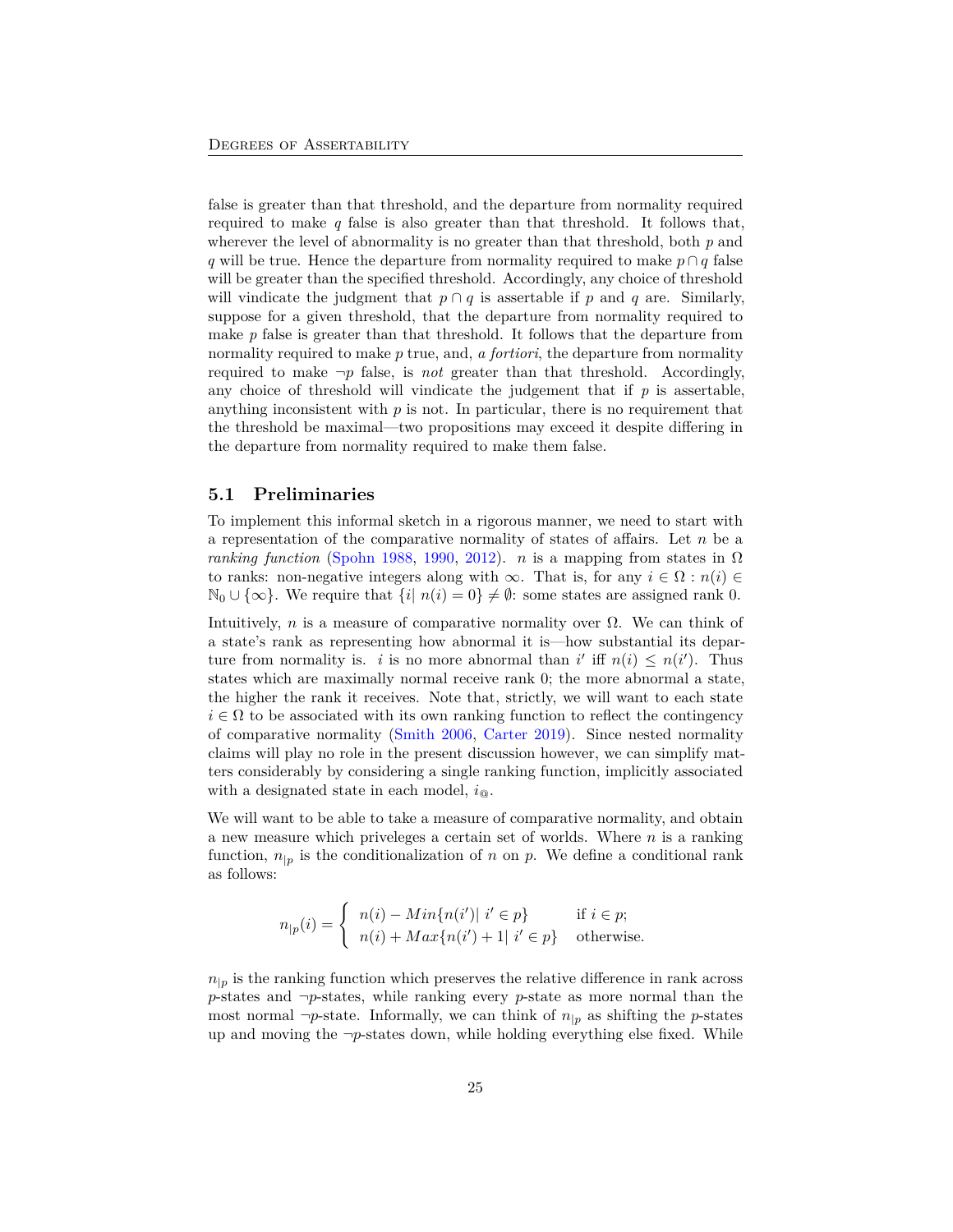false is greater than that threshold, and the departure from normality required required to make *q* false is also greater than that threshold. It follows that, wherever the level of abnormality is no greater than that threshold, both *p* and *q* will be true. Hence the departure from normality required to make *p ∩ q* false will be greater than the specified threshold. Accordingly, any choice of threshold will vindicate the judgment that  $p \cap q$  is assertable if  $p$  and  $q$  are. Similarly, suppose for a given threshold, that the departure from normality required to make *p* false is greater than that threshold. It follows that the departure from normality required to make *p* true, and, *a fortiori*, the departure from normality required to make  $\neg p$  false, is *not* greater than that threshold. Accordingly, any choice of threshold will vindicate the judgement that if *p* is assertable, anything inconsistent with  $p$  is not. In particular, there is no requirement that the threshold be maximal—two propositions may exceed it despite differing in the departure from normality required to make them false.

#### <span id="page-24-0"></span>**5.1 Preliminaries**

To implement this informal sketch in a rigorous manner, we need to start with a representation of the comparative normality of states of affairs. Let *n* be a *ranking function* ([Spohn](#page-39-17) [1988](#page-39-17), [1990](#page-39-18), [2012\)](#page-39-19). *n* is a mapping from states in  $\Omega$ to ranks: non-negative integers along with  $\infty$ . That is, for any  $i \in \Omega : n(i) \in$  $\mathbb{N}_0 \cup \{\infty\}$ . We require that  $\{i | n(i) = 0\}$  ≠  $\emptyset$ : some states are assigned rank 0.

Intuitively, *n* is a measure of comparative normality over  $\Omega$ . We can think of a state's rank as representing how abnormal it is—how substantial its departure from normality is. *i* is no more abnormal than *i'* iff  $n(i) \leq n(i')$ . Thus states which are maximally normal receive rank 0; the more abnormal a state, the higher the rank it receives. Note that, strictly, we will want to each state  $i \in \Omega$  to be associated with its own ranking function to reflect the contingency of comparative normality ([Smith](#page-38-25) [2006,](#page-38-25) [Carter](#page-36-26) [2019](#page-36-26)). Since nested normality claims will play no role in the present discussion however, we can simplify matters considerably by considering a single ranking function, implicitly associated with a designated state in each model, *i*@.

We will want to be able to take a measure of comparative normality, and obtain a new measure which priveleges a certain set of worlds. Where *n* is a ranking function,  $n_{p}$  is the conditionalization of *n* on *p*. We define a conditional rank as follows:

$$
n_{|p}(i) = \begin{cases} n(i) - Min\{n(i')| \ i' \in p\} & \text{if } i \in p; \\ n(i) + Max\{n(i') + 1| \ i' \in p\} & \text{otherwise.} \end{cases}
$$

 $n_{p}$  is the ranking function which preserves the relative difference in rank across *p*-states and *¬p*-states, while ranking every *p*-state as more normal than the most normal  $\neg p\text{-state}$ . Informally, we can think of  $n_{|p}$  as shifting the *p*-states up and moving the  $\neg p$ -states down, while holding everything else fixed. While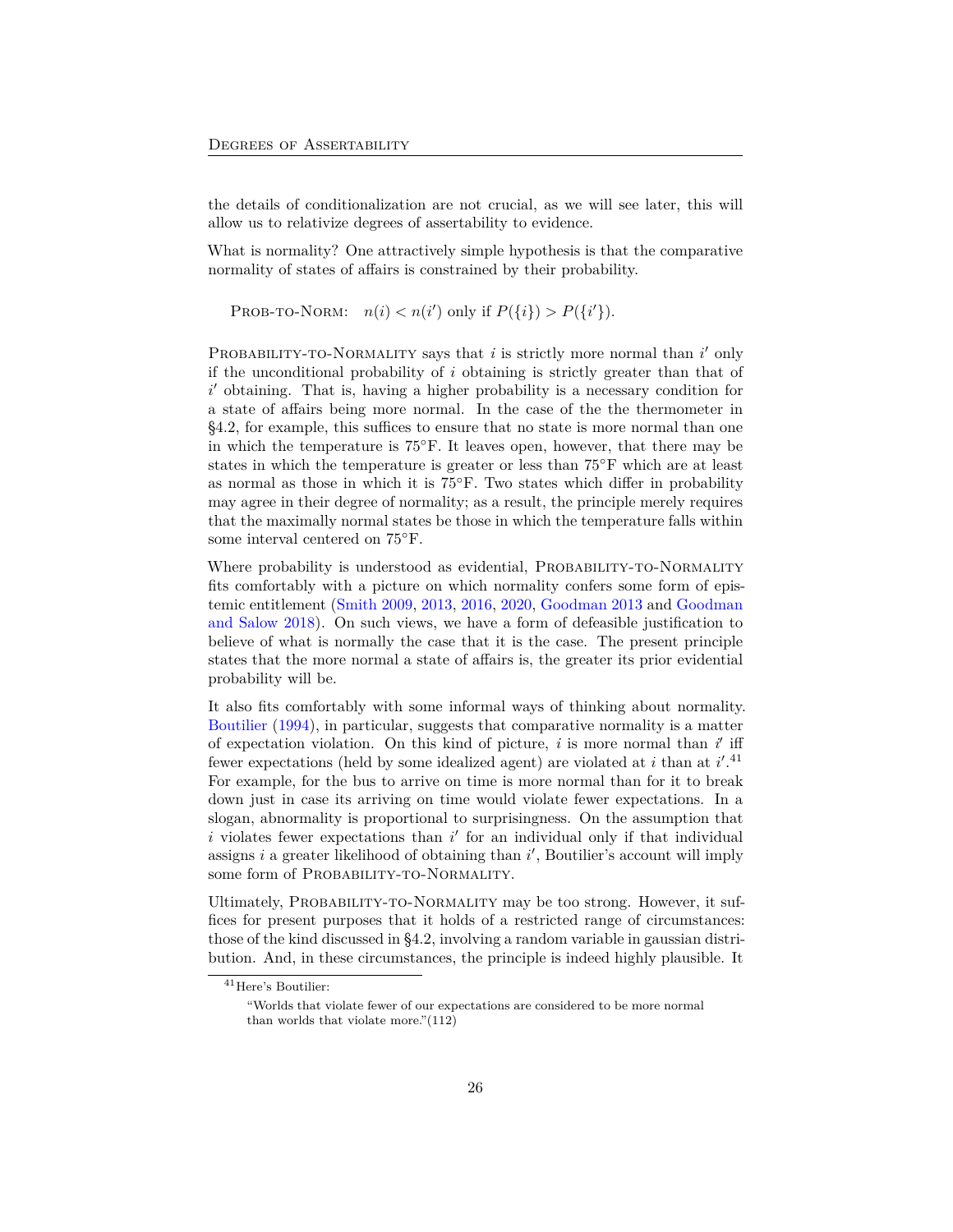the details of conditionalization are not crucial, as we will see later, this will allow us to relativize degrees of assertability to evidence.

What is normality? One attractively simple hypothesis is that the comparative normality of states of affairs is constrained by their probability.

PROB-TO-NORM:  $n(i) < n(i')$  only if  $P({i}) > P({i'})$ .

PROBABILITY-TO-NORMALITY says that *i* is strictly more normal than *i'* only if the unconditional probability of *i* obtaining is strictly greater than that of *i ′* obtaining. That is, having a higher probability is a necessary condition for a state of affairs being more normal. In the case of the the thermometer in §[4.2](#page-19-0), for example, this suffices to ensure that no state is more normal than one in which the temperature is 75*◦*F. It leaves open, however, that there may be states in which the temperature is greater or less than 75*◦*F which are at least as normal as those in which it is 75*◦*F. Two states which differ in probability may agree in their degree of normality; as a result, the principle merely requires that the maximally normal states be those in which the temperature falls within some interval centered on 75*◦*F.

Where probability is understood as evidential, PROBABILITY-TO-NORMALITY fits comfortably with a picture on which normality confers some form of epistemic entitlement [\(Smith](#page-39-20) [2009](#page-39-20), [2013,](#page-39-21) [2016](#page-39-13), [2020,](#page-39-22) [Goodman](#page-36-25) [2013](#page-36-25) and [Goodman](#page-36-27) [and Salow](#page-36-27) [2018](#page-36-27)). On such views, we have a form of defeasible justification to believe of what is normally the case that it is the case. The present principle states that the more normal a state of affairs is, the greater its prior evidential probability will be.

It also fits comfortably with some informal ways of thinking about normality. [Boutilier](#page-35-20) ([1994\)](#page-35-20), in particular, suggests that comparative normality is a matter of expectation violation. On this kind of picture, *i* is more normal than *i ′* iff fewer expectations (held by some idealized agent) are violated at *i* than at *i ′* . [41](#page-25-0) For example, for the bus to arrive on time is more normal than for it to break down just in case its arriving on time would violate fewer expectations. In a slogan, abnormality is proportional to surprisingness. On the assumption that *i* violates fewer expectations than *i ′* for an individual only if that individual assigns *i* a greater likelihood of obtaining than *i ′* , Boutilier's account will imply some form of PROBABILITY-TO-NORMALITY.

Ultimately, Probability-to-Normality may be too strong. However, it suffices for present purposes that it holds of a restricted range of circumstances: those of the kind discussed in §[4.2](#page-19-0), involving a random variable in gaussian distribution. And, in these circumstances, the principle is indeed highly plausible. It

<span id="page-25-0"></span><sup>41</sup>Here's Boutilier:

<sup>&</sup>quot;Worlds that violate fewer of our expectations are considered to be more normal than worlds that violate more."(112)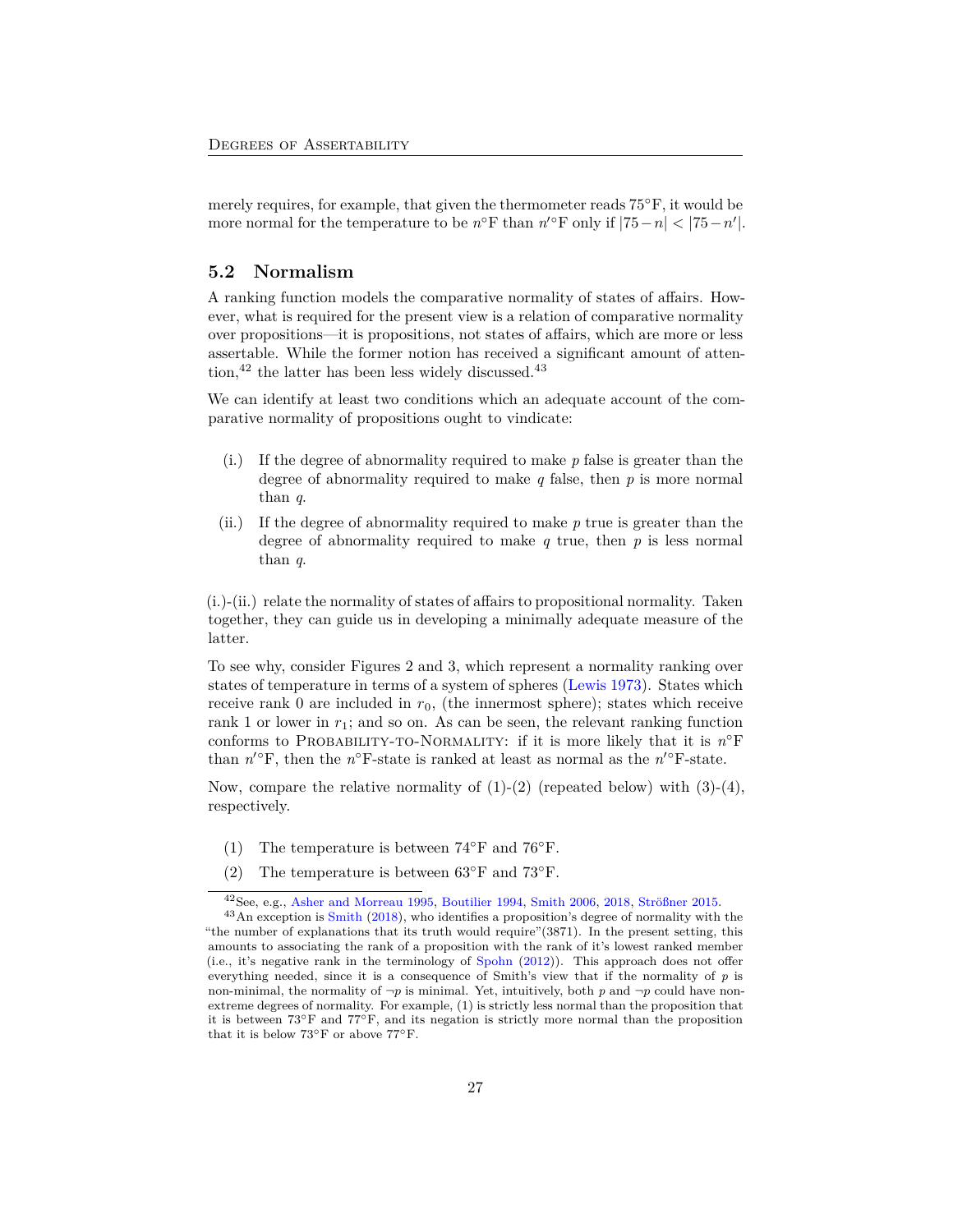merely requires, for example, that given the thermometer reads 75*◦*F, it would be more normal for the temperature to be  $n^{\circ}$ F than  $n^{\prime}$ <sup> $\circ$ </sup>F only if  $|75-n|$  <  $|75-n^{\prime}|$ .

#### <span id="page-26-0"></span>**5.2 Normalism**

A ranking function models the comparative normality of states of affairs. However, what is required for the present view is a relation of comparative normality over propositions—it is propositions, not states of affairs, which are more or less assertable. While the former notion has received a significant amount of attention,  $42$  the latter has been less widely discussed.  $43$ 

We can identify at least two conditions which an adequate account of the comparative normality of propositions ought to vindicate:

- (i.) If the degree of abnormality required to make *p* false is greater than the degree of abnormality required to make *q* false, then *p* is more normal than *q*.
- (ii.) If the degree of abnormality required to make *p* true is greater than the degree of abnormality required to make *q* true, then *p* is less normal than *q*.

(i.)-(ii.) relate the normality of states of affairs to propositional normality. Taken together, they can guide us in developing a minimally adequate measure of the latter.

To see why, consider Figures [2](#page-27-0) and [3,](#page-28-0) which represent a normality ranking over states of temperature in terms of a system of spheres [\(Lewis](#page-38-26) [1973](#page-38-26)). States which receive rank 0 are included in  $r_0$ , (the innermost sphere); states which receive rank 1 or lower in  $r_1$ ; and so on. As can be seen, the relevant ranking function conforms to PROBABILITY-TO-NORMALITY: if it is more likely that it is  $n^{\circ}F$ than  $n'$ <sup>*<sup>* $\circ$ *</sup>F*, then the *n*<sup> $\circ$ </sup>F-state is ranked at least as normal as the *n*<sup> $\circ$ </sup>F-state.</sup>

Now, compare the relative normality of  $(1)-(2)$  $(1)-(2)$  $(1)-(2)$  $(1)-(2)$  (repeated below) with  $(3)-(4)$  $(3)-(4)$  $(3)-(4)$  $(3)-(4)$ , respectively.

- ([1\)](#page-20-1) The temperature is between 74*◦*F and 76*◦*F.
- ([2\)](#page-20-2) The temperature is between 63*◦*F and 73*◦*F.

<span id="page-26-2"></span><span id="page-26-1"></span><sup>42</sup>See, e.g., [Asher and Morreau](#page-35-21) [1995,](#page-35-21) [Boutilier](#page-35-20) [1994,](#page-35-20) [Smith](#page-38-25) [2006](#page-38-25), [2018](#page-39-23), [Strößner](#page-39-24) [2015.](#page-39-24)

<sup>43</sup>An exception is [Smith](#page-39-23) ([2018\)](#page-39-23), who identifies a proposition's degree of normality with the "the number of explanations that its truth would require"(3871). In the present setting, this amounts to associating the rank of a proposition with the rank of it's lowest ranked member (i.e., it's negative rank in the terminology of [Spohn](#page-39-19) ([2012](#page-39-19))). This approach does not offer everything needed, since it is a consequence of Smith's view that if the normality of *p* is non-minimal, the normality of  $\neg p$  is minimal. Yet, intuitively, both *p* and  $\neg p$  could have nonextreme degrees of normality. For example, ([1](#page-20-1)) is strictly less normal than the proposition that it is between 73*◦*F and 77*◦*F, and its negation is strictly more normal than the proposition that it is below 73*◦*F or above 77*◦*F.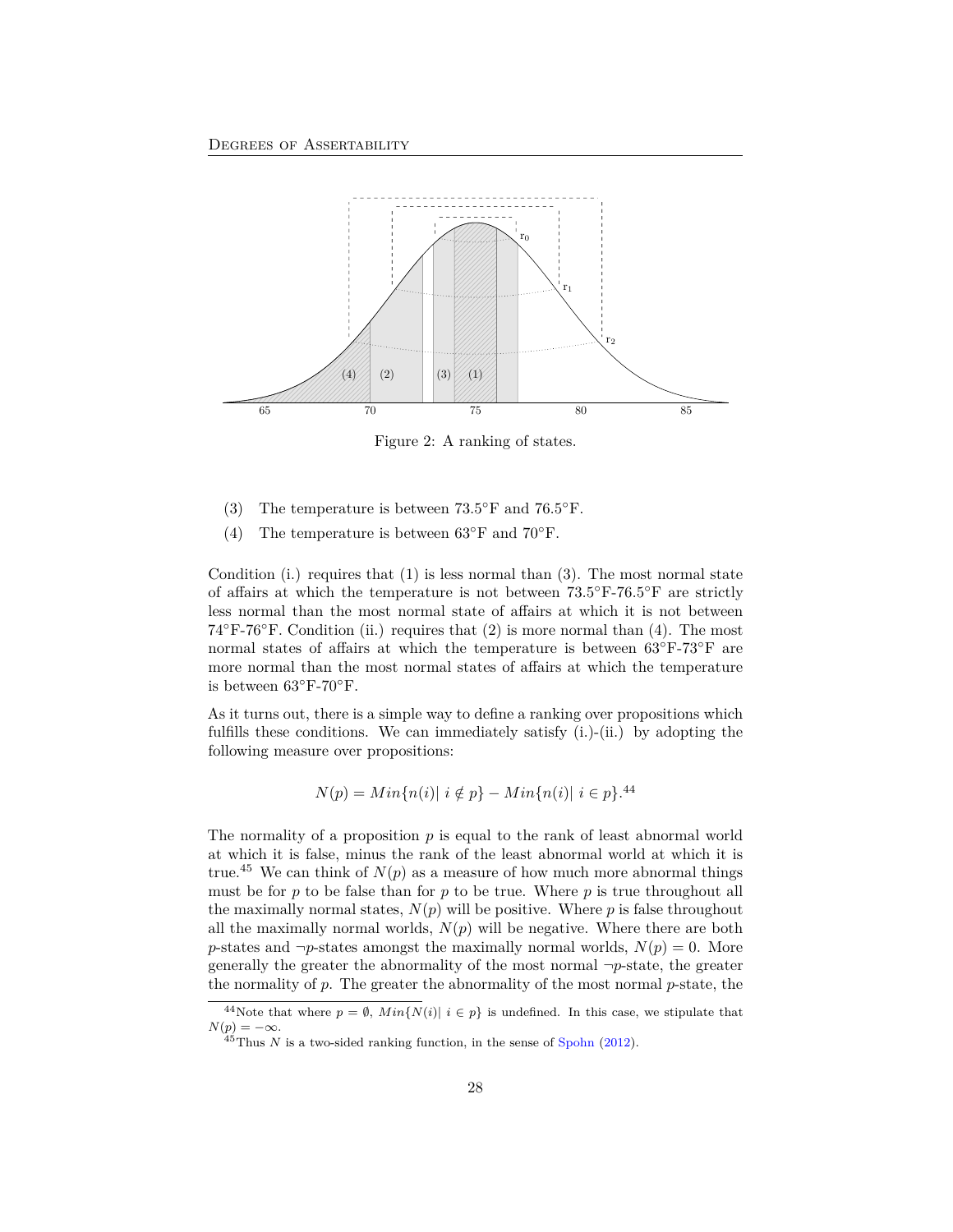<span id="page-27-0"></span>

Figure 2: A ranking of states.

- <span id="page-27-1"></span>(3) The temperature is between 73.5*◦*F and 76.5*◦*F.
- <span id="page-27-2"></span>(4) The temperature is between 63*◦*F and 70*◦*F.

Condition  $(i.)$  requires that  $(1)$  $(1)$  is less normal than  $(3).$  $(3).$  $(3).$  The most normal state of affairs at which the temperature is not between 73.5*◦*F-76.5*◦*F are strictly less normal than the most normal state of affairs at which it is not between 74*◦*F-76*◦*F. Condition (ii.) requires that ([2\)](#page-20-2) is more normal than [\(4](#page-27-2)). The most normal states of affairs at which the temperature is between 63*◦*F-73*◦*F are more normal than the most normal states of affairs at which the temperature is between 63*◦*F-70*◦*F.

As it turns out, there is a simple way to define a ranking over propositions which fulfills these conditions. We can immediately satisfy (i.)-(ii.) by adopting the following measure over propositions:

$$
N(p) = Min\{n(i) | i \notin p\} - Min\{n(i) | i \in p\}^{44}
$$

The normality of a proposition *p* is equal to the rank of least abnormal world at which it is false, minus the rank of the least abnormal world at which it is true.<sup>[45](#page-27-4)</sup> We can think of  $N(p)$  as a measure of how much more abnormal things must be for  $p$  to be false than for  $p$  to be true. Where  $p$  is true throughout all the maximally normal states,  $N(p)$  will be positive. Where  $p$  is false throughout all the maximally normal worlds,  $N(p)$  will be negative. Where there are both *p*-states and  $\neg p$ -states amongst the maximally normal worlds,  $N(p) = 0$ . More generally the greater the abnormality of the most normal  $\neg p\text{-state}$ , the greater the normality of *p*. The greater the abnormality of the most normal *p*-state, the

<span id="page-27-3"></span><sup>&</sup>lt;sup>44</sup>Note that where  $p = \emptyset$ ,  $Min\{N(i) | i \in p\}$  is undefined. In this case, we stipulate that  $N(p) = -\infty$ .

<span id="page-27-4"></span><sup>&</sup>lt;sup>45</sup>Thus *N* is a two-sided ranking function, in the sense of [Spohn](#page-39-19) [\(2012](#page-39-19)).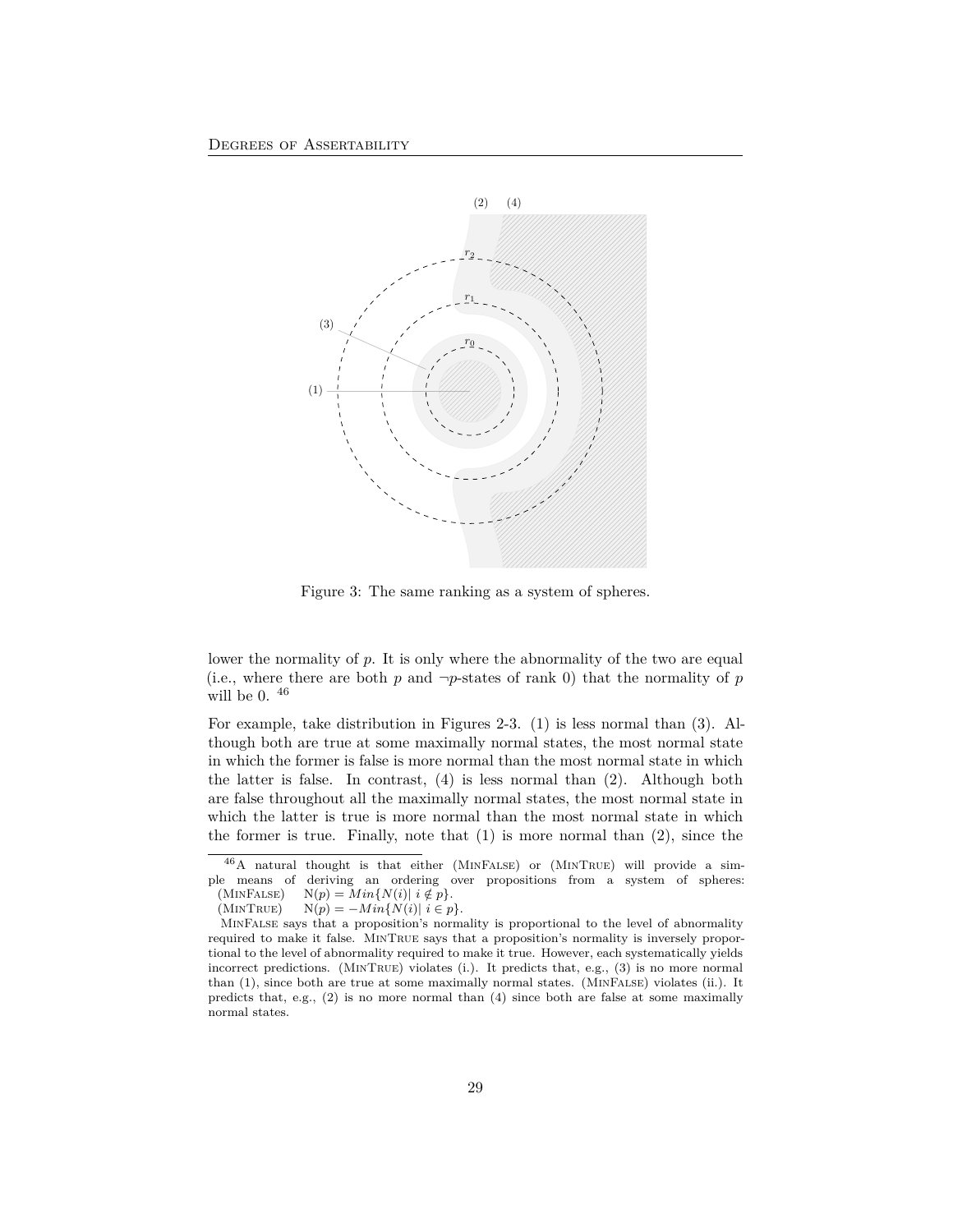<span id="page-28-0"></span>

Figure 3: The same ranking as a system of spheres.

lower the normality of  $p$ . It is only where the abnormality of the two are equal (i.e., where there are both  $p$  and  $\neg p$ -states of rank 0) that the normality of  $p$ will be  $0.46$  $0.46$ 

For example, take distribution in Figures [2](#page-27-0)[-3](#page-28-0). ([1\)](#page-20-1) is less normal than [\(3](#page-27-1)). Although both are true at some maximally normal states, the most normal state in which the former is false is more normal than the most normal state in which the latter is false. In contrast, [\(4](#page-27-2)) is less normal than ([2\)](#page-20-2). Although both are false throughout all the maximally normal states, the most normal state in which the latter is true is more normal than the most normal state in which the former is true. Finally, note that  $(1)$  $(1)$  is more normal than  $(2)$  $(2)$ , since the

<span id="page-28-1"></span><sup>46</sup>A natural thought is that either (MinFalse) or (MinTrue) will provide a simple means of deriving an ordering over propositions from a system of spheres:  $(NINFALSE)$   $N(p) = Min\{N(i) | i \notin p\}.$ 

 $(NINTRUE)$   $N(p) = -Min\{N(i) | i \in p\}.$ 

MinFalse says that a proposition's normality is proportional to the level of abnormality required to make it false. MinTrue says that a proposition's normality is inversely proportional to the level of abnormality required to make it true. However, each systematically yields incorrect predictions. (MinTrue) violates (i.). It predicts that, e.g., ([3](#page-27-1)) is no more normal than ([1](#page-20-1)), since both are true at some maximally normal states. (MinFalse) violates (ii.). It predicts that, e.g., [\(2](#page-20-2)) is no more normal than [\(4](#page-27-2)) since both are false at some maximally normal states.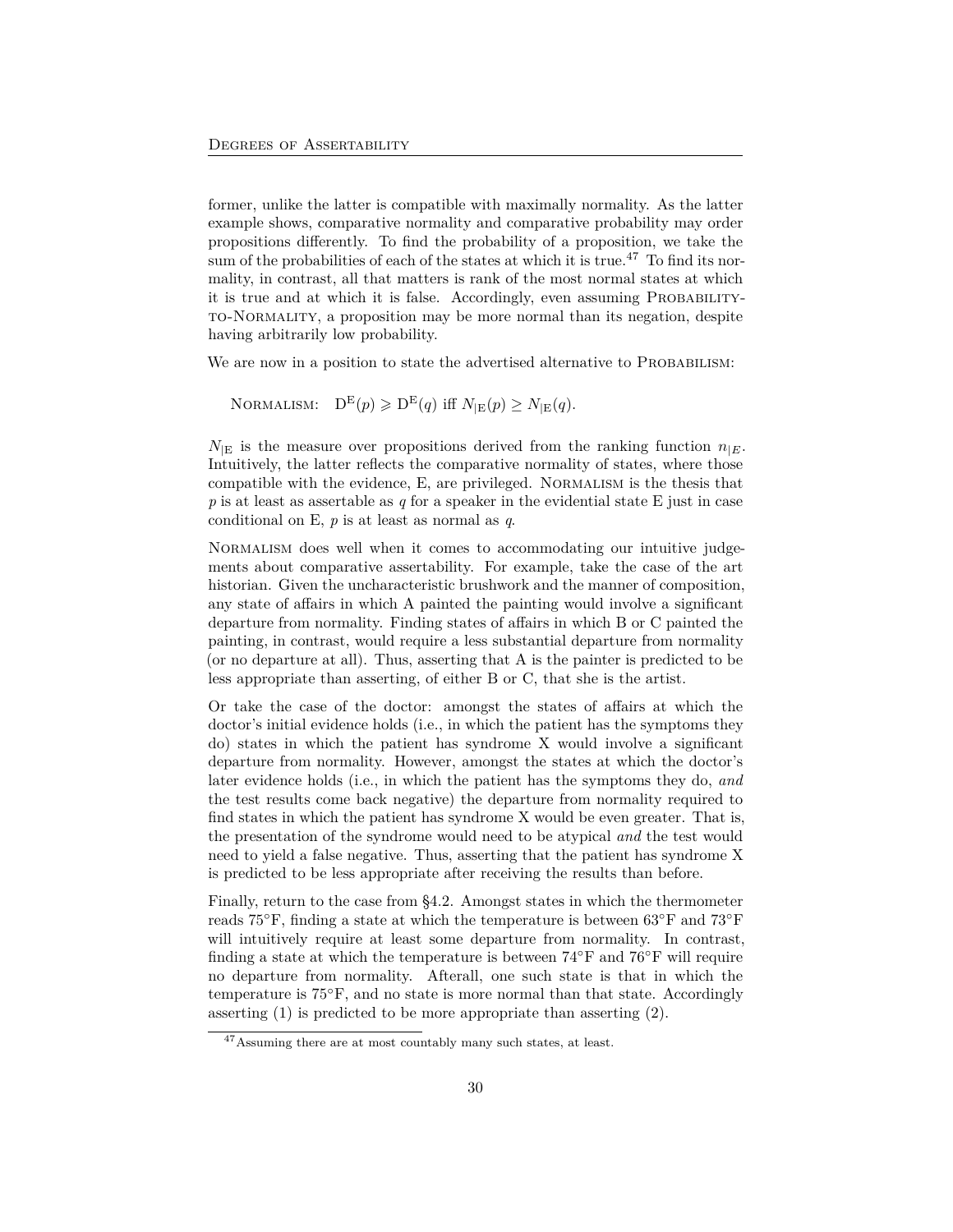former, unlike the latter is compatible with maximally normality. As the latter example shows, comparative normality and comparative probability may order propositions differently. To find the probability of a proposition, we take the sum of the probabilities of each of the states at which it is true.<sup>[47](#page-29-0)</sup> To find its normality, in contrast, all that matters is rank of the most normal states at which it is true and at which it is false. Accordingly, even assuming PROBABILITYto-Normality, a proposition may be more normal than its negation, despite having arbitrarily low probability.

We are now in a position to state the advertised alternative to PROBABILISM:

NORMALISM:  $D^{E}(p) \ge D^{E}(q)$  iff  $N_{E}(p) > N_{E}(q)$ .

 $N_{\text{FE}}$  is the measure over propositions derived from the ranking function  $n_{\text{FE}}$ . Intuitively, the latter reflects the comparative normality of states, where those compatible with the evidence, E, are privileged. Normalism is the thesis that *p* is at least as assertable as *q* for a speaker in the evidential state E just in case conditional on E, *p* is at least as normal as *q*.

Normalism does well when it comes to accommodating our intuitive judgements about comparative assertability. For example, take the case of the art historian. Given the uncharacteristic brushwork and the manner of composition, any state of affairs in which A painted the painting would involve a significant departure from normality. Finding states of affairs in which B or C painted the painting, in contrast, would require a less substantial departure from normality (or no departure at all). Thus, asserting that A is the painter is predicted to be less appropriate than asserting, of either B or C, that she is the artist.

Or take the case of the doctor: amongst the states of affairs at which the doctor's initial evidence holds (i.e., in which the patient has the symptoms they do) states in which the patient has syndrome X would involve a significant departure from normality. However, amongst the states at which the doctor's later evidence holds (i.e., in which the patient has the symptoms they do, *and* the test results come back negative) the departure from normality required to find states in which the patient has syndrome X would be even greater. That is, the presentation of the syndrome would need to be atypical *and* the test would need to yield a false negative. Thus, asserting that the patient has syndrome X is predicted to be less appropriate after receiving the results than before.

Finally, return to the case from [§4.2.](#page-19-0) Amongst states in which the thermometer reads 75*◦*F, finding a state at which the temperature is between 63*◦*F and 73*◦*F will intuitively require at least some departure from normality. In contrast, finding a state at which the temperature is between 74*◦*F and 76*◦*F will require no departure from normality. Afterall, one such state is that in which the temperature is 75*◦*F, and no state is more normal than that state. Accordingly asserting [\(1](#page-20-1)) is predicted to be more appropriate than asserting [\(2](#page-20-2)).

<span id="page-29-0"></span><sup>47</sup>Assuming there are at most countably many such states, at least.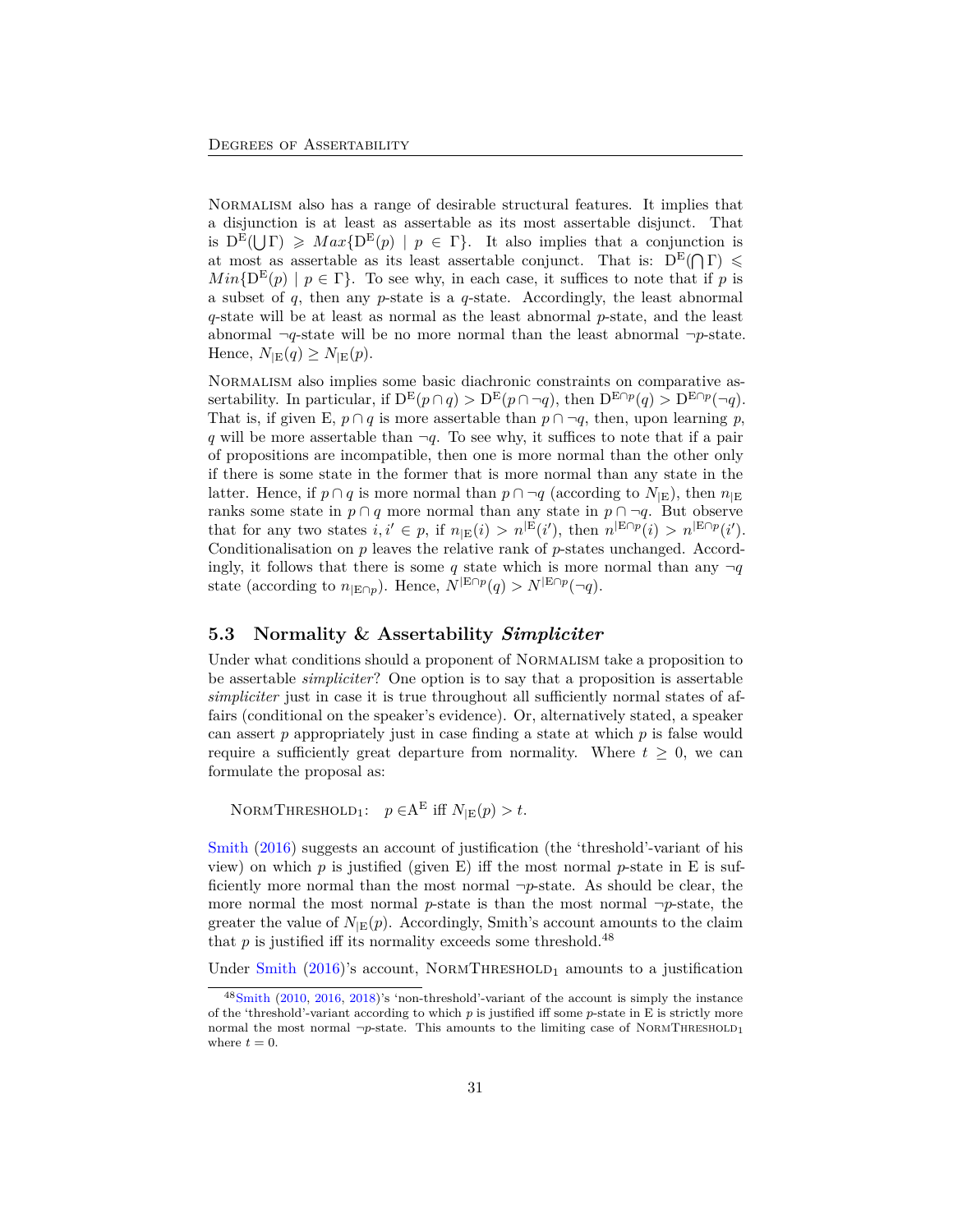Normalism also has a range of desirable structural features. It implies that a disjunction is at least as assertable as its most assertable disjunct. That is  $D^{E}(\bigcup \Gamma) \geqslant Max\{D^{E}(p) \mid p \in \Gamma\}$ . It also implies that a conjunction is at most as assertable as its least assertable conjunct. That is:  $D^{E}(\bigcap \Gamma) \le$  $Min\{D^E(p) \mid p \in \Gamma\}$ . To see why, in each case, it suffices to note that if *p* is a subset of *q*, then any *p*-state is a *q*-state. Accordingly, the least abnormal *q*-state will be at least as normal as the least abnormal *p*-state, and the least abnormal  $\neg q$ -state will be no more normal than the least abnormal  $\neg p$ -state. Hence,  $N_{\text{E}}(q) \geq N_{\text{E}}(p)$ .

Normalism also implies some basic diachronic constraints on comparative assertability. In particular, if  $D^{E}(p \cap q) > D^{E}(p \cap \neg q)$ , then  $D^{E \cap p}(q) > D^{E \cap p}(\neg q)$ . That is, if given E,  $p \cap q$  is more assertable than  $p \cap \neg q$ , then, upon learning p, *q* will be more assertable than  $\neg q$ . To see why, it suffices to note that if a pair of propositions are incompatible, then one is more normal than the other only if there is some state in the former that is more normal than any state in the latter. Hence, if  $p \cap q$  is more normal than  $p \cap \neg q$  (according to  $N_{\mid E}$ ), then  $n_{\mid E}$ ranks some state in  $p \cap q$  more normal than any state in  $p \cap \neg q$ . But observe that for any two states  $i, i' \in p$ , if  $n_{|E}(i) > n^{|E}(i')$ , then  $n^{|E \cap p}(i) > n^{|E \cap p}(i')$ . Conditionalisation on *p* leaves the relative rank of *p*-states unchanged. Accordingly, it follows that there is some *q* state which is more normal than any  $\neg q$ state (according to  $n_{|E \cap p}$ ). Hence,  $N^{|E \cap p}(q) > N^{|E \cap p}(\neg q)$ .

#### <span id="page-30-0"></span>**5.3 Normality & Assertability** *Simpliciter*

Under what conditions should a proponent of Normalism take a proposition to be assertable *simpliciter*? One option is to say that a proposition is assertable *simpliciter* just in case it is true throughout all sufficiently normal states of affairs (conditional on the speaker's evidence). Or, alternatively stated, a speaker can assert *p* appropriately just in case finding a state at which *p* is false would require a sufficiently great departure from normality. Where  $t \geq 0$ , we can formulate the proposal as:

NORMTHRESHOLD<sub>1</sub>:  $p \in A^E$  iff  $N_{\mid E}(p) > t$ .

[Smith](#page-39-13) ([2016\)](#page-39-13) suggests an account of justification (the 'threshold'-variant of his view) on which  $p$  is justified (given E) iff the most normal  $p$ -state in E is sufficiently more normal than the most normal *¬p*-state. As should be clear, the more normal the most normal  $p$ -state is than the most normal  $\neg p$ -state, the greater the value of  $N_{\text{FE}}(p)$ . Accordingly, Smith's account amounts to the claim that  $p$  is justified iff its normality exceeds some threshold.<sup>[48](#page-30-1)</sup>

Under [Smith](#page-39-13)  $(2016)$  $(2016)$  $(2016)$ 's account, NORMTHRESHOLD<sub>1</sub> amounts to a justification

<span id="page-30-1"></span><sup>48</sup>[Smith](#page-39-12) [\(2010](#page-39-12), [2016](#page-39-13), [2018\)](#page-39-23)'s 'non-threshold'-variant of the account is simply the instance of the 'threshold'-variant according to which *p* is justified iff some *p*-state in E is strictly more normal the most normal  $\neg p$ -state. This amounts to the limiting case of NORMTHRESHOLD<sub>1</sub> where  $t=0$ .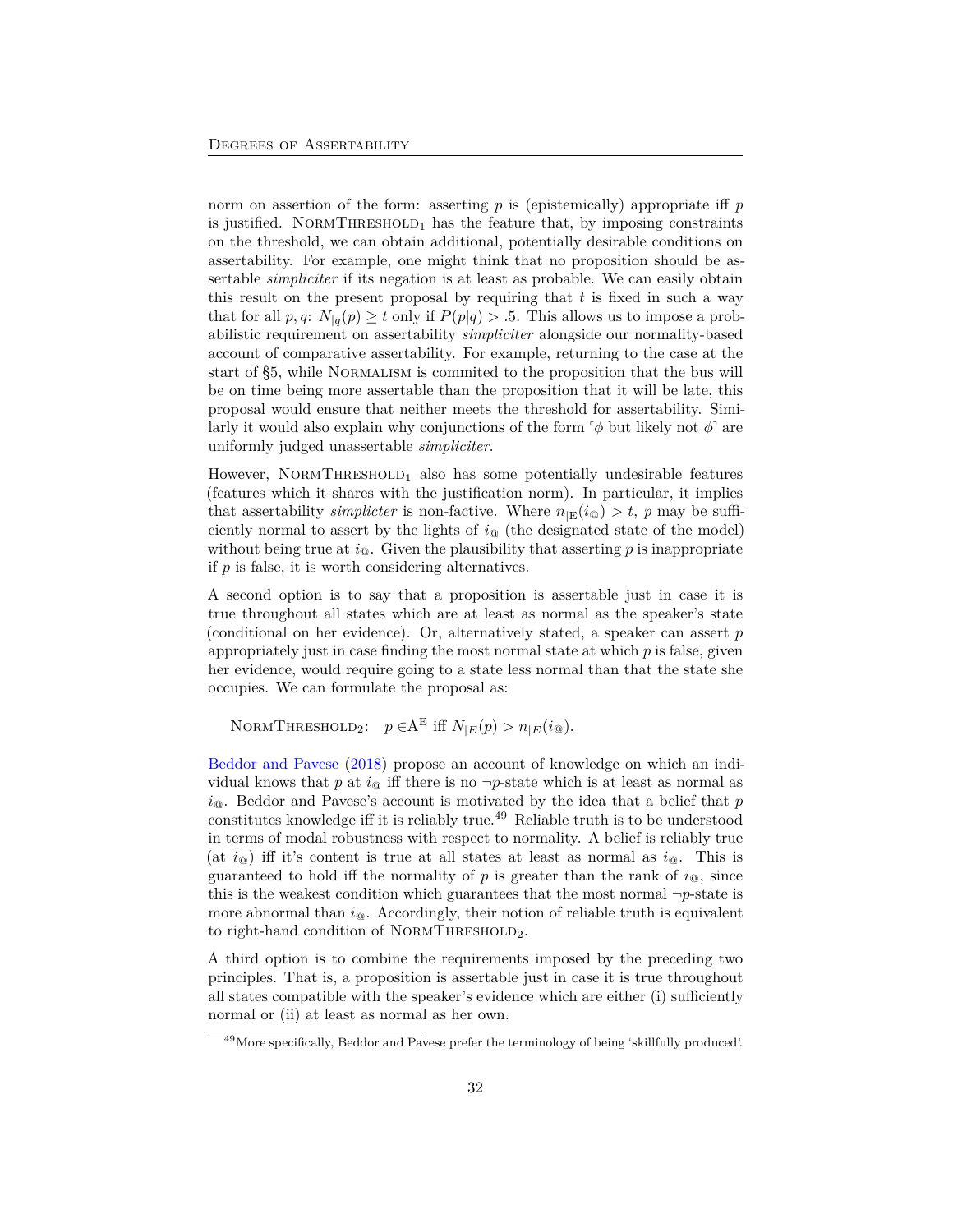norm on assertion of the form: asserting *p* is (epistemically) appropriate iff *p* is justified. NORMTHRESHOLD<sub>1</sub> has the feature that, by imposing constraints on the threshold, we can obtain additional, potentially desirable conditions on assertability. For example, one might think that no proposition should be assertable *simpliciter* if its negation is at least as probable. We can easily obtain this result on the present proposal by requiring that *t* is fixed in such a way that for all  $p, q$ :  $N_{|q}(p) \ge t$  only if  $P(p|q) > .5$ . This allows us to impose a probabilistic requirement on assertability *simpliciter* alongside our normality-based account of comparative assertability. For example, returning to the case at the start of §[5,](#page-22-0) while Normalism is commited to the proposition that the bus will be on time being more assertable than the proposition that it will be late, this proposal would ensure that neither meets the threshold for assertability. Similarly it would also explain why conjunctions of the form  $\phi$  but likely not  $\phi$ <sup>3</sup> are uniformly judged unassertable *simpliciter*.

However,  $NORMTHRESHOLD<sub>1</sub>$  also has some potentially undesirable features (features which it shares with the justification norm). In particular, it implies that assertability *simplicter* is non-factive. Where  $n_{\text{IE}}(i_{\text{Q}}) > t$ , *p* may be sufficiently normal to assert by the lights of  $i_{\mathcal{Q}}$  (the designated state of the model) without being true at  $i_{\mathcal{Q}}$ . Given the plausibility that asserting p is inappropriate if *p* is false, it is worth considering alternatives.

A second option is to say that a proposition is assertable just in case it is true throughout all states which are at least as normal as the speaker's state (conditional on her evidence). Or, alternatively stated, a speaker can assert *p* appropriately just in case finding the most normal state at which *p* is false, given her evidence, would require going to a state less normal than that the state she occupies. We can formulate the proposal as:

NORMTHRESHOLD<sub>2</sub>:  $p \in A^E$  iff  $N_{|E}(p) > n_{|E}(i_{\textcircled{a}})$ .

[Beddor and Pavese](#page-35-22) [\(2018](#page-35-22)) propose an account of knowledge on which an individual knows that *p* at  $i_{\text{Q}}$  iff there is no  $\neg p$ -state which is at least as normal as *i*@. Beddor and Pavese's account is motivated by the idea that a belief that *p* constitutes knowledge iff it is reliably true.<sup>[49](#page-31-0)</sup> Reliable truth is to be understood in terms of modal robustness with respect to normality. A belief is reliably true (at  $i_{\text{Q}}$ ) iff it's content is true at all states at least as normal as  $i_{\text{Q}}$ . This is guaranteed to hold iff the normality of  $p$  is greater than the rank of  $i_{\mathcal{Q}}$ , since this is the weakest condition which guarantees that the most normal  $\neg p\text{-state}$  is more abnormal than  $i_{\mathcal{Q}}$ . Accordingly, their notion of reliable truth is equivalent to right-hand condition of NORMTHRESHOLD<sub>2</sub>.

A third option is to combine the requirements imposed by the preceding two principles. That is, a proposition is assertable just in case it is true throughout all states compatible with the speaker's evidence which are either (i) sufficiently normal or (ii) at least as normal as her own.

<span id="page-31-0"></span><sup>49</sup>More specifically, Beddor and Pavese prefer the terminology of being 'skillfully produced'.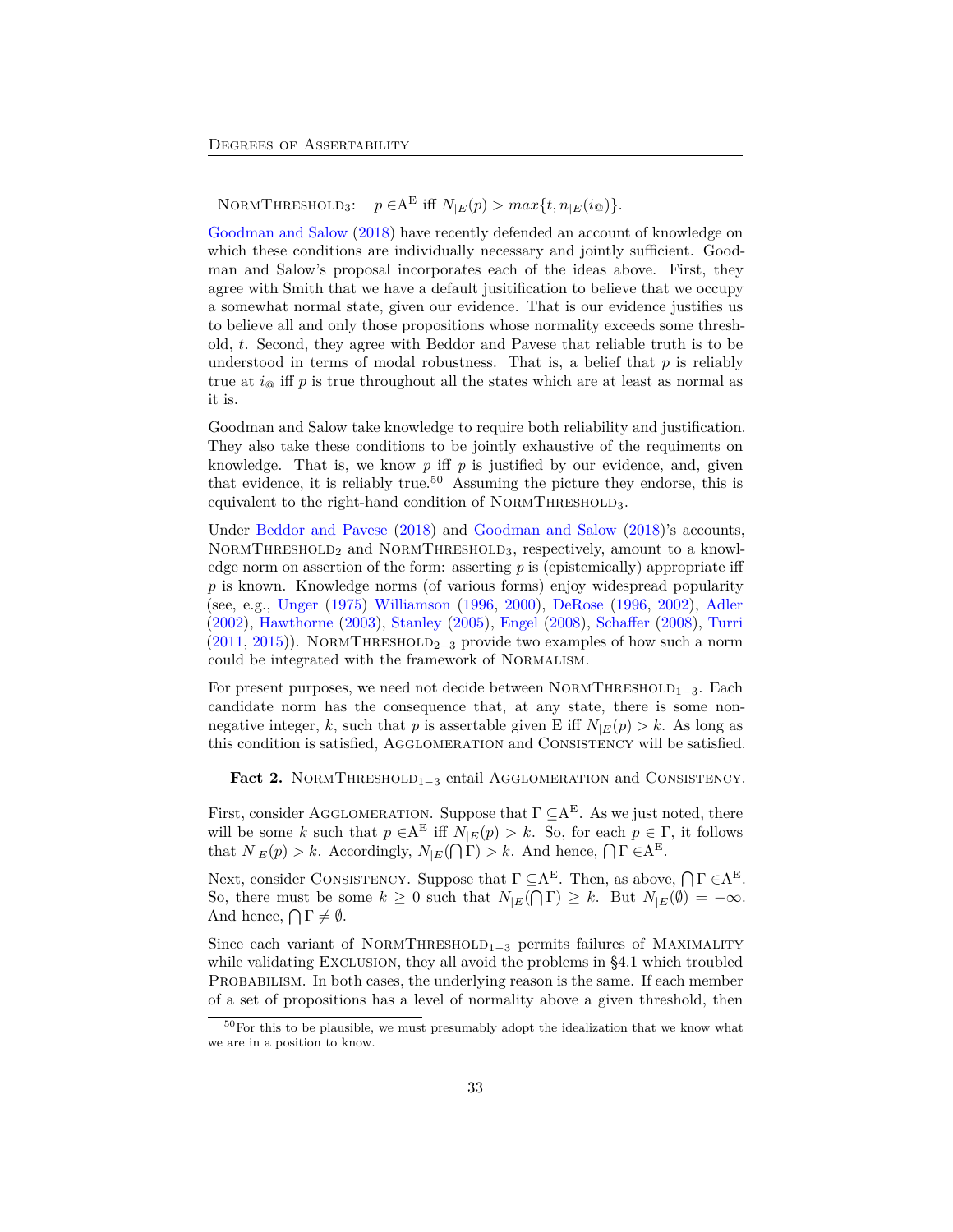NORMTHRESHOLD<sub>3</sub>:  $p \in A^E$  iff  $N_{|E}(p) > max\{t, n_{|E}(i_0)\}.$ 

[Goodman and Salow](#page-36-27) [\(2018](#page-36-27)) have recently defended an account of knowledge on which these conditions are individually necessary and jointly sufficient. Goodman and Salow's proposal incorporates each of the ideas above. First, they agree with Smith that we have a default jusitification to believe that we occupy a somewhat normal state, given our evidence. That is our evidence justifies us to believe all and only those propositions whose normality exceeds some threshold, *t*. Second, they agree with Beddor and Pavese that reliable truth is to be understood in terms of modal robustness. That is, a belief that *p* is reliably true at  $i_{\mathcal{Q}}$  iff p is true throughout all the states which are at least as normal as it is.

Goodman and Salow take knowledge to require both reliability and justification. They also take these conditions to be jointly exhaustive of the requiments on knowledge. That is, we know  $p$  iff  $p$  is justified by our evidence, and, given that evidence, it is reliably true.<sup>[50](#page-32-0)</sup> Assuming the picture they endorse, this is equivalent to the right-hand condition of NORMTHRESHOLD3.

Under [Beddor and Pavese](#page-35-22) ([2018\)](#page-35-22) and [Goodman and Salow](#page-36-27) [\(2018](#page-36-27))'s accounts,  $N$ ORMTHRESHOLD<sub>2</sub> and NORMTHRESHOLD<sub>3</sub>, respectively, amount to a knowledge norm on assertion of the form: asserting *p* is (epistemically) appropriate iff *p* is known. Knowledge norms (of various forms) enjoy widespread popularity (see, e.g., [Unger](#page-39-4) ([1975\)](#page-39-4) [Williamson](#page-40-9) ([1996,](#page-40-9) [2000](#page-40-0)), [DeRose](#page-36-16) ([1996,](#page-36-16) [2002\)](#page-36-17), [Adler](#page-35-14) [\(2002](#page-35-14)), [Hawthorne](#page-36-9) ([2003](#page-36-9)), [Stanley](#page-39-5) [\(2005](#page-39-5)), [Engel](#page-36-18) [\(2008](#page-36-18)), [Schaffer](#page-38-17) ([2008\)](#page-38-17), [Turri](#page-39-6) [\(2011](#page-39-6), [2015](#page-39-7))). NormThreshold2*−*<sup>3</sup> provide two examples of how such a norm could be integrated with the framework of Normalism.

For present purposes, we need not decide between NormThreshold1*−*3. Each candidate norm has the consequence that, at any state, there is some nonnegative integer, k, such that p is assertable given E iff  $N_{E}(p) > k$ . As long as this condition is satisfied, AGGLOMERATION and CONSISTENCY will be satisfied.

Fact 2. NORMTHRESHOLD<sub>1</sub><sup>-3</sup> entail AGGLOMERATION and CONSISTENCY.

First, consider Agglomeration. Suppose that Γ *⊆*A<sup>E</sup>. As we just noted, there will be some *k* such that  $p \in A^E$  iff  $N_E(p) > k$ . So, for each  $p \in \Gamma$ , it follows that  $N_{|E}(p) > k$ . Accordingly,  $N_{|E}(\bigcap \Gamma) > k$ . And hence,  $\bigcap \Gamma \in A^E$ .

Next, consider CONSISTENCY. Suppose that Γ ⊆A<sup>E</sup>. Then, as above,  $\bigcap \Gamma \in A^E$ . So, there must be some  $k \geq 0$  such that  $N_{|E}(\bigcap \Gamma) \geq k$ . But  $N_{|E}(\emptyset) = -\infty$ . And hence,  $\bigcap \Gamma \neq \emptyset$ .

Since each variant of NORMTHRESHOLD<sub>1</sub><sup>-3</sup> permits failures of MAXIMALITY while validating EXCLUSION, they all avoid the problems in [§4.1](#page-12-1) which troubled PROBABILISM. In both cases, the underlying reason is the same. If each member of a set of propositions has a level of normality above a given threshold, then

<span id="page-32-0"></span> $50$  For this to be plausible, we must presumably adopt the idealization that we know what we are in a position to know.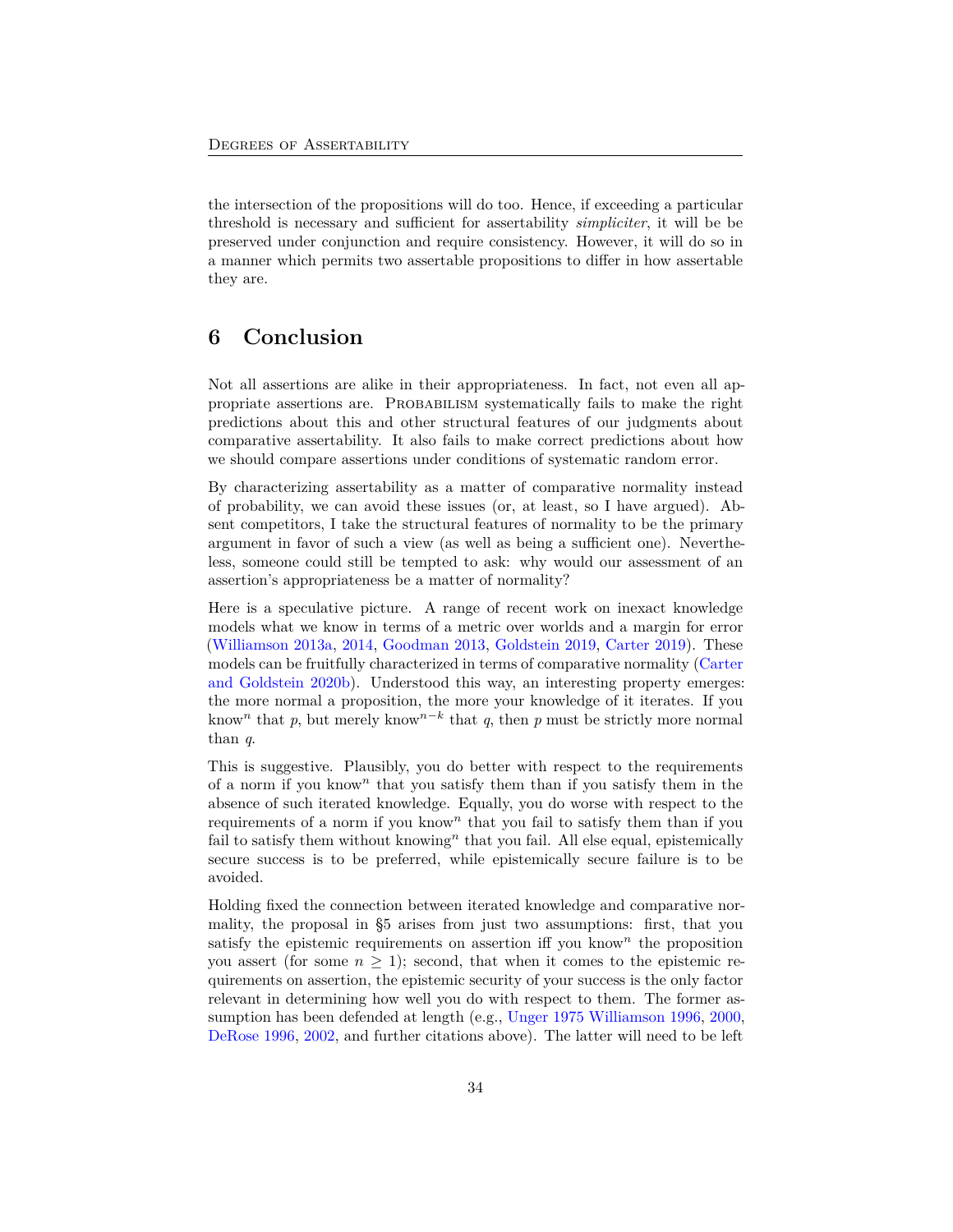the intersection of the propositions will do too. Hence, if exceeding a particular threshold is necessary and sufficient for assertability *simpliciter*, it will be be preserved under conjunction and require consistency. However, it will do so in a manner which permits two assertable propositions to differ in how assertable they are.

## <span id="page-33-0"></span>**6 Conclusion**

Not all assertions are alike in their appropriateness. In fact, not even all appropriate assertions are. Probabilism systematically fails to make the right predictions about this and other structural features of our judgments about comparative assertability. It also fails to make correct predictions about how we should compare assertions under conditions of systematic random error.

By characterizing assertability as a matter of comparative normality instead of probability, we can avoid these issues (or, at least, so I have argued). Absent competitors, I take the structural features of normality to be the primary argument in favor of such a view (as well as being a sufficient one). Nevertheless, someone could still be tempted to ask: why would our assessment of an assertion's appropriateness be a matter of normality?

Here is a speculative picture. A range of recent work on inexact knowledge models what we know in terms of a metric over worlds and a margin for error [\(Williamson](#page-40-16) [2013a,](#page-40-16) [2014,](#page-40-17) [Goodman](#page-36-25) [2013,](#page-36-25) [Goldstein](#page-36-28) [2019](#page-36-28), [Carter](#page-36-26) [2019\)](#page-36-26). These models can be fruitfully characterized in terms of comparative normality [\(Carter](#page-36-22) [and Goldstein](#page-36-22) [2020b\)](#page-36-22). Understood this way, an interesting property emerges: the more normal a proposition, the more your knowledge of it iterates. If you know<sup>n</sup> that  $p$ , but merely know<sup>n−k</sup> that  $q$ , then  $p$  must be strictly more normal than *q*.

This is suggestive. Plausibly, you do better with respect to the requirements of a norm if you know*<sup>n</sup>* that you satisfy them than if you satisfy them in the absence of such iterated knowledge. Equally, you do worse with respect to the requirements of a norm if you know*<sup>n</sup>* that you fail to satisfy them than if you fail to satisfy them without knowing*<sup>n</sup>* that you fail. All else equal, epistemically secure success is to be preferred, while epistemically secure failure is to be avoided.

Holding fixed the connection between iterated knowledge and comparative normality, the proposal in [§5](#page-22-0) arises from just two assumptions: first, that you satisfy the epistemic requirements on assertion iff you know*<sup>n</sup>* the proposition you assert (for some  $n \geq 1$ ); second, that when it comes to the epistemic requirements on assertion, the epistemic security of your success is the only factor relevant in determining how well you do with respect to them. The former assumption has been defended at length (e.g., [Unger](#page-39-4) [1975](#page-39-4) [Williamson](#page-40-9) [1996](#page-40-9), [2000](#page-40-0), [DeRose](#page-36-16) [1996](#page-36-16), [2002](#page-36-17), and further citations above). The latter will need to be left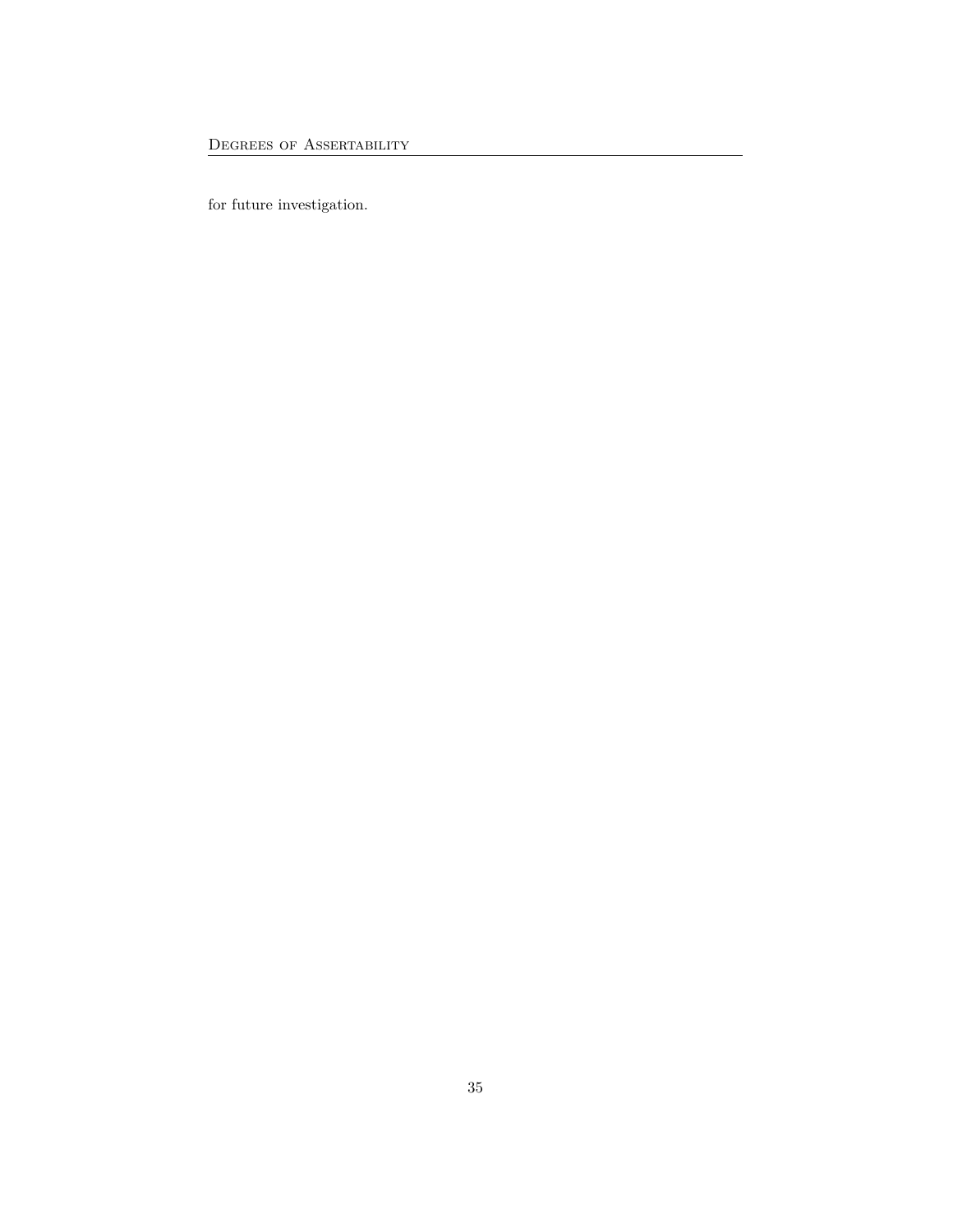for future investigation.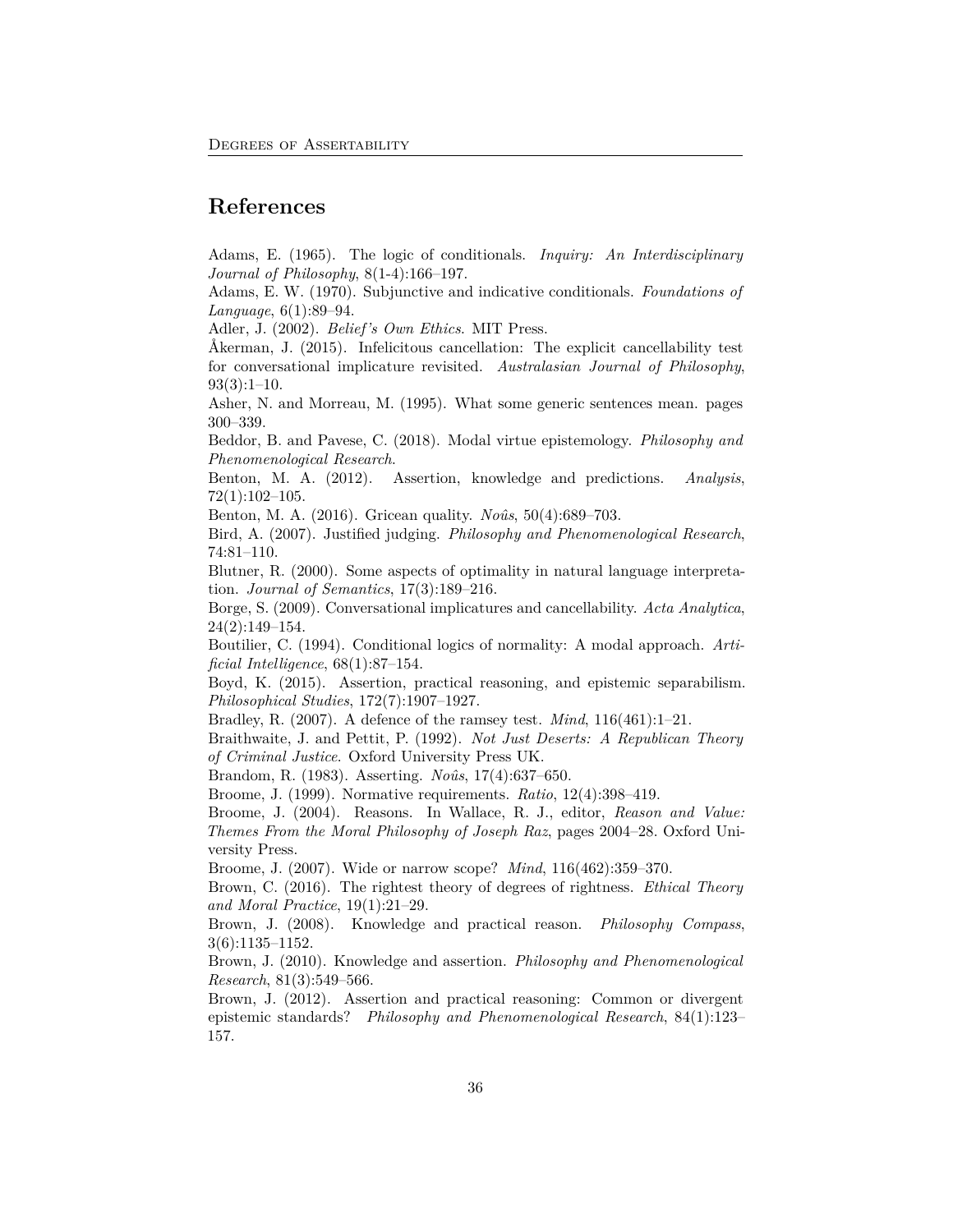### **References**

<span id="page-35-2"></span>Adams, E. (1965). The logic of conditionals. *Inquiry: An Interdisciplinary Journal of Philosophy*, 8(1-4):166–197.

<span id="page-35-3"></span>Adams, E. W. (1970). Subjunctive and indicative conditionals. *Foundations of Language*, 6(1):89–94.

<span id="page-35-14"></span>Adler, J. (2002). *Belief's Own Ethics*. MIT Press.

<span id="page-35-19"></span>Åkerman, J. (2015). Infelicitous cancellation: The explicit cancellability test for conversational implicature revisited. *Australasian Journal of Philosophy*,  $93(3):1-10.$ 

<span id="page-35-21"></span>Asher, N. and Morreau, M. (1995). What some generic sentences mean. pages 300–339.

<span id="page-35-22"></span>Beddor, B. and Pavese, C. (2018). Modal virtue epistemology. *Philosophy and Phenomenological Research*.

<span id="page-35-10"></span>Benton, M. A. (2012). Assertion, knowledge and predictions. *Analysis*, 72(1):102–105.

<span id="page-35-5"></span>Benton, M. A. (2016). Gricean quality. *Noûs*, 50(4):689–703.

<span id="page-35-16"></span>Bird, A. (2007). Justified judging. *Philosophy and Phenomenological Research*, 74:81–110.

<span id="page-35-4"></span>Blutner, R. (2000). Some aspects of optimality in natural language interpretation. *Journal of Semantics*, 17(3):189–216.

<span id="page-35-18"></span>Borge, S. (2009). Conversational implicatures and cancellability. *Acta Analytica*, 24(2):149–154.

<span id="page-35-20"></span>Boutilier, C. (1994). Conditional logics of normality: A modal approach. *Artificial Intelligence*, 68(1):87–154.

<span id="page-35-9"></span>Boyd, K. (2015). Assertion, practical reasoning, and epistemic separabilism. *Philosophical Studies*, 172(7):1907–1927.

<span id="page-35-1"></span>Bradley, R. (2007). A defence of the ramsey test. *Mind*, 116(461):1–21.

<span id="page-35-6"></span>Braithwaite, J. and Pettit, P. (1992). *Not Just Deserts: A Republican Theory of Criminal Justice*. Oxford University Press UK.

<span id="page-35-15"></span>Brandom, R. (1983). Asserting. *Noûs*, 17(4):637–650.

<span id="page-35-11"></span>Broome, J. (1999). Normative requirements. *Ratio*, 12(4):398–419.

<span id="page-35-12"></span>Broome, J. (2004). Reasons. In Wallace, R. J., editor, *Reason and Value: Themes From the Moral Philosophy of Joseph Raz*, pages 2004–28. Oxford University Press.

<span id="page-35-13"></span>Broome, J. (2007). Wide or narrow scope? *Mind*, 116(462):359–370.

<span id="page-35-0"></span>Brown, C. (2016). The rightest theory of degrees of rightness. *Ethical Theory and Moral Practice*, 19(1):21–29.

<span id="page-35-7"></span>Brown, J. (2008). Knowledge and practical reason. *Philosophy Compass*, 3(6):1135–1152.

<span id="page-35-17"></span>Brown, J. (2010). Knowledge and assertion. *Philosophy and Phenomenological Research*, 81(3):549–566.

<span id="page-35-8"></span>Brown, J. (2012). Assertion and practical reasoning: Common or divergent epistemic standards? *Philosophy and Phenomenological Research*, 84(1):123– 157.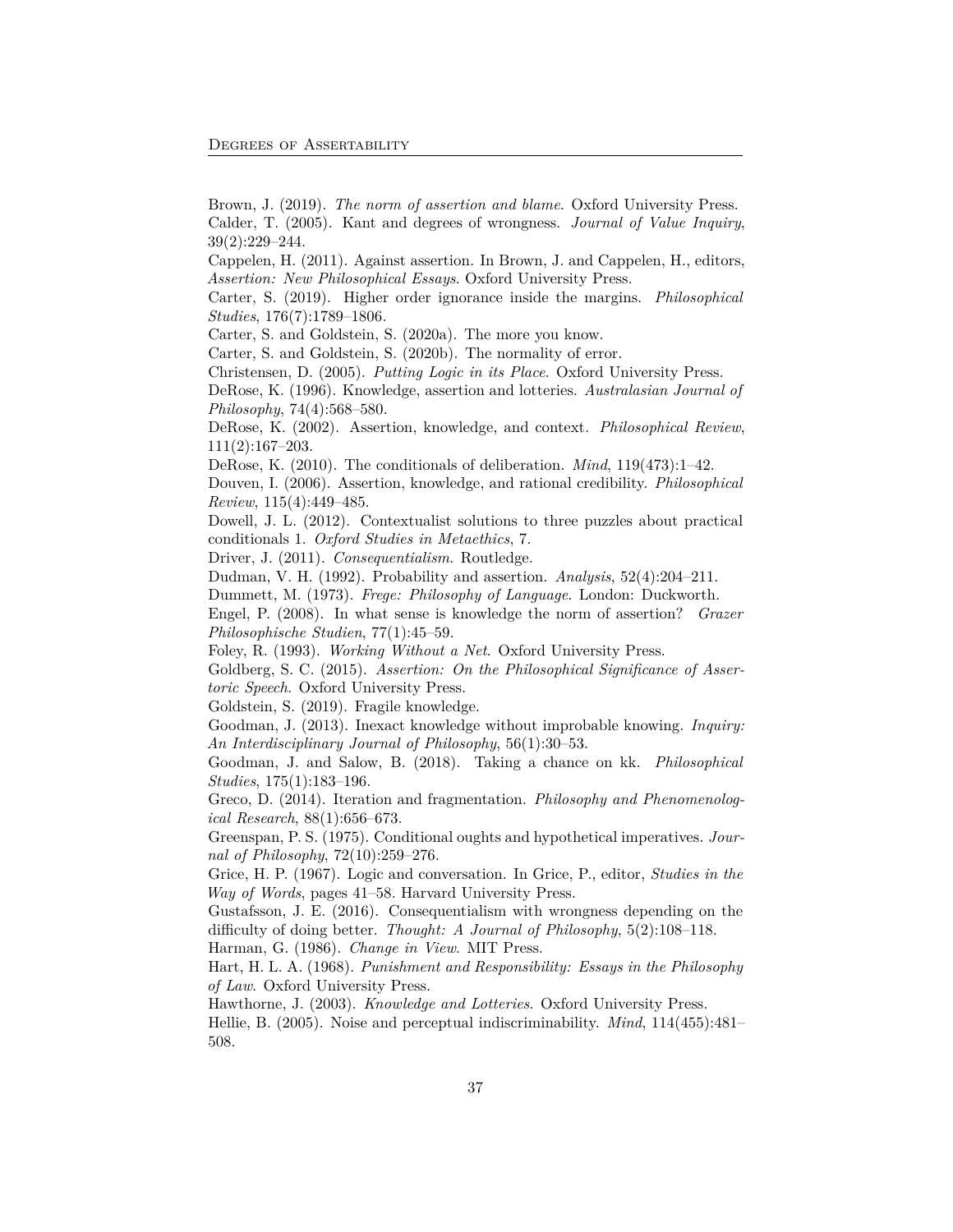<span id="page-36-7"></span><span id="page-36-3"></span>Brown, J. (2019). *The norm of assertion and blame*. Oxford University Press. Calder, T. (2005). Kant and degrees of wrongness. *Journal of Value Inquiry*, 39(2):229–244.

<span id="page-36-2"></span>Cappelen, H. (2011). Against assertion. In Brown, J. and Cappelen, H., editors, *Assertion: New Philosophical Essays*. Oxford University Press.

<span id="page-36-26"></span>Carter, S. (2019). Higher order ignorance inside the margins. *Philosophical Studies*, 176(7):1789–1806.

<span id="page-36-23"></span>Carter, S. and Goldstein, S. (2020a). The more you know.

<span id="page-36-22"></span>Carter, S. and Goldstein, S. (2020b). The normality of error.

<span id="page-36-21"></span>Christensen, D. (2005). *Putting Logic in its Place*. Oxford University Press.

<span id="page-36-16"></span>DeRose, K. (1996). Knowledge, assertion and lotteries. *Australasian Journal of Philosophy*, 74(4):568–580.

<span id="page-36-17"></span>DeRose, K. (2002). Assertion, knowledge, and context. *Philosophical Review*, 111(2):167–203.

<span id="page-36-4"></span>DeRose, K. (2010). The conditionals of deliberation. *Mind*, 119(473):1–42.

<span id="page-36-15"></span>Douven, I. (2006). Assertion, knowledge, and rational credibility. *Philosophical Review*, 115(4):449–485.

<span id="page-36-13"></span>Dowell, J. L. (2012). Contextualist solutions to three puzzles about practical conditionals 1. *Oxford Studies in Metaethics*, 7.

<span id="page-36-1"></span>Driver, J. (2011). *Consequentialism*. Routledge.

<span id="page-36-5"></span>Dudman, V. H. (1992). Probability and assertion. *Analysis*, 52(4):204–211.

<span id="page-36-14"></span>Dummett, M. (1973). *Frege: Philosophy of Language*. London: Duckworth.

<span id="page-36-18"></span>Engel, P. (2008). In what sense is knowledge the norm of assertion? *Grazer Philosophische Studien*, 77(1):45–59.

<span id="page-36-20"></span>Foley, R. (1993). *Working Without a Net*. Oxford University Press.

<span id="page-36-10"></span>Goldberg, S. C. (2015). *Assertion: On the Philosophical Significance of Assertoric Speech*. Oxford University Press.

<span id="page-36-28"></span>Goldstein, S. (2019). Fragile knowledge.

<span id="page-36-25"></span>Goodman, J. (2013). Inexact knowledge without improbable knowing. *Inquiry: An Interdisciplinary Journal of Philosophy*, 56(1):30–53.

<span id="page-36-27"></span>Goodman, J. and Salow, B. (2018). Taking a chance on kk. *Philosophical Studies*, 175(1):183–196.

<span id="page-36-11"></span>Greco, D. (2014). Iteration and fragmentation. *Philosophy and Phenomenological Research*, 88(1):656–673.

<span id="page-36-12"></span>Greenspan, P. S. (1975). Conditional oughts and hypothetical imperatives. *Journal of Philosophy*, 72(10):259–276.

<span id="page-36-6"></span>Grice, H. P. (1967). Logic and conversation. In Grice, P., editor, *Studies in the Way of Words*, pages 41–58. Harvard University Press.

<span id="page-36-0"></span>Gustafsson, J. E. (2016). Consequentialism with wrongness depending on the difficulty of doing better. *Thought: A Journal of Philosophy*, 5(2):108–118. Harman, G. (1986). *Change in View*. MIT Press.

<span id="page-36-19"></span><span id="page-36-8"></span>Hart, H. L. A. (1968). *Punishment and Responsibility: Essays in the Philosophy of Law*. Oxford University Press.

<span id="page-36-9"></span>Hawthorne, J. (2003). *Knowledge and Lotteries*. Oxford University Press.

<span id="page-36-24"></span>Hellie, B. (2005). Noise and perceptual indiscriminability. *Mind*, 114(455):481– 508.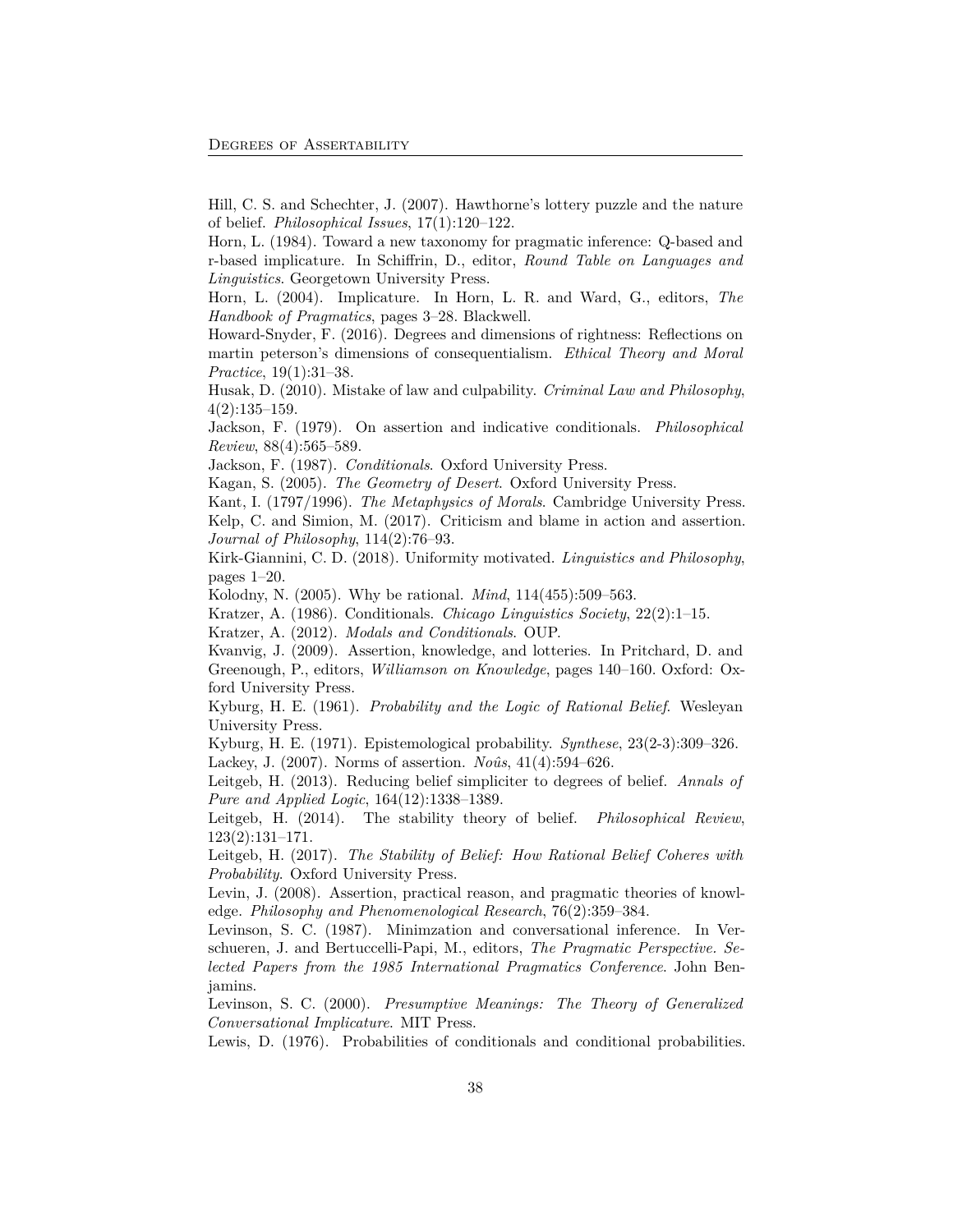<span id="page-37-20"></span>Hill, C. S. and Schechter, J. (2007). Hawthorne's lottery puzzle and the nature of belief. *Philosophical Issues*, 17(1):120–122.

<span id="page-37-5"></span>Horn, L. (1984). Toward a new taxonomy for pragmatic inference: Q-based and r-based implicature. In Schiffrin, D., editor, *Round Table on Languages and Linguistics*. Georgetown University Press.

<span id="page-37-6"></span>Horn, L. (2004). Implicature. In Horn, L. R. and Ward, G., editors, *The Handbook of Pragmatics*, pages 3–28. Blackwell.

<span id="page-37-0"></span>Howard-Snyder, F. (2016). Degrees and dimensions of rightness: Reflections on martin peterson's dimensions of consequentialism. *Ethical Theory and Moral Practice*, 19(1):31–38.

<span id="page-37-14"></span>Husak, D. (2010). Mistake of law and culpability. *Criminal Law and Philosophy*, 4(2):135–159.

<span id="page-37-3"></span>Jackson, F. (1979). On assertion and indicative conditionals. *Philosophical Review*, 88(4):565–589.

<span id="page-37-1"></span>Jackson, F. (1987). *Conditionals*. Oxford University Press.

<span id="page-37-12"></span>Kagan, S. (2005). *The Geometry of Desert*. Oxford University Press.

<span id="page-37-11"></span><span id="page-37-9"></span>Kant, I. (1797/1996). *The Metaphysics of Morals*. Cambridge University Press. Kelp, C. and Simion, M. (2017). Criticism and blame in action and assertion. *Journal of Philosophy*, 114(2):76–93.

<span id="page-37-10"></span>Kirk-Giannini, C. D. (2018). Uniformity motivated. *Linguistics and Philosophy*, pages 1–20.

<span id="page-37-15"></span>Kolodny, N. (2005). Why be rational. *Mind*, 114(455):509–563.

<span id="page-37-16"></span>Kratzer, A. (1986). Conditionals. *Chicago Linguistics Society*, 22(2):1–15.

<span id="page-37-17"></span>Kratzer, A. (2012). *Modals and Conditionals*. OUP.

<span id="page-37-21"></span>Kvanvig, J. (2009). Assertion, knowledge, and lotteries. In Pritchard, D. and Greenough, P., editors, *Williamson on Knowledge*, pages 140–160. Oxford: Oxford University Press.

<span id="page-37-24"></span>Kyburg, H. E. (1961). *Probability and the Logic of Rational Belief*. Wesleyan University Press.

<span id="page-37-19"></span><span id="page-37-18"></span>Kyburg, H. E. (1971). Epistemological probability. *Synthese*, 23(2-3):309–326. Lackey, J. (2007). Norms of assertion. *Noûs*, 41(4):594–626.

<span id="page-37-22"></span>Leitgeb, H. (2013). Reducing belief simpliciter to degrees of belief. *Annals of Pure and Applied Logic*, 164(12):1338–1389.

<span id="page-37-23"></span>Leitgeb, H. (2014). The stability theory of belief. *Philosophical Review*, 123(2):131–171.

<span id="page-37-4"></span>Leitgeb, H. (2017). *The Stability of Belief: How Rational Belief Coheres with Probability*. Oxford University Press.

<span id="page-37-13"></span>Levin, J. (2008). Assertion, practical reason, and pragmatic theories of knowledge. *Philosophy and Phenomenological Research*, 76(2):359–384.

<span id="page-37-7"></span>Levinson, S. C. (1987). Minimzation and conversational inference. In Verschueren, J. and Bertuccelli-Papi, M., editors, *The Pragmatic Perspective. Selected Papers from the 1985 International Pragmatics Conference*. John Benjamins.

<span id="page-37-8"></span>Levinson, S. C. (2000). *Presumptive Meanings: The Theory of Generalized Conversational Implicature*. MIT Press.

<span id="page-37-2"></span>Lewis, D. (1976). Probabilities of conditionals and conditional probabilities.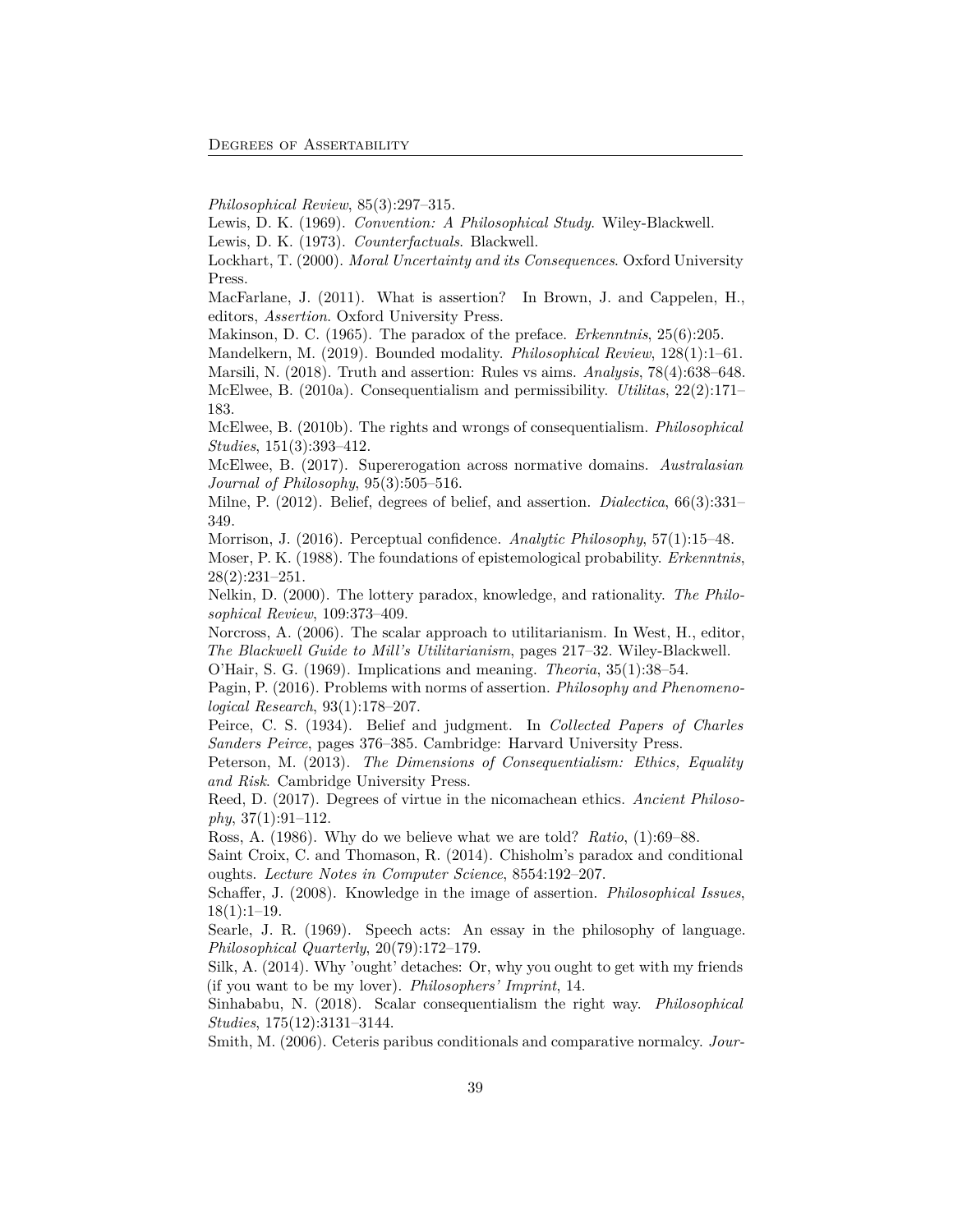*Philosophical Review*, 85(3):297–315.

<span id="page-38-12"></span>Lewis, D. K. (1969). *Convention: A Philosophical Study*. Wiley-Blackwell.

<span id="page-38-26"></span>Lewis, D. K. (1973). *Counterfactuals*. Blackwell.

<span id="page-38-0"></span>Lockhart, T. (2000). *Moral Uncertainty and its Consequences*. Oxford University Press.

<span id="page-38-18"></span>MacFarlane, J. (2011). What is assertion? In Brown, J. and Cappelen, H., editors, *Assertion*. Oxford University Press.

<span id="page-38-19"></span>Makinson, D. C. (1965). The paradox of the preface. *Erkenntnis*, 25(6):205.

<span id="page-38-24"></span><span id="page-38-16"></span><span id="page-38-4"></span>Mandelkern, M. (2019). Bounded modality. *Philosophical Review*, 128(1):1–61. Marsili, N. (2018). Truth and assertion: Rules vs aims. *Analysis*, 78(4):638–648. McElwee, B. (2010a). Consequentialism and permissibility. *Utilitas*, 22(2):171– 183.

<span id="page-38-5"></span>McElwee, B. (2010b). The rights and wrongs of consequentialism. *Philosophical Studies*, 151(3):393–412.

<span id="page-38-8"></span>McElwee, B. (2017). Supererogation across normative domains. *Australasian Journal of Philosophy*, 95(3):505–516.

<span id="page-38-10"></span>Milne, P. (2012). Belief, degrees of belief, and assertion. *Dialectica*, 66(3):331– 349.

<span id="page-38-23"></span>Morrison, J. (2016). Perceptual confidence. *Analytic Philosophy*, 57(1):15–48.

<span id="page-38-15"></span>Moser, P. K. (1988). The foundations of epistemological probability. *Erkenntnis*, 28(2):231–251.

<span id="page-38-22"></span>Nelkin, D. (2000). The lottery paradox, knowledge, and rationality. *The Philosophical Review*, 109:373–409.

<span id="page-38-2"></span>Norcross, A. (2006). The scalar approach to utilitarianism. In West, H., editor, *The Blackwell Guide to Mill's Utilitarianism*, pages 217–32. Wiley-Blackwell.

<span id="page-38-11"></span>O'Hair, S. G. (1969). Implications and meaning. *Theoria*, 35(1):38–54.

<span id="page-38-7"></span>Pagin, P. (2016). Problems with norms of assertion. *Philosophy and Phenomenological Research*, 93(1):178–207.

<span id="page-38-20"></span>Peirce, C. S. (1934). Belief and judgment. In *Collected Papers of Charles Sanders Peirce*, pages 376–385. Cambridge: Harvard University Press.

<span id="page-38-3"></span>Peterson, M. (2013). *The Dimensions of Consequentialism: Ethics, Equality and Risk*. Cambridge University Press.

<span id="page-38-9"></span>Reed, D. (2017). Degrees of virtue in the nicomachean ethics. *Ancient Philosophy*, 37(1):91–112.

<span id="page-38-21"></span>Ross, A. (1986). Why do we believe what we are told? *Ratio*, (1):69–88.

<span id="page-38-14"></span>Saint Croix, C. and Thomason, R. (2014). Chisholm's paradox and conditional oughts. *Lecture Notes in Computer Science*, 8554:192–207.

<span id="page-38-17"></span>Schaffer, J. (2008). Knowledge in the image of assertion. *Philosophical Issues*,  $18(1):1-19.$ 

<span id="page-38-6"></span>Searle, J. R. (1969). Speech acts: An essay in the philosophy of language. *Philosophical Quarterly*, 20(79):172–179.

<span id="page-38-13"></span>Silk, A. (2014). Why 'ought' detaches: Or, why you ought to get with my friends (if you want to be my lover). *Philosophers' Imprint*, 14.

<span id="page-38-1"></span>Sinhababu, N. (2018). Scalar consequentialism the right way. *Philosophical Studies*, 175(12):3131–3144.

<span id="page-38-25"></span>Smith, M. (2006). Ceteris paribus conditionals and comparative normalcy. *Jour-*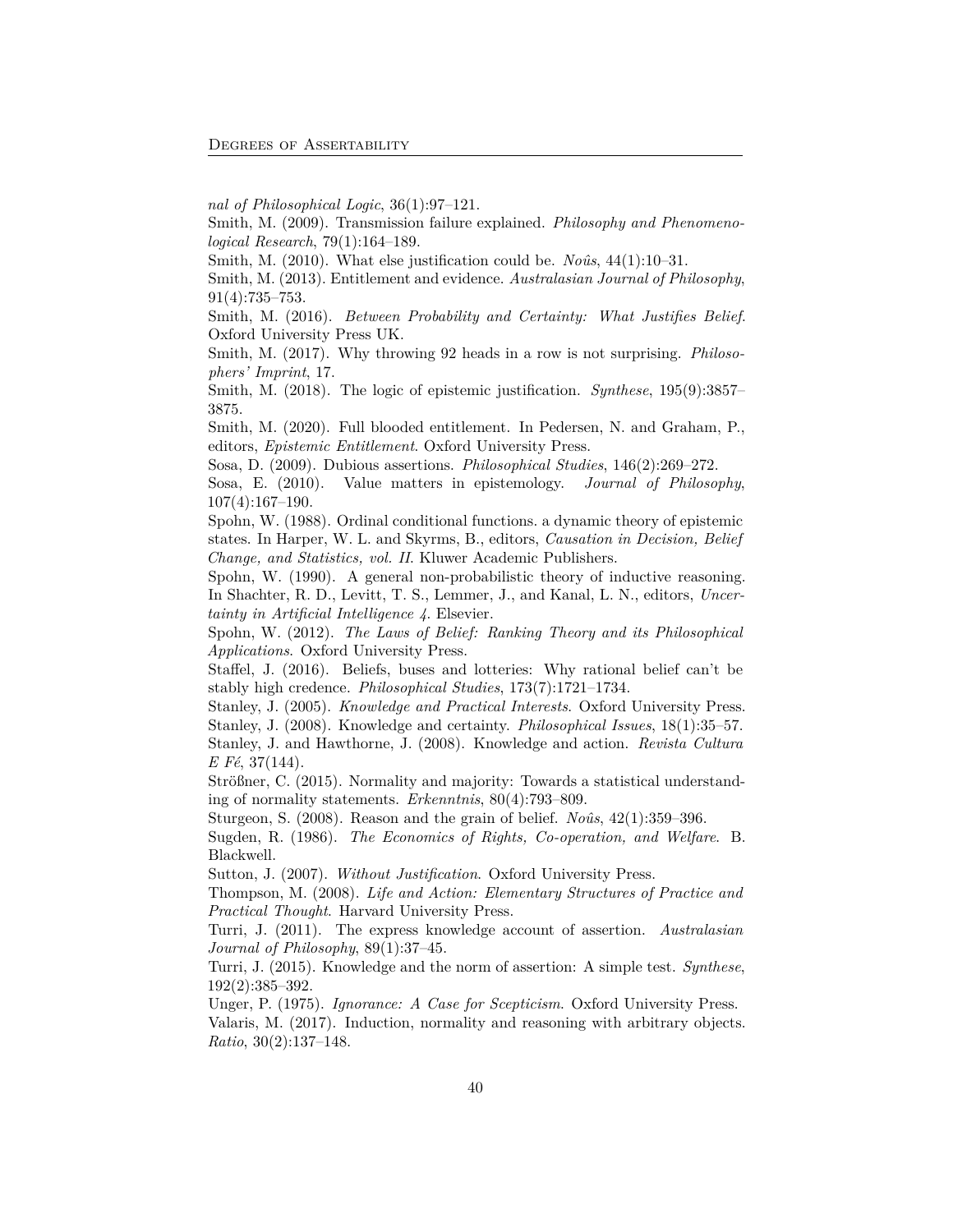*nal of Philosophical Logic*, 36(1):97–121.

<span id="page-39-20"></span>Smith, M. (2009). Transmission failure explained. *Philosophy and Phenomenological Research*, 79(1):164–189.

<span id="page-39-12"></span>Smith, M. (2010). What else justification could be. *Noûs*, 44(1):10–31.

<span id="page-39-21"></span>Smith, M. (2013). Entitlement and evidence. *Australasian Journal of Philosophy*, 91(4):735–753.

<span id="page-39-13"></span>Smith, M. (2016). *Between Probability and Certainty: What Justifies Belief*. Oxford University Press UK.

<span id="page-39-16"></span>Smith, M. (2017). Why throwing 92 heads in a row is not surprising. *Philosophers' Imprint*, 17.

<span id="page-39-23"></span>Smith, M. (2018). The logic of epistemic justification. *Synthese*, 195(9):3857– 3875.

<span id="page-39-22"></span>Smith, M. (2020). Full blooded entitlement. In Pedersen, N. and Graham, P., editors, *Epistemic Entitlement*. Oxford University Press.

<span id="page-39-0"></span>Sosa, D. (2009). Dubious assertions. *Philosophical Studies*, 146(2):269–272.

<span id="page-39-3"></span>Sosa, E. (2010). Value matters in epistemology. *Journal of Philosophy*, 107(4):167–190.

<span id="page-39-17"></span>Spohn, W. (1988). Ordinal conditional functions. a dynamic theory of epistemic states. In Harper, W. L. and Skyrms, B., editors, *Causation in Decision, Belief Change, and Statistics, vol. II*. Kluwer Academic Publishers.

<span id="page-39-18"></span>Spohn, W. (1990). A general non-probabilistic theory of inductive reasoning. In Shachter, R. D., Levitt, T. S., Lemmer, J., and Kanal, L. N., editors, *Uncertainty in Artificial Intelligence 4*. Elsevier.

<span id="page-39-19"></span>Spohn, W. (2012). *The Laws of Belief: Ranking Theory and its Philosophical Applications*. Oxford University Press.

<span id="page-39-9"></span>Staffel, J. (2016). Beliefs, buses and lotteries: Why rational belief can't be stably high credence. *Philosophical Studies*, 173(7):1721–1734.

<span id="page-39-8"></span><span id="page-39-5"></span><span id="page-39-2"></span>Stanley, J. (2005). *Knowledge and Practical Interests*. Oxford University Press. Stanley, J. (2008). Knowledge and certainty. *Philosophical Issues*, 18(1):35–57. Stanley, J. and Hawthorne, J. (2008). Knowledge and action. *Revista Cultura E Fé*, 37(144).

<span id="page-39-24"></span>Strößner, C. (2015). Normality and majority: Towards a statistical understanding of normality statements. *Erkenntnis*, 80(4):793–809.

<span id="page-39-10"></span>Sturgeon, S. (2008). Reason and the grain of belief. *Noûs*, 42(1):359–396.

<span id="page-39-1"></span>Sugden, R. (1986). *The Economics of Rights, Co-operation, and Welfare*. B. Blackwell.

<span id="page-39-11"></span>Sutton, J. (2007). *Without Justification*. Oxford University Press.

<span id="page-39-14"></span>Thompson, M. (2008). *Life and Action: Elementary Structures of Practice and Practical Thought*. Harvard University Press.

<span id="page-39-6"></span>Turri, J. (2011). The express knowledge account of assertion. *Australasian Journal of Philosophy*, 89(1):37–45.

<span id="page-39-7"></span>Turri, J. (2015). Knowledge and the norm of assertion: A simple test. *Synthese*, 192(2):385–392.

<span id="page-39-4"></span>Unger, P. (1975). *Ignorance: A Case for Scepticism*. Oxford University Press.

<span id="page-39-15"></span>Valaris, M. (2017). Induction, normality and reasoning with arbitrary objects. *Ratio*, 30(2):137–148.